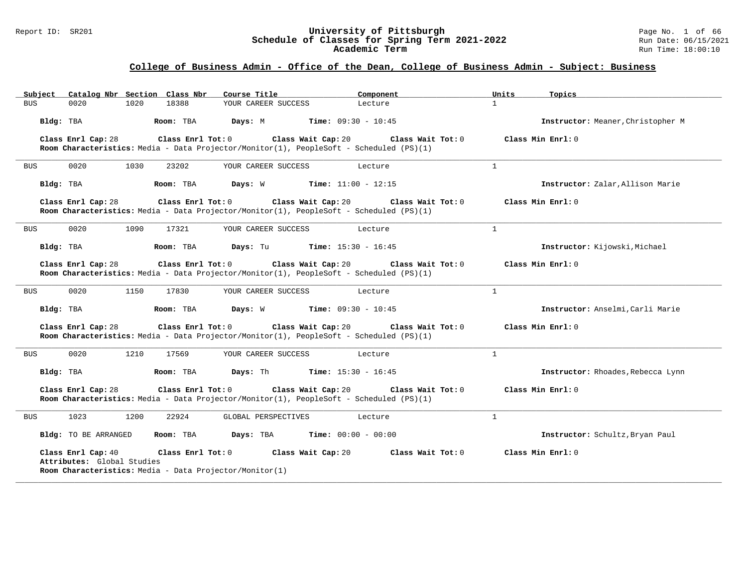#### Report ID: SR201 **University of Pittsburgh** Page No. 1 of 66 **Schedule of Classes for Spring Term 2021-2022** Run Date: 06/15/2021 **Academic Term** Run Time: 18:00:10

|            | Subject Catalog Nbr Section Class Nbr                                                                                                                                                            |      |                   | Course Title                                                                            |                              | Component         | Units        | Topics                            |
|------------|--------------------------------------------------------------------------------------------------------------------------------------------------------------------------------------------------|------|-------------------|-----------------------------------------------------------------------------------------|------------------------------|-------------------|--------------|-----------------------------------|
| <b>BUS</b> | 0020                                                                                                                                                                                             | 1020 | 18388             | YOUR CAREER SUCCESS                                                                     |                              | Lecture           | $\mathbf{1}$ |                                   |
| Bldg: TBA  |                                                                                                                                                                                                  |      | Room: TBA         | Days: M                                                                                 | <b>Time:</b> $09:30 - 10:45$ |                   |              | Instructor: Meaner, Christopher M |
|            | Class Enrl Cap: 28                                                                                                                                                                               |      | Class Enrl Tot: 0 | Room Characteristics: Media - Data Projector/Monitor(1), PeopleSoft - Scheduled (PS)(1) | Class Wait Cap: 20           | Class Wait Tot: 0 |              | Class Min Enrl: 0                 |
| <b>BUS</b> | 0020                                                                                                                                                                                             | 1030 | 23202             | YOUR CAREER SUCCESS                                                                     |                              | Lecture           | $\mathbf{1}$ |                                   |
| Bldg: TBA  |                                                                                                                                                                                                  |      | Room: TBA         | Days: W                                                                                 | <b>Time:</b> $11:00 - 12:15$ |                   |              | Instructor: Zalar, Allison Marie  |
|            | Class Enrl Cap: 28                                                                                                                                                                               |      | Class Enrl Tot: 0 | Room Characteristics: Media - Data Projector/Monitor(1), PeopleSoft - Scheduled (PS)(1) | Class Wait Cap: 20           | Class Wait Tot: 0 |              | Class Min Enrl: 0                 |
| <b>BUS</b> | 0020                                                                                                                                                                                             | 1090 | 17321             | YOUR CAREER SUCCESS                                                                     |                              | Lecture           | $\mathbf{1}$ |                                   |
| Bldg: TBA  |                                                                                                                                                                                                  |      | Room: TBA         | Days: Tu                                                                                | <b>Time:</b> $15:30 - 16:45$ |                   |              | Instructor: Kijowski, Michael     |
|            | Class Enrl Cap: 28                                                                                                                                                                               |      | Class Enrl Tot: 0 | Room Characteristics: Media - Data Projector/Monitor(1), PeopleSoft - Scheduled (PS)(1) | Class Wait Cap: 20           | Class Wait Tot: 0 |              | Class Min Enrl: 0                 |
| <b>BUS</b> | 0020                                                                                                                                                                                             | 1150 | 17830             | YOUR CAREER SUCCESS                                                                     |                              | Lecture           | $\mathbf{1}$ |                                   |
| Bldg: TBA  |                                                                                                                                                                                                  |      | Room: TBA         | Days: W                                                                                 | <b>Time:</b> $09:30 - 10:45$ |                   |              | Instructor: Anselmi, Carli Marie  |
|            | Class Enrl Cap: 28                                                                                                                                                                               |      | Class Enrl Tot: 0 | Room Characteristics: Media - Data Projector/Monitor(1), PeopleSoft - Scheduled (PS)(1) | Class Wait Cap: 20           | Class Wait Tot: 0 |              | Class Min Enrl: 0                 |
| BUS        | 0020                                                                                                                                                                                             | 1210 | 17569             | YOUR CAREER SUCCESS                                                                     |                              | Lecture           | $\mathbf{1}$ |                                   |
| Bldg: TBA  |                                                                                                                                                                                                  |      | Room: TBA         | Days: Th                                                                                | <b>Time:</b> $15:30 - 16:45$ |                   |              | Instructor: Rhoades, Rebecca Lynn |
|            | Class Enrl Cap: 28                                                                                                                                                                               |      | Class Enrl Tot: 0 | Room Characteristics: Media - Data Projector/Monitor(1), PeopleSoft - Scheduled (PS)(1) | Class Wait Cap: 20           | Class Wait Tot: 0 |              | Class Min Enrl: 0                 |
| <b>BUS</b> | 1023                                                                                                                                                                                             | 1200 | 22924             | GLOBAL PERSPECTIVES                                                                     |                              | Lecture           | $\mathbf{1}$ |                                   |
|            | Bldg: TO BE ARRANGED                                                                                                                                                                             |      | Room: TBA         | Days: TBA                                                                               | <b>Time:</b> $00:00 - 00:00$ |                   |              | Instructor: Schultz, Bryan Paul   |
|            | Class Enrl Cap: 40<br>Class Enrl Tot: 0<br>Class Wait Cap: 20<br>Class Wait Tot: 0<br>Class Min Enrl: 0<br>Attributes: Global Studies<br>Room Characteristics: Media - Data Projector/Monitor(1) |      |                   |                                                                                         |                              |                   |              |                                   |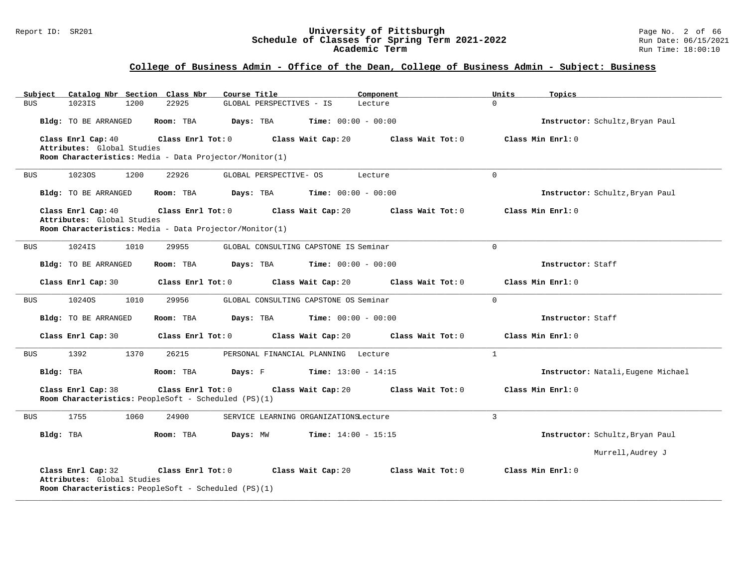#### Report ID: SR201 **University of Pittsburgh** Page No. 2 of 66 **Schedule of Classes for Spring Term 2021-2022** Run Date: 06/15/2021 **Academic Term** Run Time: 18:00:10

| Catalog Nbr Section Class Nbr<br>Subject                                                                    | Course Title                                           | Component<br>Units      | Topics                             |
|-------------------------------------------------------------------------------------------------------------|--------------------------------------------------------|-------------------------|------------------------------------|
| <b>BUS</b><br>1023IS<br>1200                                                                                | 22925<br>GLOBAL PERSPECTIVES - IS                      | $\Omega$<br>Lecture     |                                    |
| Bldg: TO BE ARRANGED                                                                                        | Room: TBA<br>Days: TBA<br><b>Time:</b> $00:00 - 00:00$ |                         | Instructor: Schultz, Bryan Paul    |
| Class Enrl Cap: 40<br>Attributes: Global Studies<br>Room Characteristics: Media - Data Projector/Monitor(1) | Class Enrl Tot: 0<br>Class Wait Cap: 20                | Class Wait Tot: 0       | Class Min Enrl: 0                  |
| 10230S<br>1200<br>BUS                                                                                       | 22926<br>GLOBAL PERSPECTIVE- OS                        | $\Omega$<br>Lecture     |                                    |
| Bldg: TO BE ARRANGED                                                                                        | Room: TBA<br>Days: TBA<br><b>Time:</b> $00:00 - 00:00$ |                         | Instructor: Schultz, Bryan Paul    |
| Class Enrl Cap: 40<br>Attributes: Global Studies<br>Room Characteristics: Media - Data Projector/Monitor(1) | Class Enrl Tot: 0<br>Class Wait Cap: 20                | Class Wait Tot: 0       | Class Min Enrl: 0                  |
| 1024IS<br>1010<br>BUS                                                                                       | 29955<br>GLOBAL CONSULTING CAPSTONE IS Seminar         | $\Omega$                |                                    |
| Bldg: TO BE ARRANGED                                                                                        | <b>Time:</b> $00:00 - 00:00$<br>Room: TBA<br>Days: TBA |                         | Instructor: Staff                  |
| Class Enrl Cap: 30                                                                                          | Class Enrl Tot: 0<br>Class Wait Cap: 20                | Class Wait Tot: 0       | Class Min Enrl: 0                  |
| 10240S<br>1010<br><b>BUS</b>                                                                                | 29956<br>GLOBAL CONSULTING CAPSTONE OS Seminar         | $\mathbf 0$             |                                    |
| Bldg: TO BE ARRANGED                                                                                        | <b>Time:</b> $00:00 - 00:00$<br>Room: TBA<br>Days: TBA |                         | Instructor: Staff                  |
| Class Enrl Cap: 30                                                                                          | Class Enrl Tot: 0<br>Class Wait Cap: 20                | Class Wait Tot: 0       | Class Min Enrl: 0                  |
| 1392<br>1370<br><b>BUS</b>                                                                                  | 26215<br>PERSONAL FINANCIAL PLANNING                   | $\mathbf{1}$<br>Lecture |                                    |
| Bldg: TBA                                                                                                   | Room: TBA<br>Days: F<br><b>Time:</b> $13:00 - 14:15$   |                         | Instructor: Natali, Eugene Michael |
| Class Enrl Cap: 38<br>Room Characteristics: PeopleSoft - Scheduled (PS)(1)                                  | Class Wait Cap: 20<br>Class Enrl Tot: 0                | Class Wait Tot: 0       | Class Min Enrl: 0                  |
| 1755<br>1060<br><b>BUS</b>                                                                                  | 24900<br>SERVICE LEARNING ORGANIZATIONSLecture         | 3                       |                                    |
| Bldg: TBA                                                                                                   | Days: MW<br><b>Time:</b> $14:00 - 15:15$<br>Room: TBA  |                         | Instructor: Schultz, Bryan Paul    |
|                                                                                                             |                                                        |                         | Murrell, Audrey J                  |
| Class Enrl Cap: 32<br>Attributes: Global Studies<br>Room Characteristics: PeopleSoft - Scheduled (PS)(1)    | Class Enrl Tot: 0<br>Class Wait Cap: 20                | Class Wait Tot: $0$     | Class Min Enrl: 0                  |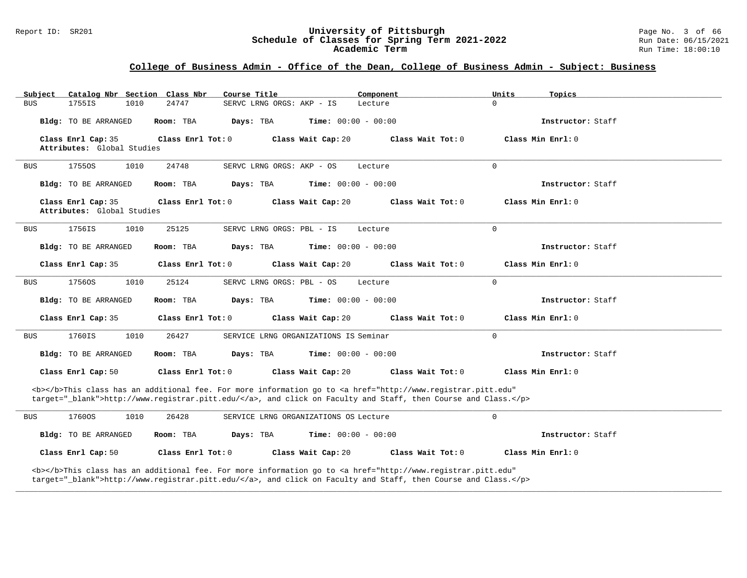#### Report ID: SR201 **University of Pittsburgh** Page No. 3 of 66 **Schedule of Classes for Spring Term 2021-2022** Run Date: 06/15/2021 **Academic Term** Run Time: 18:00:10

### **College of Business Admin - Office of the Dean, College of Business Admin - Subject: Business**

| Catalog Nbr Section Class Nbr<br>Subject                                                                                                                                                                                           | Course Title                                   | Component                                                                                                                                                                                                                          | Units<br>Topics   |  |  |  |  |  |
|------------------------------------------------------------------------------------------------------------------------------------------------------------------------------------------------------------------------------------|------------------------------------------------|------------------------------------------------------------------------------------------------------------------------------------------------------------------------------------------------------------------------------------|-------------------|--|--|--|--|--|
| 1755IS<br>1010<br><b>BUS</b>                                                                                                                                                                                                       | 24747<br>SERVC LRNG ORGS: AKP - IS             | Lecture                                                                                                                                                                                                                            | $\Omega$          |  |  |  |  |  |
| Bldg: TO BE ARRANGED                                                                                                                                                                                                               | Days: TBA<br>Room: TBA                         | <b>Time:</b> $00:00 - 00:00$                                                                                                                                                                                                       | Instructor: Staff |  |  |  |  |  |
| Class Enrl Cap: 35<br>Attributes: Global Studies                                                                                                                                                                                   | Class Enrl Tot: 0                              | Class Wait Cap: 20<br>Class Wait Tot: 0                                                                                                                                                                                            | Class Min Enrl: 0 |  |  |  |  |  |
| 17550S<br>1010<br><b>BUS</b>                                                                                                                                                                                                       | 24748<br>SERVC LRNG ORGS: AKP - OS             | Lecture                                                                                                                                                                                                                            | $\mathbf 0$       |  |  |  |  |  |
|                                                                                                                                                                                                                                    |                                                |                                                                                                                                                                                                                                    |                   |  |  |  |  |  |
| Bldg: TO BE ARRANGED                                                                                                                                                                                                               | Room: TBA<br>Days: TBA                         | <b>Time:</b> $00:00 - 00:00$                                                                                                                                                                                                       | Instructor: Staff |  |  |  |  |  |
| Class Enrl Cap: 35<br>Attributes: Global Studies                                                                                                                                                                                   | Class Enrl Tot: 0                              | Class Wait Cap: 20<br>Class Wait Tot: 0                                                                                                                                                                                            | Class Min Enrl: 0 |  |  |  |  |  |
| 1756IS<br>1010<br>BUS                                                                                                                                                                                                              | 25125<br>SERVC LRNG ORGS: PBL - IS             | Lecture                                                                                                                                                                                                                            | $\mathbf 0$       |  |  |  |  |  |
| Bldg: TO BE ARRANGED                                                                                                                                                                                                               | Room: TBA<br>Days: TBA                         | <b>Time:</b> $00:00 - 00:00$                                                                                                                                                                                                       | Instructor: Staff |  |  |  |  |  |
| Class Enrl Cap: 35                                                                                                                                                                                                                 | Class Enrl Tot: 0                              | Class Wait Cap: 20<br>Class Wait Tot: 0                                                                                                                                                                                            | Class Min Enrl: 0 |  |  |  |  |  |
| 1010<br>17560S<br>BUS                                                                                                                                                                                                              | 25124<br>SERVC LRNG ORGS: PBL - OS             | Lecture                                                                                                                                                                                                                            | $\mathbf 0$       |  |  |  |  |  |
| Bldg: TO BE ARRANGED                                                                                                                                                                                                               | Room: TBA<br>Days: TBA                         | <b>Time:</b> $00:00 - 00:00$                                                                                                                                                                                                       | Instructor: Staff |  |  |  |  |  |
| Class Enrl Cap: 35                                                                                                                                                                                                                 | Class Enrl Tot: 0                              | Class Wait Tot: 0<br>Class Wait Cap: 20                                                                                                                                                                                            | Class Min Enrl: 0 |  |  |  |  |  |
| 1760IS<br>1010<br><b>BUS</b>                                                                                                                                                                                                       | 26427<br>SERVICE LRNG ORGANIZATIONS IS Seminar |                                                                                                                                                                                                                                    | $\Omega$          |  |  |  |  |  |
| Bldg: TO BE ARRANGED                                                                                                                                                                                                               | Room: TBA<br>Days: TBA                         | <b>Time:</b> $00:00 - 00:00$                                                                                                                                                                                                       | Instructor: Staff |  |  |  |  |  |
| Class Enrl Cap: 50                                                                                                                                                                                                                 | Class Enrl Tot: 0                              | Class Wait Cap: 20<br>Class Wait Tot: 0                                                                                                                                                                                            | Class Min Enrl: 0 |  |  |  |  |  |
| <b></b> This class has an additional fee. For more information go to <a <br="" href="http://www.registrar.pitt.edu">target="_blank"&gt;http://www.registrar.pitt.edu/</a> , and click on Faculty and Staff, then Course and Class. |                                                |                                                                                                                                                                                                                                    |                   |  |  |  |  |  |
| 17600S<br>1010<br>BUS                                                                                                                                                                                                              | 26428<br>SERVICE LRNG ORGANIZATIONS OS Lecture |                                                                                                                                                                                                                                    | 0                 |  |  |  |  |  |
| Bldg: TO BE ARRANGED                                                                                                                                                                                                               | Room: TBA<br>Days: TBA                         | <b>Time:</b> $00:00 - 00:00$                                                                                                                                                                                                       | Instructor: Staff |  |  |  |  |  |
| Class Enrl Cap: 50                                                                                                                                                                                                                 | Class Enrl Tot: 0                              | Class Wait Cap: 20<br>Class Wait Tot: 0                                                                                                                                                                                            | Class Min Enrl: 0 |  |  |  |  |  |
|                                                                                                                                                                                                                                    |                                                | <b></b> This class has an additional fee. For more information go to <a <br="" href="http://www.registrar.pitt.edu">target="_blank"&gt;http://www.registrar.pitt.edu/</a> , and click on Faculty and Staff, then Course and Class. |                   |  |  |  |  |  |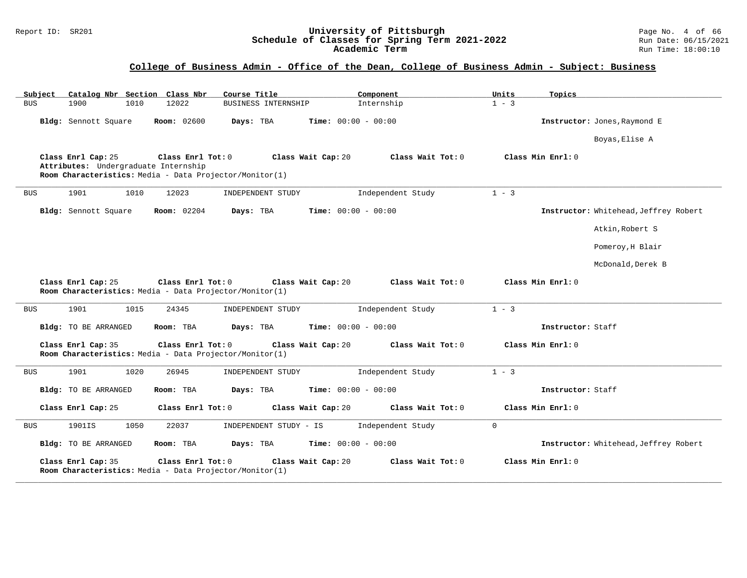#### Report ID: SR201 **University of Pittsburgh** Page No. 4 of 66 **Schedule of Classes for Spring Term 2021-2022** Run Date: 06/15/2021 **Academic Term** Run Time: 18:00:10

| Catalog Nbr Section Class Nbr<br>Subject                   | Course Title                                                                                       | Component                    | Units<br>Topics                       |  |
|------------------------------------------------------------|----------------------------------------------------------------------------------------------------|------------------------------|---------------------------------------|--|
| 1900<br><b>BUS</b><br>1010                                 | 12022<br>BUSINESS INTERNSHIP                                                                       | Internship                   | $1 - 3$                               |  |
| Bldg: Sennott Square                                       | <b>Room: 02600</b><br>Days: TBA                                                                    | <b>Time:</b> $00:00 - 00:00$ | Instructor: Jones, Raymond E          |  |
|                                                            |                                                                                                    |                              | Boyas, Elise A                        |  |
| Class Enrl Cap: 25<br>Attributes: Undergraduate Internship | Class Enrl Tot: 0<br>Class Wait Cap: 20<br>Room Characteristics: Media - Data Projector/Monitor(1) | Class Wait Tot: 0            | Class Min Enrl: 0                     |  |
| 1901<br><b>BUS</b><br>1010                                 | 12023<br>INDEPENDENT STUDY                                                                         | Independent Study            | $1 - 3$                               |  |
| Bldg: Sennott Square                                       | <b>Room:</b> 02204<br>Days: TBA                                                                    | <b>Time:</b> $00:00 - 00:00$ | Instructor: Whitehead, Jeffrey Robert |  |
|                                                            |                                                                                                    |                              | Atkin, Robert S                       |  |
|                                                            |                                                                                                    |                              | Pomeroy, H Blair                      |  |
|                                                            |                                                                                                    |                              | McDonald, Derek B                     |  |
| Class Enrl Cap: 25                                         | Class Enrl Tot: 0 Class Wait Cap: 20<br>Room Characteristics: Media - Data Projector/Monitor(1)    | Class Wait Tot: 0            | Class Min Enrl: 0                     |  |
| 1901<br>1015<br><b>BUS</b>                                 | 24345<br>INDEPENDENT STUDY                                                                         | Independent Study            | $1 - 3$                               |  |
| Bldg: TO BE ARRANGED                                       | Room: TBA<br>Days: TBA                                                                             | <b>Time:</b> $00:00 - 00:00$ | Instructor: Staff                     |  |
| Class Enrl Cap: 35                                         | Class Enrl Tot: 0<br>Class Wait Cap: 20<br>Room Characteristics: Media - Data Projector/Monitor(1) | Class Wait Tot: 0            | Class Min Enrl: 0                     |  |
| <b>BUS</b><br>1901<br>1020                                 | 26945<br>INDEPENDENT STUDY                                                                         | Independent Study            | $1 - 3$                               |  |
| Bldg: TO BE ARRANGED                                       | Room: TBA<br>Days: TBA                                                                             | Time: $00:00 - 00:00$        | Instructor: Staff                     |  |
| Class Enrl Cap: 25                                         | Class Wait Cap: 20<br>Class Enrl Tot: 0                                                            | Class Wait Tot: 0            | Class Min Enrl: 0                     |  |
| 1901IS<br>1050<br><b>BUS</b>                               | 22037<br>INDEPENDENT STUDY - IS                                                                    | Independent Study            | $\mathbf 0$                           |  |
| Bldg: TO BE ARRANGED                                       | Room: TBA<br>Days: TBA                                                                             | <b>Time:</b> $00:00 - 00:00$ | Instructor: Whitehead, Jeffrey Robert |  |
| Class Enrl Cap: 35                                         | Class Enrl Tot: 0<br>Class Wait Cap: 20<br>Room Characteristics: Media - Data Projector/Monitor(1) | Class Wait Tot: 0            | Class Min Enrl: 0                     |  |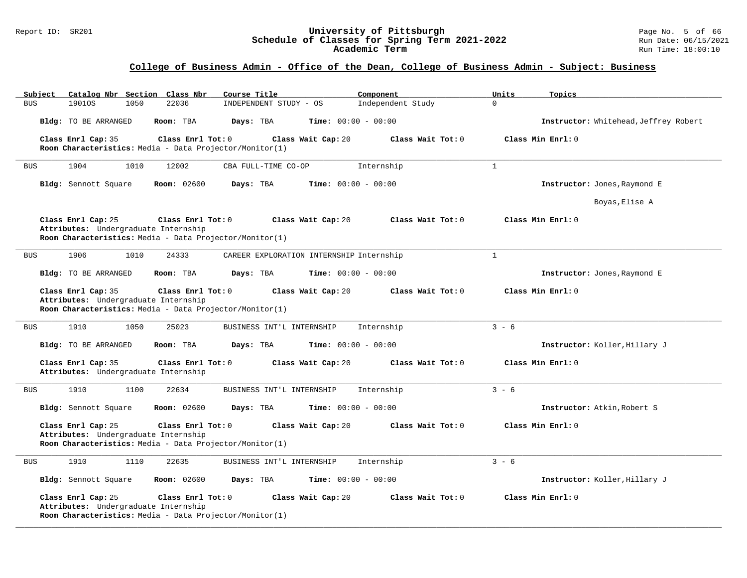#### Report ID: SR201 **University of Pittsburgh** Page No. 5 of 66 **Schedule of Classes for Spring Term 2021-2022** Run Date: 06/15/2021 **Academic Term** Run Time: 18:00:10

| Subject<br>Catalog Nbr Section Class Nbr                   | Course Title                                                                                       | Component                    | Units<br>Topics                       |
|------------------------------------------------------------|----------------------------------------------------------------------------------------------------|------------------------------|---------------------------------------|
| 1901OS<br>1050<br><b>BUS</b>                               | 22036<br>INDEPENDENT STUDY - OS                                                                    | Independent Study            | $\Omega$                              |
| Bldg: TO BE ARRANGED                                       | Room: TBA<br>Days: TBA                                                                             | <b>Time:</b> $00:00 - 00:00$ | Instructor: Whitehead, Jeffrey Robert |
| Class Enrl Cap: 35                                         | Class Enrl Tot: 0<br>Class Wait Cap: 20                                                            | Class Wait Tot: 0            | Class Min Enrl: 0                     |
|                                                            | Room Characteristics: Media - Data Projector/Monitor(1)                                            |                              |                                       |
| <b>BUS</b><br>1904<br>1010                                 | 12002<br>CBA FULL-TIME CO-OP                                                                       | Internship                   | 1                                     |
| Bldg: Sennott Square                                       | <b>Room: 02600</b><br>Days: TBA                                                                    | Time: $00:00 - 00:00$        | Instructor: Jones, Raymond E          |
|                                                            |                                                                                                    |                              | Boyas, Elise A                        |
| Class Enrl Cap: 25<br>Attributes: Undergraduate Internship | Class Enrl Tot: 0<br>Class Wait Cap: 20<br>Room Characteristics: Media - Data Projector/Monitor(1) | Class Wait Tot: 0            | Class Min Enrl: 0                     |
| 1906<br>1010<br><b>BUS</b>                                 | 24333<br>CAREER EXPLORATION INTERNSHIP Internship                                                  |                              | $\mathbf{1}$                          |
| Bldg: TO BE ARRANGED                                       | Room: TBA<br>Days: TBA                                                                             | <b>Time:</b> $00:00 - 00:00$ | Instructor: Jones, Raymond E          |
| Class Enrl Cap: 35<br>Attributes: Undergraduate Internship | Class Enrl Tot: 0<br>Class Wait Cap: 20<br>Room Characteristics: Media - Data Projector/Monitor(1) | Class Wait Tot: 0            | Class Min Enrl: 0                     |
| 1910<br>1050<br><b>BUS</b>                                 | 25023<br>BUSINESS INT'L INTERNSHIP                                                                 | Internship                   | $3 - 6$                               |
| Bldg: TO BE ARRANGED                                       | Room: TBA<br>Days: TBA                                                                             | <b>Time:</b> $00:00 - 00:00$ | Instructor: Koller, Hillary J         |
| Class Enrl Cap: 35<br>Attributes: Undergraduate Internship | Class Enrl Tot: 0<br>Class Wait Cap: 20                                                            | Class Wait Tot: 0            | Class Min Enrl: 0                     |
| 1910<br>1100<br><b>BUS</b>                                 | 22634<br>BUSINESS INT'L INTERNSHIP                                                                 | Internship                   | $3 - 6$                               |
| Bldg: Sennott Square                                       | Room: 02600<br>Days: TBA                                                                           | Time: $00:00 - 00:00$        | Instructor: Atkin, Robert S           |
| Class Enrl Cap: 25<br>Attributes: Undergraduate Internship | Class Enrl Tot: 0<br>Class Wait Cap: 20<br>Room Characteristics: Media - Data Projector/Monitor(1) | Class Wait Tot: 0            | Class Min Enrl: 0                     |
| 1910<br>1110<br><b>BUS</b>                                 | 22635<br>BUSINESS INT'L INTERNSHIP                                                                 | Internship                   | $3 - 6$                               |
| Bldg: Sennott Square                                       | <b>Room:</b> 02600<br>Days: TBA                                                                    | <b>Time:</b> $00:00 - 00:00$ | Instructor: Koller, Hillary J         |
| Class Enrl Cap: 25<br>Attributes: Undergraduate Internship | Class Enrl Tot: 0<br>Class Wait Cap: 20<br>Room Characteristics: Media - Data Projector/Monitor(1) | Class Wait Tot: 0            | Class Min Enrl: 0                     |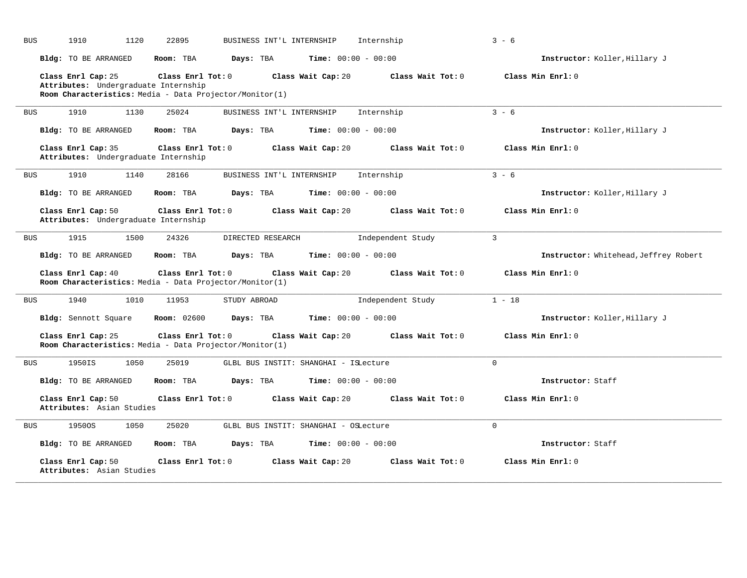| <b>BUS</b> | 1910<br>1120                                                                                                          | 22895             | BUSINESS INT'L INTERNSHIP |                                       | Internship          | $3 - 6$                               |
|------------|-----------------------------------------------------------------------------------------------------------------------|-------------------|---------------------------|---------------------------------------|---------------------|---------------------------------------|
|            | Bldg: TO BE ARRANGED                                                                                                  | Room: TBA         | Days: TBA                 | <b>Time:</b> $00:00 - 00:00$          |                     | Instructor: Koller, Hillary J         |
|            | Class Enrl Cap: 25<br>Attributes: Undergraduate Internship<br>Room Characteristics: Media - Data Projector/Monitor(1) | Class Enrl Tot: 0 |                           | Class Wait Cap: 20                    | Class Wait Tot: 0   | Class Min Enrl: 0                     |
| <b>BUS</b> | 1910<br>1130                                                                                                          | 25024             | BUSINESS INT'L INTERNSHIP |                                       | Internship          | $3 - 6$                               |
|            | <b>Bldg:</b> TO BE ARRANGED                                                                                           | Room: TBA         | Days: TBA                 | Time: $00:00 - 00:00$                 |                     | Instructor: Koller, Hillary J         |
|            | Class Enrl Cap: 35<br>Attributes: Undergraduate Internship                                                            | Class Enrl Tot: 0 |                           | Class Wait Cap: 20                    | Class Wait Tot: $0$ | Class Min $Enrl: 0$                   |
| <b>BUS</b> | 1910<br>1140                                                                                                          | 28166             | BUSINESS INT'L INTERNSHIP |                                       | Internship          | $3 - 6$                               |
|            | Bldg: TO BE ARRANGED                                                                                                  | Room: TBA         | Days: TBA                 | <b>Time:</b> $00:00 - 00:00$          |                     | Instructor: Koller, Hillary J         |
|            | Class Enrl Cap: 50<br>Attributes: Undergraduate Internship                                                            | Class Enrl Tot: 0 |                           | Class Wait Cap: 20                    | Class Wait Tot: 0   | Class Min Enrl: 0                     |
| <b>BUS</b> | 1915<br>1500                                                                                                          | 24326             | DIRECTED RESEARCH         |                                       | Independent Study   | $\overline{3}$                        |
|            | Bldg: TO BE ARRANGED                                                                                                  | Room: TBA         | Days: TBA                 | Time: $00:00 - 00:00$                 |                     | Instructor: Whitehead, Jeffrey Robert |
|            | Class Enrl Cap: 40<br>Room Characteristics: Media - Data Projector/Monitor(1)                                         | Class Enrl Tot: 0 |                           | Class Wait Cap: 20                    | Class Wait Tot: 0   | Class Min Enrl: 0                     |
| <b>BUS</b> | 1940<br>1010                                                                                                          | 11953             | STUDY ABROAD              |                                       | Independent Study   | $1 - 18$                              |
|            | Bldg: Sennott Square                                                                                                  | Room: 02600       | Days: TBA                 | Time: $00:00 - 00:00$                 |                     | Instructor: Koller, Hillary J         |
|            | Class Enrl Cap: 25<br>Room Characteristics: Media - Data Projector/Monitor(1)                                         | Class Enrl Tot: 0 |                           | Class Wait Cap: 20                    | Class Wait Tot: 0   | Class Min Enrl: 0                     |
| <b>BUS</b> | 1950IS<br>1050                                                                                                        | 25019             |                           | GLBL BUS INSTIT: SHANGHAI - ISLecture |                     | $\mathbf 0$                           |
|            | Bldg: TO BE ARRANGED                                                                                                  | Room: TBA         | Days: TBA                 | <b>Time:</b> $00:00 - 00:00$          |                     | Instructor: Staff                     |
|            | Class Enrl Cap: 50<br>Attributes: Asian Studies                                                                       | Class Enrl Tot: 0 |                           | Class Wait Cap: 20                    | Class Wait Tot: 0   | Class Min Enrl: 0                     |
| <b>BUS</b> | 1950OS<br>1050                                                                                                        | 25020             |                           | GLBL BUS INSTIT: SHANGHAI - OSLecture |                     | $\overline{0}$                        |
|            | Bldg: TO BE ARRANGED                                                                                                  | Room: TBA         | Days: TBA                 | <b>Time:</b> $00:00 - 00:00$          |                     | Instructor: Staff                     |
|            | Class Enrl Cap: 50                                                                                                    | Class Enrl Tot: 0 |                           | Class Wait Cap: 20                    | Class Wait Tot: 0   | Class Min Enrl: 0                     |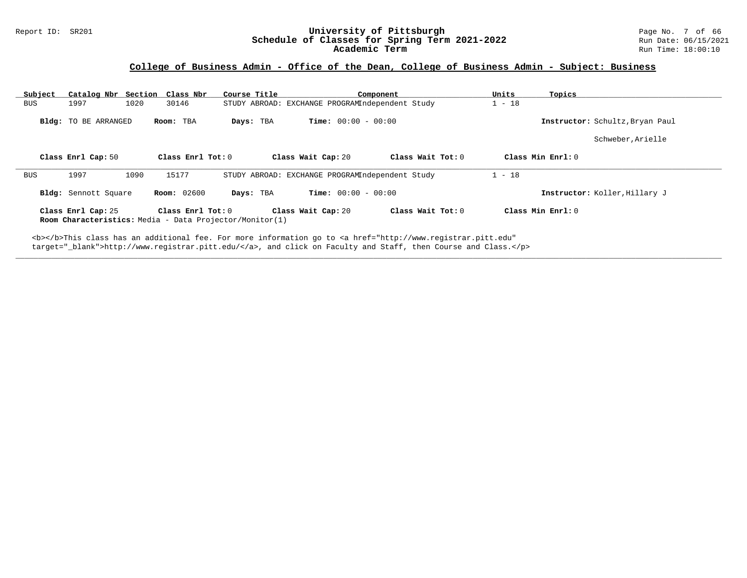#### Report ID: SR201 **University of Pittsburgh** Page No. 7 of 66 **Schedule of Classes for Spring Term 2021-2022** Run Date: 06/15/2021 **Academic Term** Run Time: 18:00:10

# **College of Business Admin - Office of the Dean, College of Business Admin - Subject: Business**

| Subject | Catalog Nbr Section                                                                                                                                                                                                                | Class Nbr          | Course Title |                                                 | Component           | Units    | Topics                          |  |  |  |  |
|---------|------------------------------------------------------------------------------------------------------------------------------------------------------------------------------------------------------------------------------------|--------------------|--------------|-------------------------------------------------|---------------------|----------|---------------------------------|--|--|--|--|
| BUS     | 1997<br>1020                                                                                                                                                                                                                       | 30146              |              | STUDY ABROAD: EXCHANGE PROGRAMIndependent Study |                     | $1 - 18$ |                                 |  |  |  |  |
|         | Bldg: TO BE ARRANGED                                                                                                                                                                                                               | Room: TBA          | Days: TBA    | <b>Time:</b> $00:00 - 00:00$                    |                     |          | Instructor: Schultz, Bryan Paul |  |  |  |  |
|         |                                                                                                                                                                                                                                    |                    |              |                                                 |                     |          | Schweber, Arielle               |  |  |  |  |
|         | Class Enrl Cap: 50                                                                                                                                                                                                                 | Class Enrl Tot: 0  |              | Class Wait Cap: 20                              | Class Wait Tot: $0$ |          | Class Min $Enr1:0$              |  |  |  |  |
| BUS     | 1997<br>1090                                                                                                                                                                                                                       | 15177              |              | STUDY ABROAD: EXCHANGE PROGRAMIndependent Study |                     | $1 - 18$ |                                 |  |  |  |  |
|         | Bldg: Sennott Square                                                                                                                                                                                                               | <b>Room:</b> 02600 | Days: TBA    | <b>Time:</b> $00:00 - 00:00$                    |                     |          | Instructor: Koller, Hillary J   |  |  |  |  |
|         | Class Min $Enrl: 0$<br>Class Enrl Cap: 25<br>Class Enrl Tot: 0<br>Class Wait Cap: 20<br>Class Wait Tot: $0$<br><b>Room Characteristics:</b> Media - Data Projector/Monitor(1)                                                      |                    |              |                                                 |                     |          |                                 |  |  |  |  |
|         | <b></b> This class has an additional fee. For more information go to <a <br="" href="http://www.registrar.pitt.edu">target="_blank"&gt;http://www.registrar.pitt.edu/</a> , and click on Faculty and Staff, then Course and Class. |                    |              |                                                 |                     |          |                                 |  |  |  |  |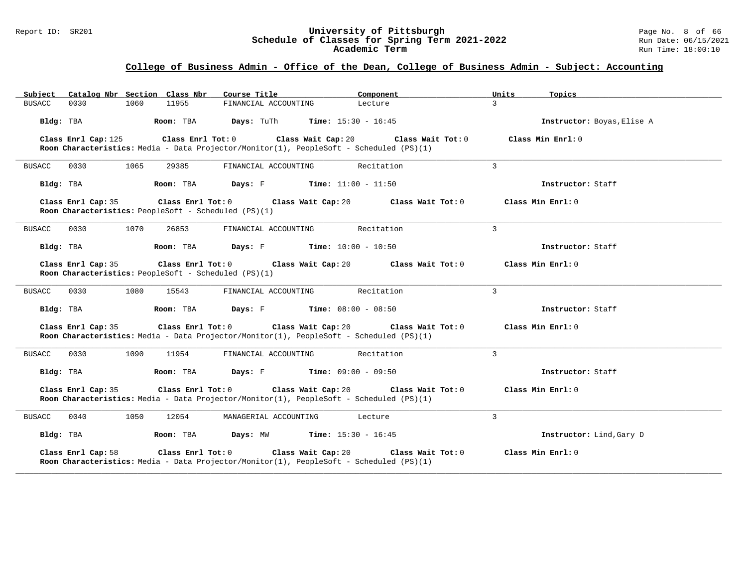#### Report ID: SR201 **University of Pittsburgh** Page No. 8 of 66 **Schedule of Classes for Spring Term 2021-2022** Run Date: 06/15/2021 **Academic Term** Run Time: 18:00:10

| Subject Catalog Nbr Section Class Nbr                                                                                               | Course Title                                  | Component                                              | Units<br>Topics            |
|-------------------------------------------------------------------------------------------------------------------------------------|-----------------------------------------------|--------------------------------------------------------|----------------------------|
| <b>BUSACC</b><br>1060<br>11955<br>0030                                                                                              | FINANCIAL ACCOUNTING                          | Lecture                                                | $\mathcal{L}$              |
| Bldg: TBA<br>Room: TBA                                                                                                              | Days: TuTh                                    | <b>Time:</b> $15:30 - 16:45$                           | Instructor: Boyas, Elise A |
| Class Enrl Tot: 0<br>Class Enrl Cap: 125<br>Room Characteristics: Media - Data Projector/Monitor(1), PeopleSoft - Scheduled (PS)(1) | Class Wait Cap: 20                            | Class Wait Tot: 0                                      | Class Min $Enrl: 0$        |
| 0030<br>1065<br>29385<br><b>BUSACC</b>                                                                                              | FINANCIAL ACCOUNTING                          | Recitation                                             | $\overline{3}$             |
| Room: TBA<br>Bldg: TBA                                                                                                              | <b>Days:</b> $F$ <b>Time:</b> $11:00 - 11:50$ |                                                        | Instructor: Staff          |
| Class Enrl Cap: 35<br>Room Characteristics: PeopleSoft - Scheduled (PS)(1)                                                          | Class Enrl Tot: 0 Class Wait Cap: 20          | Class Wait Tot: 0                                      | Class Min Enrl: 0          |
| <b>BUSACC</b><br>0030<br>1070<br>26853                                                                                              | FINANCIAL ACCOUNTING                          | Recitation                                             | $\mathbf{3}$               |
| Bldg: TBA<br>Room: TBA                                                                                                              | <b>Days:</b> $F$ <b>Time:</b> $10:00 - 10:50$ |                                                        | Instructor: Staff          |
| Class Enrl Cap: 35<br>Room Characteristics: PeopleSoft - Scheduled (PS)(1)                                                          | Class Enrl Tot: 0 Class Wait Cap: 20          | Class Wait Tot: 0                                      | Class Min Enrl: 0          |
| 0030<br>1080<br><b>BUSACC</b><br>15543                                                                                              | FINANCIAL ACCOUNTING                          | Recitation                                             | 3                          |
| Bldg: TBA<br>Room: TBA                                                                                                              | <b>Days:</b> F <b>Time:</b> $08:00 - 08:50$   |                                                        | Instructor: Staff          |
| Class Enrl Cap: 35<br>Room Characteristics: Media - Data Projector/Monitor(1), PeopleSoft - Scheduled (PS)(1)                       |                                               | Class Enrl Tot: 0 Class Wait Cap: 20 Class Wait Tot: 0 | Class Min Enrl: 0          |
| 0030<br>1090<br><b>BUSACC</b><br>11954                                                                                              | FINANCIAL ACCOUNTING                          | Recitation                                             | 3                          |
| Bldg: TBA<br>Room: TBA                                                                                                              | <b>Days:</b> F <b>Time:</b> $09:00 - 09:50$   |                                                        | Instructor: Staff          |
| Class Enrl Cap: 35<br>Class Enrl Tot: 0<br>Room Characteristics: Media - Data Projector/Monitor(1), PeopleSoft - Scheduled (PS)(1)  | Class Wait Cap: 20                            | Class Wait Tot: 0                                      | Class Min Enrl: 0          |
| <b>BUSACC</b><br>0040<br>1050<br>12054                                                                                              | MANAGERIAL ACCOUNTING                         | Lecture                                                | 3                          |
| Bldg: TBA<br>Room: TBA                                                                                                              | <b>Days:</b> MW <b>Time:</b> $15:30 - 16:45$  |                                                        | Instructor: Lind, Gary D   |
| Class Enrl Cap: 58<br>Class Enrl Tot: 0<br>Room Characteristics: Media - Data Projector/Monitor(1), PeopleSoft - Scheduled (PS)(1)  | Class Wait Cap: 20                            | Class Wait Tot: 0                                      | Class Min Enrl: 0          |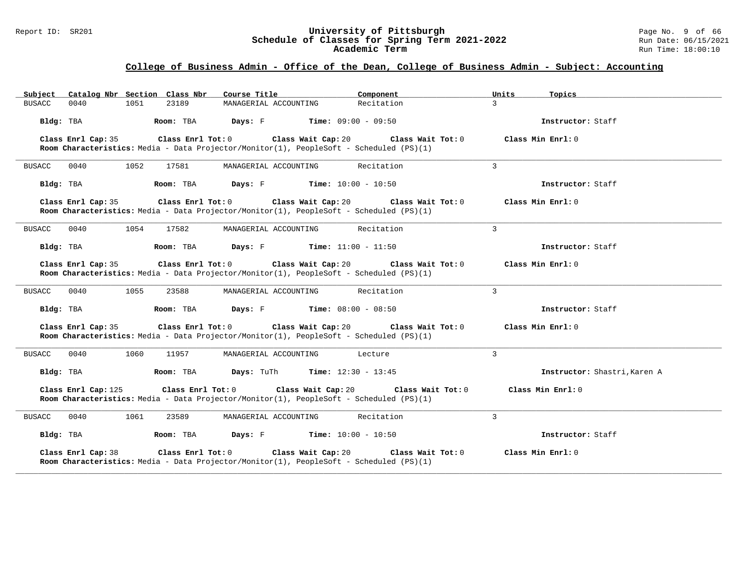#### Report ID: SR201 **University of Pittsburgh** Page No. 9 of 66 **Schedule of Classes for Spring Term 2021-2022** Run Date: 06/15/2021 **Academic Term** Run Time: 18:00:10

| Catalog Nbr Section Class Nbr<br>Subject                                                                                           | Course Title                                           | Component                    | Units<br>Topics              |
|------------------------------------------------------------------------------------------------------------------------------------|--------------------------------------------------------|------------------------------|------------------------------|
| 1051<br>23189<br>BUSACC<br>0040                                                                                                    | MANAGERIAL ACCOUNTING                                  | Recitation                   | $\mathcal{L}$                |
| Room: TBA<br>Bldg: TBA                                                                                                             | <b>Days:</b> $F$ <b>Time:</b> $09:00 - 09:50$          |                              | Instructor: Staff            |
| Class Enrl Cap: 35<br>Room Characteristics: Media - Data Projector/Monitor(1), PeopleSoft - Scheduled (PS)(1)                      | Class Enrl Tot: 0 Class Wait Cap: 20 Class Wait Tot: 0 |                              | Class Min Enrl: 0            |
| <b>BUSACC</b><br>0040<br>1052<br>17581                                                                                             | MANAGERIAL ACCOUNTING                                  | Recitation                   | $\mathbf{3}$                 |
| Bldg: TBA<br>Room: TBA                                                                                                             | <b>Days:</b> F Time: $10:00 - 10:50$                   |                              | Instructor: Staff            |
| Class Enrl Cap: 35<br>Room Characteristics: Media - Data Projector/Monitor(1), PeopleSoft - Scheduled (PS)(1)                      | Class Enrl Tot: 0 Class Wait Cap: 20 Class Wait Tot: 0 |                              | Class Min Enrl: 0            |
| 0040<br>1054<br><b>BUSACC</b><br>17582                                                                                             | MANAGERIAL ACCOUNTING                                  | Recitation                   | $\mathcal{L}$                |
| Room: TBA<br>Bldg: TBA                                                                                                             | Days: F                                                | <b>Time:</b> $11:00 - 11:50$ | Instructor: Staff            |
| Class Enrl Cap: 35<br>Room Characteristics: Media - Data Projector/Monitor(1), PeopleSoft - Scheduled (PS)(1)                      | Class Enrl Tot: 0 Class Wait Cap: 20 Class Wait Tot: 0 |                              | Class Min $Enrl: 0$          |
| 0040<br>1055<br>BUSACC<br>23588                                                                                                    | MANAGERIAL ACCOUNTING                                  | Recitation                   | 3                            |
| Room: TBA<br>Bldg: TBA                                                                                                             | Days: F                                                | <b>Time:</b> $08:00 - 08:50$ | Instructor: Staff            |
| Class Enrl Cap: 35<br>Room Characteristics: Media - Data Projector/Monitor(1), PeopleSoft - Scheduled (PS)(1)                      | Class Enrl Tot: 0<br>Class Wait Cap: 20                | Class Wait Tot: 0            | Class Min Enrl: 0            |
| BUSACC<br>0040<br>1060<br>11957                                                                                                    | MANAGERIAL ACCOUNTING                                  | Lecture                      | 3                            |
| Bldg: TBA<br>Room: TBA                                                                                                             | <b>Days:</b> TuTh <b>Time:</b> $12:30 - 13:45$         |                              | Instructor: Shastri, Karen A |
| Class Enrl Cap: 125<br>Room Characteristics: Media - Data Projector/Monitor(1), PeopleSoft - Scheduled (PS)(1)                     | Class Wait Cap: 20<br>Class Enrl Tot: 0                | Class Wait Tot: 0            | Class Min Enrl: 0            |
| 0040<br>1061<br>23589<br>BUSACC                                                                                                    | MANAGERIAL ACCOUNTING                                  | Recitation                   | 3                            |
| Room: TBA<br>Bldg: TBA                                                                                                             | <b>Days:</b> F Time: $10:00 - 10:50$                   |                              | Instructor: Staff            |
| Class Enrl Cap: 38<br>Class Enrl Tot: 0<br>Room Characteristics: Media - Data Projector/Monitor(1), PeopleSoft - Scheduled (PS)(1) | Class Wait Cap: 20                                     | Class Wait Tot: 0            | Class Min Enrl: 0            |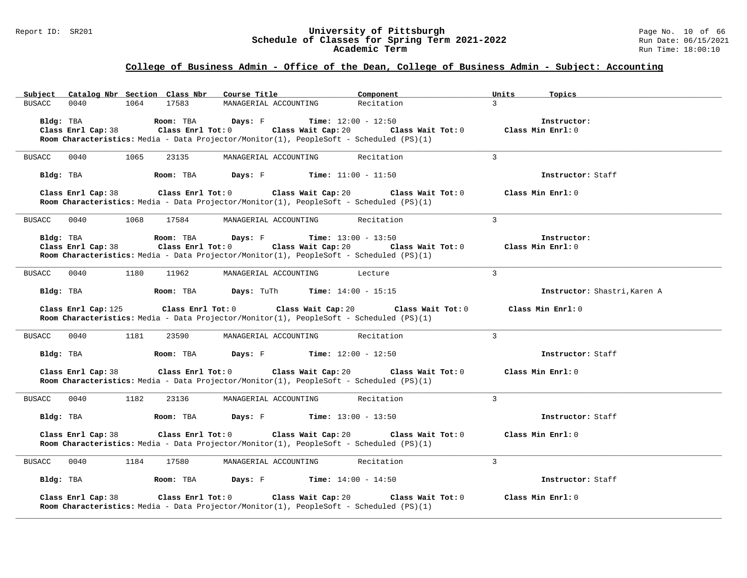#### Report ID: SR201 **University of Pittsburgh** Page No. 10 of 66 **Schedule of Classes for Spring Term 2021-2022** Run Date: 06/15/2021 **Academic Term** Run Time: 18:00:10

# **College of Business Admin - Office of the Dean, College of Business Admin - Subject: Accounting**

|               |                     |      |           | Subject Catalog Nbr Section Class Nbr Course Title                               |                                  | Component                                                                                                                                                                              | Units         | Topics                           |
|---------------|---------------------|------|-----------|----------------------------------------------------------------------------------|----------------------------------|----------------------------------------------------------------------------------------------------------------------------------------------------------------------------------------|---------------|----------------------------------|
| <b>BUSACC</b> | 0040                | 1064 | 17583     |                                                                                  | MANAGERIAL ACCOUNTING            | Recitation                                                                                                                                                                             | $\mathcal{R}$ |                                  |
|               |                     |      |           |                                                                                  |                                  | Room Characteristics: Media - Data Projector/Monitor(1), PeopleSoft - Scheduled (PS)(1)                                                                                                |               | Instructor:<br>Class Min Enrl: 0 |
| <b>BUSACC</b> | 0040                | 1065 | 23135     | MANAGERIAL ACCOUNTING                                                            |                                  | Recitation                                                                                                                                                                             | 3             |                                  |
|               | Bldg: TBA           |      | Room: TBA | <b>Days:</b> $F$ <b>Time:</b> $11:00 - 11:50$                                    |                                  |                                                                                                                                                                                        |               | Instructor: Staff                |
|               | Class Enrl Cap: 38  |      |           |                                                                                  |                                  | Class Enrl Tot: $0$ Class Wait Cap: $20$ Class Wait Tot: $0$<br>Room Characteristics: Media - Data Projector/Monitor(1), PeopleSoft - Scheduled (PS)(1)                                |               | Class Min Enrl: 0                |
| BUSACC 0040   |                     | 1068 | 17584     |                                                                                  | MANAGERIAL ACCOUNTING Recitation |                                                                                                                                                                                        | $\mathcal{R}$ |                                  |
|               | Bldg: TBA           |      |           | <b>Room:</b> TBA <b>Days:</b> F <b>Time:</b> 13:00 - 13:50                       |                                  | Class Enrl Cap: 38 Class Enrl Tot: 0 Class Wait Cap: 20 Class Wait Tot: 0 Class Min Enrl: 0<br>Room Characteristics: Media - Data Projector/Monitor(1), PeopleSoft - Scheduled (PS)(1) |               | Instructor:                      |
| BUSACC 0040   |                     | 1180 | 11962     | MANAGERIAL ACCOUNTING                                                            |                                  | Lecture                                                                                                                                                                                | $\mathcal{L}$ |                                  |
|               |                     |      |           | <b>Bldg:</b> TBA <b>Room:</b> TBA <b>Days:</b> TuTh <b>Time:</b> $14:00 - 15:15$ |                                  |                                                                                                                                                                                        |               | Instructor: Shastri, Karen A     |
|               | Class Enrl Cap: 125 |      |           | Class Enrl Tot: 0 Class Wait Cap: 20                                             |                                  | Class Wait Tot: 0<br>Room Characteristics: Media - Data Projector/Monitor(1), PeopleSoft - Scheduled (PS)(1)                                                                           |               | Class Min Enrl: 0                |
| BUSACC 0040   |                     | 1181 | 23590     |                                                                                  | MANAGERIAL ACCOUNTING            | Recitation                                                                                                                                                                             | $\mathcal{L}$ |                                  |
|               | Bldg: TBA           |      |           | <b>Room:</b> TBA <b>Days:</b> F <b>Time:</b> $12:00 - 12:50$                     |                                  |                                                                                                                                                                                        |               | Instructor: Staff                |
|               | Class Enrl Cap: 38  |      |           |                                                                                  |                                  | Class Enrl Tot: $0$ Class Wait Cap: $20$ Class Wait Tot: $0$<br>Room Characteristics: Media - Data Projector/Monitor(1), PeopleSoft - Scheduled (PS)(1)                                |               | Class Min Enrl: 0                |
| BUSACC 0040   |                     | 1182 | 23136     | MANAGERIAL ACCOUNTING                                                            |                                  | Recitation                                                                                                                                                                             | $\mathcal{L}$ |                                  |
|               |                     |      |           | <b>Bldg:</b> TBA <b>Room:</b> TBA <b>Days:</b> F <b>Time:</b> $13:00 - 13:50$    |                                  |                                                                                                                                                                                        |               | Instructor: Staff                |
|               | Class Enrl Cap: 38  |      |           | Class Enrl Tot: 0 Class Wait Cap: 20                                             |                                  | Class Wait Tot: 0<br>Room Characteristics: Media - Data Projector/Monitor(1), PeopleSoft - Scheduled (PS)(1)                                                                           |               | Class Min Enrl: 0                |
| BUSACC        | 0040                | 1184 | 17580     |                                                                                  | MANAGERIAL ACCOUNTING Recitation |                                                                                                                                                                                        | $\mathbf{3}$  |                                  |
|               | Bldg: TBA           |      |           | <b>Room:</b> TBA <b>Days:</b> F <b>Time:</b> 14:00 - 14:50                       |                                  |                                                                                                                                                                                        |               | Instructor: Staff                |
|               | Class Enrl Cap: 38  |      |           | Class Enrl Tot: 0 Class Wait Cap: 20                                             |                                  | Class Wait Tot: 0<br>Room Characteristics: Media - Data Projector/Monitor(1), PeopleSoft - Scheduled (PS)(1)                                                                           |               | Class Min Enrl: 0                |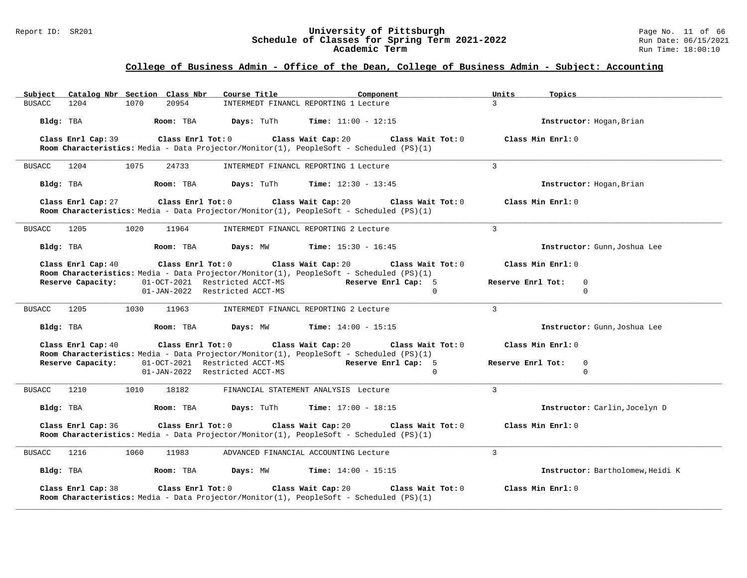#### Report ID: SR201 **University of Pittsburgh** Page No. 11 of 66 **Schedule of Classes for Spring Term 2021-2022** Run Date: 06/15/2021 **Academic Term** Run Time: 18:00:10

| Subject       | Catalog Nbr Section Class Nbr |      |                   | Course Title                         | Component                                                                                                                          |                   | Units             | Topics                           |
|---------------|-------------------------------|------|-------------------|--------------------------------------|------------------------------------------------------------------------------------------------------------------------------------|-------------------|-------------------|----------------------------------|
| <b>BUSACC</b> | 1204                          | 1070 | 20954             |                                      | INTERMEDT FINANCL REPORTING 1 Lecture                                                                                              |                   | $\mathcal{L}$     |                                  |
| Bldg: TBA     |                               |      | Room: TBA         | <b>Days:</b> TuTh                    | <b>Time:</b> $11:00 - 12:15$                                                                                                       |                   |                   | Instructor: Hogan, Brian         |
|               | Class Enrl Cap: 39            |      | Class Enrl Tot: 0 |                                      | Class Wait Cap: 20<br>Class Wait Tot: 0                                                                                            |                   | Class Min Enrl: 0 |                                  |
|               |                               |      |                   |                                      | Room Characteristics: Media - Data Projector/Monitor(1), PeopleSoft - Scheduled (PS)(1)                                            |                   |                   |                                  |
| BUSACC        | 1204                          | 1075 | 24733             |                                      | INTERMEDT FINANCL REPORTING 1 Lecture                                                                                              |                   | $\mathcal{L}$     |                                  |
| Bldg: TBA     |                               |      | Room: TBA         | Days: TuTh                           | <b>Time:</b> $12:30 - 13:45$                                                                                                       |                   |                   | Instructor: Hogan, Brian         |
|               | Class Enrl Cap: 27            |      |                   | $Class$ $Enr1$ $Tot: 0$              | Class Wait Cap: 20<br>Room Characteristics: Media - Data Projector/Monitor(1), PeopleSoft - Scheduled (PS)(1)                      | Class Wait Tot: 0 | Class Min Enrl: 0 |                                  |
| BUSACC 1205   |                               | 1020 | 11964             |                                      | INTERMEDT FINANCL REPORTING 2 Lecture                                                                                              |                   | $\overline{3}$    |                                  |
| Bldg: TBA     |                               |      | Room: TBA         | Days: MW                             | <b>Time:</b> $15:30 - 16:45$                                                                                                       |                   |                   | Instructor: Gunn, Joshua Lee     |
|               | Class Enrl Cap: 40            |      | Class Enrl Tot: 0 |                                      | Class Wait Cap: 20<br>Class Wait Tot: 0<br>Room Characteristics: Media - Data Projector/Monitor(1), PeopleSoft - Scheduled (PS)(1) |                   | Class Min Enrl: 0 |                                  |
|               | Reserve Capacity:             |      |                   | 01-OCT-2021 Restricted ACCT-MS       | Reserve Enrl Cap: 5                                                                                                                |                   | Reserve Enrl Tot: | $\mathbf 0$                      |
|               |                               |      |                   | 01-JAN-2022 Restricted ACCT-MS       |                                                                                                                                    | $\Omega$          |                   | $\mathbf 0$                      |
| BUSACC        | 1205                          | 1030 | 11963             |                                      | INTERMEDT FINANCL REPORTING 2 Lecture                                                                                              |                   | $\mathcal{L}$     |                                  |
| Bldg: TBA     |                               |      | Room: TBA         | Days: MW                             | <b>Time:</b> $14:00 - 15:15$                                                                                                       |                   |                   | Instructor: Gunn, Joshua Lee     |
|               | Class Enrl Cap: 40            |      |                   | Class Enrl Tot: 0 Class Wait Cap: 20 | Room Characteristics: Media - Data Projector/Monitor(1), PeopleSoft - Scheduled (PS)(1)                                            | Class Wait Tot: 0 | Class Min Enrl: 0 |                                  |
|               | Reserve Capacity:             |      |                   | 01-OCT-2021 Restricted ACCT-MS       | Reserve Enrl Cap: 5                                                                                                                |                   | Reserve Enrl Tot: | $\mathbf 0$                      |
|               |                               |      |                   | 01-JAN-2022 Restricted ACCT-MS       |                                                                                                                                    | $\Omega$          |                   | $\mathbf 0$                      |
| BUSACC        | 1210                          | 1010 | 18182             |                                      | FINANCIAL STATEMENT ANALYSIS Lecture                                                                                               |                   | $\mathbf{3}$      |                                  |
| Bldg: TBA     |                               |      | Room: TBA         | <b>Days:</b> TuTh                    | <b>Time:</b> $17:00 - 18:15$                                                                                                       |                   |                   | Instructor: Carlin, Jocelyn D    |
|               | Class Enrl Cap: 36            |      |                   | Class Enrl Tot: $0$                  | Class Wait Cap: 20<br>Room Characteristics: Media - Data Projector/Monitor(1), PeopleSoft - Scheduled (PS)(1)                      | Class Wait Tot: 0 | Class Min Enrl: 0 |                                  |
| BUSACC        | 1216                          | 1060 | 11983             |                                      | ADVANCED FINANCIAL ACCOUNTING Lecture                                                                                              |                   | $\overline{3}$    |                                  |
| Bldg: TBA     |                               |      | Room: TBA         | Days: MW                             | <b>Time:</b> $14:00 - 15:15$                                                                                                       |                   |                   | Instructor: Bartholomew, Heidi K |
|               | Class Enrl Cap: 38            |      | Class Enrl Tot: 0 |                                      | Class Wait Cap: 20<br>Room Characteristics: Media - Data Projector/Monitor(1), PeopleSoft - Scheduled (PS)(1)                      | Class Wait Tot: 0 | Class Min Enrl: 0 |                                  |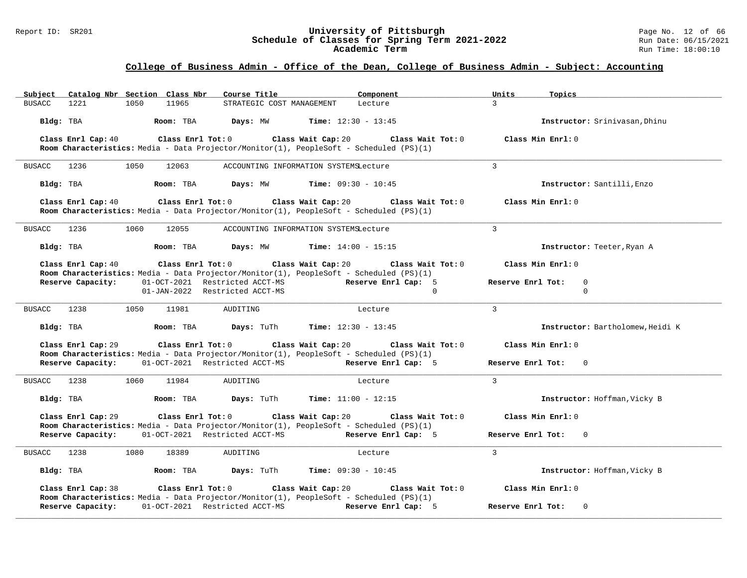#### Report ID: SR201 **University of Pittsburgh** Page No. 12 of 66 **Schedule of Classes for Spring Term 2021-2022** Run Date: 06/15/2021 **Academic Term** Run Time: 18:00:10

| Catalog Nbr Section Class Nbr<br>Subject                                                                      | Course Title <b>Source Search</b>                               | Component                    | Units<br>Topics                   |
|---------------------------------------------------------------------------------------------------------------|-----------------------------------------------------------------|------------------------------|-----------------------------------|
| 1221<br>11965<br>BUSACC<br>1050                                                                               | STRATEGIC COST MANAGEMENT                                       | Lecture                      | $\mathcal{R}$                     |
| Bldg: TBA<br>Room: TBA                                                                                        | Days: MW                                                        | <b>Time:</b> $12:30 - 13:45$ | Instructor: Srinivasan, Dhinu     |
| Class Enrl Cap: 40                                                                                            | Class Enrl Tot: 0 Class Wait Cap: 20                            | Class Wait Tot: 0            | Class Min Enrl: 0                 |
| Room Characteristics: Media - Data Projector/Monitor(1), PeopleSoft - Scheduled (PS)(1)                       |                                                                 |                              |                                   |
| BUSACC 1236<br>1050<br>12063                                                                                  | ACCOUNTING INFORMATION SYSTEMSLecture                           |                              | $\mathcal{L}$                     |
| Bldg: TBA<br>Room: TBA                                                                                        | Days: MW                                                        | <b>Time:</b> $09:30 - 10:45$ | Instructor: Santilli, Enzo        |
| Class Enrl Cap: 40<br>Room Characteristics: Media - Data Projector/Monitor(1), PeopleSoft - Scheduled (PS)(1) | Class Enrl Tot: 0 Class Wait Cap: 20                            | Class Wait Tot: 0            | Class Min Enrl: 0                 |
| 1236<br>1060<br>12055<br>BUSACC                                                                               | ACCOUNTING INFORMATION SYSTEMSLecture                           |                              | $\overline{3}$                    |
| Bldg: TBA<br>Room: TBA                                                                                        | Days: MW                                                        | <b>Time:</b> $14:00 - 15:15$ | Instructor: Teeter, Ryan A        |
| Class Enrl Cap: 40                                                                                            | Class Enrl Tot: 0 Class Wait Cap: 20                            | Class Wait Tot: 0            | Class Min Enrl: 0                 |
| Room Characteristics: Media - Data Projector/Monitor(1), PeopleSoft - Scheduled (PS)(1)<br>Reserve Capacity:  | 01-OCT-2021 Restricted ACCT-MS                                  | Reserve Enrl Cap: 5          | Reserve Enrl Tot:<br>$\mathbf 0$  |
|                                                                                                               | 01-JAN-2022 Restricted ACCT-MS                                  | $\Omega$                     | $\Omega$                          |
| BUSACC<br>1238<br>1050<br>11981                                                                               | AUDITING                                                        | Lecture                      | $\mathbf{3}$                      |
| Bldg: TBA<br>Room: TBA                                                                                        | Days: TuTh                                                      | <b>Time:</b> $12:30 - 13:45$ | Instructor: Bartholomew, Heidi K  |
| Class Enrl Cap: 29<br>Room Characteristics: Media - Data Projector/Monitor(1), PeopleSoft - Scheduled (PS)(1) | Class Enrl Tot: 0 Class Wait Cap: 20                            | Class Wait Tot: 0            | Class Min Enrl: 0                 |
| Reserve Capacity: 01-OCT-2021 Restricted ACCT-MS                                                              |                                                                 | Reserve Enrl Cap: 5          | Reserve Enrl Tot:<br>$\Omega$     |
| BUSACC 1238<br>1060<br>11984                                                                                  | AUDITING                                                        | Lecture                      | $\mathcal{L}$                     |
| Bldg: TBA                                                                                                     | <b>Room:</b> TBA <b>Days:</b> TuTh <b>Time:</b> $11:00 - 12:15$ |                              | Instructor: Hoffman, Vicky B      |
| Class Enrl Cap: 29<br>$Class$ $Enrl$ $Tot: 0$                                                                 | Class Wait Cap: 20                                              | Class Wait Tot: 0            | Class Min Enrl: 0                 |
| Room Characteristics: Media - Data Projector/Monitor(1), PeopleSoft - Scheduled (PS)(1)<br>Reserve Capacity:  | 01-OCT-2021 Restricted ACCT-MS Reserve Enrl Cap: 5              |                              | Reserve Enrl Tot:<br>$\mathbf{0}$ |
|                                                                                                               |                                                                 |                              |                                   |
| BUSACC 1238<br>1080<br>18389                                                                                  | AUDITING                                                        | Lecture                      | $\mathcal{L}$                     |
| Room: TBA<br>Bldg: TBA                                                                                        | <b>Days:</b> TuTh <b>Time:</b> $09:30 - 10:45$                  |                              | Instructor: Hoffman, Vicky B      |
| Class Enrl Cap: 38<br>Room Characteristics: Media - Data Projector/Monitor(1), PeopleSoft - Scheduled (PS)(1) | Class Enrl Tot: $0$ Class Wait Cap: $20$ Class Wait Tot: $0$    |                              | Class Min Enrl: 0                 |
| Reserve Capacity:                                                                                             | 01-OCT-2021 Restricted ACCT-MS                                  | Reserve Enrl Cap: 5          | Reserve Enrl Tot:<br>$\mathbf 0$  |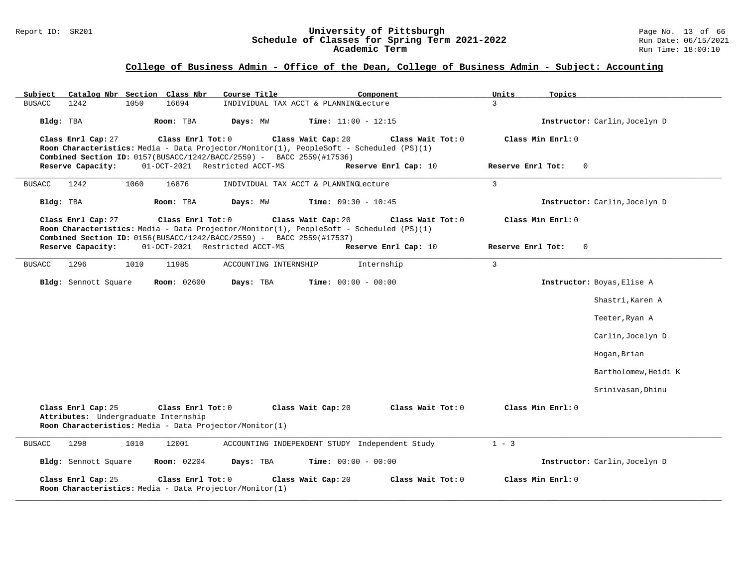#### Report ID: SR201 **University of Pittsburgh** Page No. 13 of 66 **Schedule of Classes for Spring Term 2021-2022** Run Date: 06/15/2021 **Academic Term** Run Time: 18:00:10

| Catalog Nbr Section Class Nbr<br>Subject                                                                                                   | Course Title<br>Component                                                                                                          | Units<br>Topics               |
|--------------------------------------------------------------------------------------------------------------------------------------------|------------------------------------------------------------------------------------------------------------------------------------|-------------------------------|
| 1050<br>16694<br><b>BUSACC</b><br>1242                                                                                                     | INDIVIDUAL TAX ACCT & PLANNINGLecture                                                                                              | $\mathcal{L}$                 |
| Bldg: TBA<br>Room: TBA                                                                                                                     | Days: MW<br>Time: $11:00 - 12:15$                                                                                                  | Instructor: Carlin, Jocelyn D |
| Class Enrl Cap: 27<br>Class Enrl Tot: 0                                                                                                    | Class Wait Cap: 20<br>Class Wait Tot: 0<br>Room Characteristics: Media - Data Projector/Monitor(1), PeopleSoft - Scheduled (PS)(1) | Class Min Enrl: 0             |
| Combined Section ID: 0157(BUSACC/1242/BACC/2559) - BACC 2559(#17536)                                                                       |                                                                                                                                    |                               |
| 01-OCT-2021 Restricted ACCT-MS<br>Reserve Capacity:                                                                                        | Reserve Enrl Cap: 10                                                                                                               | Reserve Enrl Tot:<br>$\Omega$ |
|                                                                                                                                            |                                                                                                                                    |                               |
| 1242<br>1060<br>16876<br><b>BUSACC</b>                                                                                                     | INDIVIDUAL TAX ACCT & PLANNINGLecture                                                                                              | $\overline{3}$                |
| Bldg: TBA<br>Room: TBA                                                                                                                     | Days: MW<br><b>Time:</b> $09:30 - 10:45$                                                                                           | Instructor: Carlin, Jocelyn D |
| Class Enrl Cap: 27<br>Class Enrl Tot: 0<br>Combined Section ID: 0156(BUSACC/1242/BACC/2559) - BACC 2559(#17537)                            | Class Wait Cap: 20<br>Class Wait Tot: 0<br>Room Characteristics: Media - Data Projector/Monitor(1), PeopleSoft - Scheduled (PS)(1) | Class Min Enrl: 0             |
| 01-OCT-2021 Restricted ACCT-MS<br>Reserve Capacity:                                                                                        | Reserve Enrl Cap: 10                                                                                                               | Reserve Enrl Tot:<br>$\Omega$ |
| 1296<br>1010<br>11985<br><b>BUSACC</b>                                                                                                     | Internship<br>ACCOUNTING INTERNSHIP                                                                                                | $\overline{3}$                |
| Bldg: Sennott Square<br><b>Room: 02600</b>                                                                                                 | Days: TBA<br>Time: $00:00 - 00:00$                                                                                                 | Instructor: Boyas, Elise A    |
|                                                                                                                                            |                                                                                                                                    | Shastri, Karen A              |
|                                                                                                                                            |                                                                                                                                    | Teeter, Ryan A                |
|                                                                                                                                            |                                                                                                                                    | Carlin, Jocelyn D             |
|                                                                                                                                            |                                                                                                                                    | Hogan, Brian                  |
|                                                                                                                                            |                                                                                                                                    | Bartholomew,Heidi K           |
|                                                                                                                                            |                                                                                                                                    | Srinivasan, Dhinu             |
| Class Enrl Cap: 25<br>Class Enrl Tot: 0<br>Attributes: Undergraduate Internship<br>Room Characteristics: Media - Data Projector/Monitor(1) | Class Wait Cap: 20<br>Class Wait Tot: 0                                                                                            | Class Min Enrl: 0             |
| 1298<br>1010<br>12001<br><b>BUSACC</b>                                                                                                     | ACCOUNTING INDEPENDENT STUDY Independent Study                                                                                     | $1 - 3$                       |
| Bldg: Sennott Square<br><b>Room:</b> 02204                                                                                                 | Days: TBA<br><b>Time:</b> $00:00 - 00:00$                                                                                          | Instructor: Carlin, Jocelyn D |
| Class Enrl Cap: 25<br>Class Enrl Tot: 0<br>Room Characteristics: Media - Data Projector/Monitor(1)                                         | Class Wait Cap: 20<br>Class Wait Tot: 0                                                                                            | Class Min Enrl: 0             |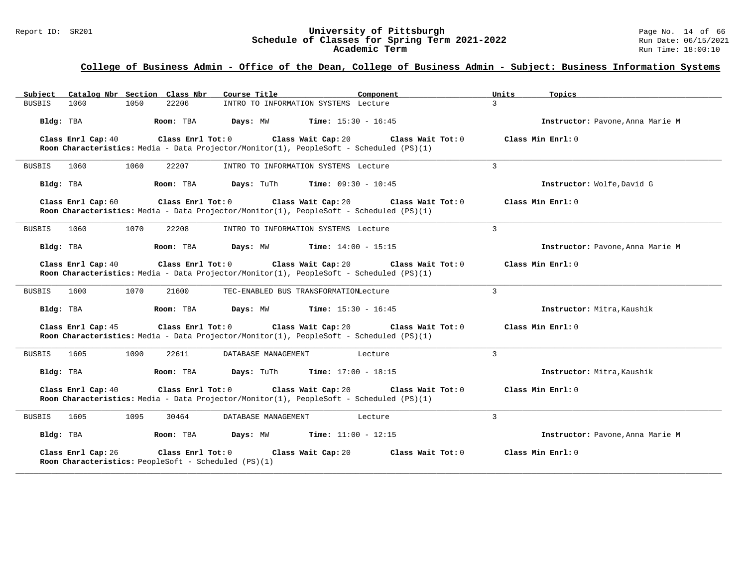# Report ID: SR201 **University of Pittsburgh University of Pittsburgh** Page No. 14 of 66<br>**Schedule of Classes for Spring Term 2021-2022** Run Date: 06/15/2021 Schedule of Classes for Spring Term 2021-2022<br>**Academic Term**

### **College of Business Admin - Office of the Dean, College of Business Admin - Subject: Business Information Systems**

| Subject Catalog Nbr Section Class Nbr                                                           | Course Title<br>Component                                                                                                          | Units<br>Topics                  |
|-------------------------------------------------------------------------------------------------|------------------------------------------------------------------------------------------------------------------------------------|----------------------------------|
| 1050<br>22206<br><b>BUSBIS</b><br>1060                                                          | INTRO TO INFORMATION SYSTEMS Lecture                                                                                               | $\mathbf{R}$                     |
| Bldg: TBA<br>Room: TBA                                                                          | Days: MW<br><b>Time:</b> $15:30 - 16:45$                                                                                           | Instructor: Pavone, Anna Marie M |
| Class Enrl Tot: 0<br>Class Enrl Cap: 40                                                         | Class Wait Cap: 20<br>Class Wait Tot: 0<br>Room Characteristics: Media - Data Projector/Monitor(1), PeopleSoft - Scheduled (PS)(1) | Class Min Enrl: 0                |
| 1060<br>1060<br>22207<br>BUSBIS                                                                 | INTRO TO INFORMATION SYSTEMS Lecture                                                                                               | 3                                |
| Bldg: TBA<br>Room: TBA                                                                          | Days: TuTh<br><b>Time:</b> $09:30 - 10:45$                                                                                         | Instructor: Wolfe, David G       |
| Class Enrl Cap: 60<br>Class Enrl Tot: 0                                                         | Class Wait Cap: 20<br>Class Wait Tot: 0<br>Room Characteristics: Media - Data Projector/Monitor(1), PeopleSoft - Scheduled (PS)(1) | Class Min Enrl: 0                |
| 1070<br><b>BUSBIS</b><br>1060<br>22208                                                          | INTRO TO INFORMATION SYSTEMS Lecture                                                                                               | 3                                |
| Bldg: TBA<br>Room: TBA                                                                          | Days: MW<br><b>Time:</b> $14:00 - 15:15$                                                                                           | Instructor: Pavone, Anna Marie M |
| Class Enrl Cap: 40<br>Class Enrl Tot: 0                                                         | Class Wait Cap: 20<br>Class Wait Tot: 0<br>Room Characteristics: Media - Data Projector/Monitor(1), PeopleSoft - Scheduled (PS)(1) | Class Min Enrl: 0                |
| 1070<br>1600<br>21600<br>BUSBIS                                                                 | TEC-ENABLED BUS TRANSFORMATIONLecture                                                                                              | 3                                |
| Bldg: TBA<br>Room: TBA                                                                          | Days: MW<br><b>Time:</b> $15:30 - 16:45$                                                                                           | Instructor: Mitra, Kaushik       |
| Class Enrl Cap: 45<br>Class Enrl Tot: 0                                                         | Class Wait Cap: 20<br>Class Wait Tot: 0<br>Room Characteristics: Media - Data Projector/Monitor(1), PeopleSoft - Scheduled (PS)(1) | Class Min Enrl: 0                |
| 1090<br><b>BUSBIS</b><br>1605<br>22611                                                          | DATABASE MANAGEMENT<br>Lecture                                                                                                     | 3                                |
| Bldg: TBA<br>Room: TBA                                                                          | <b>Time:</b> $17:00 - 18:15$<br><b>Days:</b> TuTh                                                                                  | Instructor: Mitra, Kaushik       |
| Class Enrl Cap: 40<br>Class Enrl Tot: 0                                                         | Class Wait Cap: 20<br>Class Wait Tot: 0<br>Room Characteristics: Media - Data Projector/Monitor(1), PeopleSoft - Scheduled (PS)(1) | Class Min Enrl: 0                |
| 1605<br>1095<br>30464<br>BUSBIS                                                                 | DATABASE MANAGEMENT<br>Lecture                                                                                                     | $\overline{3}$                   |
| Bldg: TBA<br>Room: TBA                                                                          | Days: MW<br><b>Time:</b> $11:00 - 12:15$                                                                                           | Instructor: Pavone, Anna Marie M |
| Class Enrl Cap: 26<br>Class Enrl Tot: 0<br>Room Characteristics: PeopleSoft - Scheduled (PS)(1) | Class Wait Cap: 20<br>Class Wait Tot: 0                                                                                            | Class Min Enrl: 0                |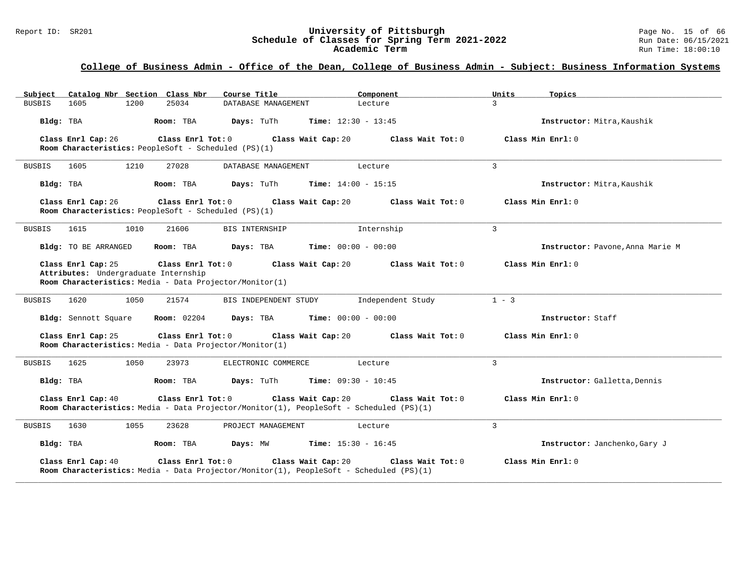# Report ID: SR201 **University of Pittsburgh University of Pittsburgh** Page No. 15 of 66<br>**Schedule of Classes for Spring Term 2021-2022** Run Date: 06/15/2021 Schedule of Classes for Spring Term 2021-2022<br>Academic Term

### **College of Business Admin - Office of the Dean, College of Business Admin - Subject: Business Information Systems**

| Catalog Nbr Section Class Nbr<br>Subject                                                                                                   | Course Title          | Component                    | Units<br>Topics   |                                  |
|--------------------------------------------------------------------------------------------------------------------------------------------|-----------------------|------------------------------|-------------------|----------------------------------|
| 25034<br>1605<br>1200<br><b>BUSBIS</b>                                                                                                     | DATABASE MANAGEMENT   | Lecture                      | $\overline{3}$    |                                  |
| Bldg: TBA<br>Room: TBA                                                                                                                     | Days: TuTh            | <b>Time:</b> $12:30 - 13:45$ |                   | Instructor: Mitra, Kaushik       |
| Class Enrl Tot: 0<br>Class Enrl Cap: 26<br>Room Characteristics: PeopleSoft - Scheduled (PS)(1)                                            | Class Wait Cap: 20    | Class Wait Tot: 0            | Class Min Enrl: 0 |                                  |
| 1605<br>1210<br>27028<br><b>BUSBIS</b>                                                                                                     | DATABASE MANAGEMENT   | Lecture                      | 3                 |                                  |
| Bldg: TBA<br>Room: TBA                                                                                                                     | Days: TuTh            | <b>Time:</b> $14:00 - 15:15$ |                   | Instructor: Mitra, Kaushik       |
| Class Enrl Tot: 0<br>Class Enrl Cap: 26<br>Room Characteristics: PeopleSoft - Scheduled (PS)(1)                                            | Class Wait Cap: 20    | Class Wait Tot: 0            | Class Min Enrl: 0 |                                  |
| <b>BUSBIS</b><br>1615<br>1010<br>21606                                                                                                     | <b>BIS INTERNSHIP</b> | Internship                   | $\overline{3}$    |                                  |
| Bldg: TO BE ARRANGED<br>Room: TBA                                                                                                          | Days: TBA             | <b>Time:</b> $00:00 - 00:00$ |                   | Instructor: Pavone, Anna Marie M |
| Class Enrl Cap: 25<br>Class Enrl Tot: 0<br>Attributes: Undergraduate Internship<br>Room Characteristics: Media - Data Projector/Monitor(1) | Class Wait Cap: 20    | Class Wait Tot: 0            | Class Min Enrl: 0 |                                  |
| 1050<br>21574<br>1620<br><b>BUSBIS</b>                                                                                                     | BIS INDEPENDENT STUDY | Independent Study            | $1 - 3$           |                                  |
| <b>Room:</b> 02204<br>Bldg: Sennott Square                                                                                                 | Days: TBA             | <b>Time:</b> $00:00 - 00:00$ | Instructor: Staff |                                  |
| Class Enrl Tot: 0<br>Class Enrl Cap: 25<br>Room Characteristics: Media - Data Projector/Monitor(1)                                         | Class Wait Cap: 20    | Class Wait Tot: 0            | Class Min Enrl: 0 |                                  |
| <b>BUSBIS</b><br>1625<br>1050<br>23973                                                                                                     | ELECTRONIC COMMERCE   | Lecture                      | 3                 |                                  |
| Room: TBA<br>Bldg: TBA                                                                                                                     | <b>Days:</b> TuTh     | <b>Time:</b> $09:30 - 10:45$ |                   | Instructor: Galletta, Dennis     |
| Class Enrl Tot: 0<br>Class Enrl Cap: 40<br>Room Characteristics: Media - Data Projector/Monitor(1), PeopleSoft - Scheduled (PS)(1)         | Class Wait Cap: 20    | Class Wait Tot: 0            | Class Min Enrl: 0 |                                  |
| 1630<br>1055<br>23628<br>BUSBIS                                                                                                            | PROJECT MANAGEMENT    | Lecture                      | $\overline{3}$    |                                  |
| Room: TBA<br>Bldg: TBA                                                                                                                     | Days: MW              | <b>Time:</b> $15:30 - 16:45$ |                   | Instructor: Janchenko, Gary J    |
| Class Enrl Cap: 40<br>Class Enrl Tot: 0<br>Room Characteristics: Media - Data Projector/Monitor(1), PeopleSoft - Scheduled (PS)(1)         | Class Wait Cap: 20    | Class Wait Tot: 0            | Class Min Enrl: 0 |                                  |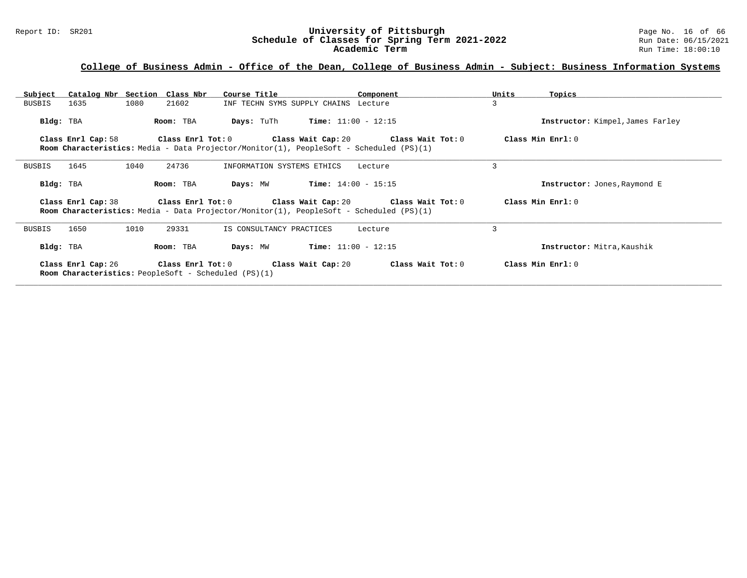# Report ID: SR201 **University of Pittsburgh University of Pittsburgh** Page No. 16 of 66<br>**Schedule of Classes for Spring Term 2021-2022** Run Date: 06/15/2021 Schedule of Classes for Spring Term 2021-2022<br>Academic Term

### **College of Business Admin - Office of the Dean, College of Business Admin - Subject: Business Information Systems**

| Subject       |                    | Catalog Nbr Section Class Nbr | Course Title                                                                                        | Component                                                                                                                                               | Units<br>Topics                  |
|---------------|--------------------|-------------------------------|-----------------------------------------------------------------------------------------------------|---------------------------------------------------------------------------------------------------------------------------------------------------------|----------------------------------|
| BUSBIS        | 1635               | 1080<br>21602                 |                                                                                                     | INF TECHN SYMS SUPPLY CHAINS Lecture                                                                                                                    | 3                                |
| Bldg: TBA     |                    | Room: TBA                     | Days: TuTh                                                                                          | $Time: 11:00 - 12:15$                                                                                                                                   | Instructor: Kimpel, James Farley |
|               | Class Enrl Cap: 58 |                               |                                                                                                     | Class Enrl Tot: $0$ Class Wait Cap: $20$ Class Wait Tot: $0$<br>Room Characteristics: Media - Data Projector/Monitor(1), PeopleSoft - Scheduled (PS)(1) | Class Min Enrl: 0                |
| BUSBIS        | 1645               | 24736<br>1040                 | INFORMATION SYSTEMS ETHICS                                                                          | Lecture                                                                                                                                                 | 3                                |
| Bldg: TBA     |                    | Room: TBA                     | Days: MW                                                                                            | $Time: 14:00 - 15:15$                                                                                                                                   | Instructor: Jones, Raymond E     |
|               | Class Enrl Cap: 38 | Class Enrl Tot: 0             |                                                                                                     | Class Wait Cap: 20 Class Wait Tot: 0<br><b>Room Characteristics:</b> Media - Data Projector/Monitor(1), PeopleSoft - Scheduled (PS)(1)                  | Class Min Enrl: 0                |
| <b>BUSBIS</b> | 1650               | 29331<br>1010                 | IS CONSULTANCY PRACTICES                                                                            | Lecture                                                                                                                                                 | 3                                |
| Bldg: TBA     |                    | Room: TBA                     | Days: MW                                                                                            | $Time: 11:00 - 12:15$                                                                                                                                   | Instructor: Mitra, Kaushik       |
|               | Class Enrl Cap: 26 |                               | Class Enrl Tot: 0 Class Wait Cap: 20<br><b>Room Characteristics:</b> PeopleSoft - Scheduled (PS)(1) | Class Wait Tot: 0                                                                                                                                       | Class Min Enrl: 0                |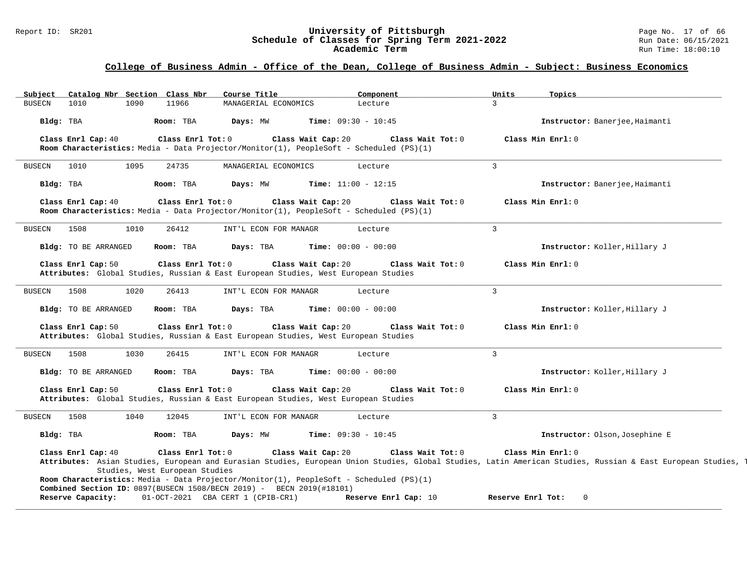#### Report ID: SR201 **University of Pittsburgh** Page No. 17 of 66 **Schedule of Classes for Spring Term 2021-2022** Run Date: 06/15/2021 **Academic Term** Run Time: 18:00:10

| 3<br><b>BUSECN</b><br>1010<br>1090<br>11966<br>MANAGERIAL ECONOMICS<br>Lecture<br><b>Time:</b> $09:30 - 10:45$<br>Bldg: TBA<br>Room: TBA<br>Days: MW<br>Instructor: Banerjee, Haimanti<br>Class Enrl Cap: 40<br>Class Wait Cap: 20<br>Class Min Enrl: 0<br>Class Enrl Tot: 0<br>Class Wait Tot: 0<br>Room Characteristics: Media - Data Projector/Monitor(1), PeopleSoft - Scheduled (PS)(1)<br>$\overline{3}$<br>24735<br>MANAGERIAL ECONOMICS<br><b>BUSECN</b><br>1010<br>1095<br>Lecture<br>Bldg: TBA<br>Room: TBA<br>Days: MW<br>Time: $11:00 - 12:15$<br>Instructor: Banerjee, Haimanti<br>Class Wait Cap: 20<br>Class Enrl Cap: 40<br>Class Enrl Tot: 0<br>Class Wait Tot: 0<br>Class Min Enrl: 0<br>Room Characteristics: Media - Data Projector/Monitor(1), PeopleSoft - Scheduled (PS)(1)<br>$\mathbf{3}$<br>1508<br>26412<br>Lecture<br><b>BUSECN</b><br>1010<br>INT'L ECON FOR MANAGR<br>Bldg: TO BE ARRANGED<br>Room: TBA<br><b>Time:</b> $00:00 - 00:00$<br>Instructor: Koller, Hillary J<br>Days: TBA<br>Class Enrl Tot: 0<br>Class Wait Cap: 20<br>Class Wait Tot: 0<br>Class Min Enrl: 0<br>Class Enrl Cap: 50<br>Attributes: Global Studies, Russian & East European Studies, West European Studies<br>$\mathbf{3}$<br>1508<br>1020<br>26413<br>INT'L ECON FOR MANAGR<br><b>BUSECN</b><br>Lecture<br><b>Time:</b> $00:00 - 00:00$<br><b>Bldg:</b> TO BE ARRANGED<br>Room: TBA<br>Days: TBA<br>Instructor: Koller, Hillary J<br>Class Wait Cap: 20<br>Class Wait Tot: 0<br>Class Min Enrl: 0<br>Class Enrl Cap: 50<br>Class Enrl Tot: 0<br>Attributes: Global Studies, Russian & East European Studies, West European Studies<br>$\mathbf{3}$<br>1508<br>1030<br>26415<br><b>BUSECN</b><br>INT'L ECON FOR MANAGR<br>Lecture<br>Time: $00:00 - 00:00$<br>Bldg: TO BE ARRANGED<br>Room: TBA<br>Days: TBA<br>Instructor: Koller, Hillary J<br>Class Enrl Tot: 0<br>Class Wait Cap: 20<br>Class Min Enrl: 0<br>Class Enrl Cap: 50<br>Class Wait Tot: 0<br>Attributes: Global Studies, Russian & East European Studies, West European Studies<br>$\overline{3}$<br>12045<br>INT'L ECON FOR MANAGR<br><b>BUSECN</b><br>1508<br>1040<br>Lecture<br>Bldg: TBA<br><b>Time:</b> $09:30 - 10:45$<br>Instructor: Olson, Josephine E<br>Room: TBA<br>Days: MW<br>Class Wait Tot: 0<br>Class Min Enrl: 0<br>Class Enrl Cap: 40<br>Class Enrl Tot: 0<br>Class Wait Cap: 20<br>Attributes: Asian Studies, European and Eurasian Studies, European Union Studies, Global Studies, Latin American Studies, Russian & East European Studies,<br>Studies, West European Studies<br>Room Characteristics: Media - Data Projector/Monitor(1), PeopleSoft - Scheduled (PS)(1)<br>Combined Section ID: 0897(BUSECN 1508/BECN 2019) - BECN 2019(#18101)<br>01-OCT-2021 CBA CERT 1 (CPIB-CR1)<br>Reserve Capacity:<br>Reserve Enrl Cap: 10<br>Reserve Enrl Tot:<br>$\Omega$ | Subject | Catalog Nbr Section Class Nbr |  | Course Title | Component | Units | Topics |
|-------------------------------------------------------------------------------------------------------------------------------------------------------------------------------------------------------------------------------------------------------------------------------------------------------------------------------------------------------------------------------------------------------------------------------------------------------------------------------------------------------------------------------------------------------------------------------------------------------------------------------------------------------------------------------------------------------------------------------------------------------------------------------------------------------------------------------------------------------------------------------------------------------------------------------------------------------------------------------------------------------------------------------------------------------------------------------------------------------------------------------------------------------------------------------------------------------------------------------------------------------------------------------------------------------------------------------------------------------------------------------------------------------------------------------------------------------------------------------------------------------------------------------------------------------------------------------------------------------------------------------------------------------------------------------------------------------------------------------------------------------------------------------------------------------------------------------------------------------------------------------------------------------------------------------------------------------------------------------------------------------------------------------------------------------------------------------------------------------------------------------------------------------------------------------------------------------------------------------------------------------------------------------------------------------------------------------------------------------------------------------------------------------------------------------------------------------------------------------------------------------------------------------------------------------------------------------------------------------------------------------------------------------------------------------------------------------------------------------------------------------------------------------------------------------------------------------------------------------------------|---------|-------------------------------|--|--------------|-----------|-------|--------|
|                                                                                                                                                                                                                                                                                                                                                                                                                                                                                                                                                                                                                                                                                                                                                                                                                                                                                                                                                                                                                                                                                                                                                                                                                                                                                                                                                                                                                                                                                                                                                                                                                                                                                                                                                                                                                                                                                                                                                                                                                                                                                                                                                                                                                                                                                                                                                                                                                                                                                                                                                                                                                                                                                                                                                                                                                                                                   |         |                               |  |              |           |       |        |
|                                                                                                                                                                                                                                                                                                                                                                                                                                                                                                                                                                                                                                                                                                                                                                                                                                                                                                                                                                                                                                                                                                                                                                                                                                                                                                                                                                                                                                                                                                                                                                                                                                                                                                                                                                                                                                                                                                                                                                                                                                                                                                                                                                                                                                                                                                                                                                                                                                                                                                                                                                                                                                                                                                                                                                                                                                                                   |         |                               |  |              |           |       |        |
|                                                                                                                                                                                                                                                                                                                                                                                                                                                                                                                                                                                                                                                                                                                                                                                                                                                                                                                                                                                                                                                                                                                                                                                                                                                                                                                                                                                                                                                                                                                                                                                                                                                                                                                                                                                                                                                                                                                                                                                                                                                                                                                                                                                                                                                                                                                                                                                                                                                                                                                                                                                                                                                                                                                                                                                                                                                                   |         |                               |  |              |           |       |        |
|                                                                                                                                                                                                                                                                                                                                                                                                                                                                                                                                                                                                                                                                                                                                                                                                                                                                                                                                                                                                                                                                                                                                                                                                                                                                                                                                                                                                                                                                                                                                                                                                                                                                                                                                                                                                                                                                                                                                                                                                                                                                                                                                                                                                                                                                                                                                                                                                                                                                                                                                                                                                                                                                                                                                                                                                                                                                   |         |                               |  |              |           |       |        |
|                                                                                                                                                                                                                                                                                                                                                                                                                                                                                                                                                                                                                                                                                                                                                                                                                                                                                                                                                                                                                                                                                                                                                                                                                                                                                                                                                                                                                                                                                                                                                                                                                                                                                                                                                                                                                                                                                                                                                                                                                                                                                                                                                                                                                                                                                                                                                                                                                                                                                                                                                                                                                                                                                                                                                                                                                                                                   |         |                               |  |              |           |       |        |
|                                                                                                                                                                                                                                                                                                                                                                                                                                                                                                                                                                                                                                                                                                                                                                                                                                                                                                                                                                                                                                                                                                                                                                                                                                                                                                                                                                                                                                                                                                                                                                                                                                                                                                                                                                                                                                                                                                                                                                                                                                                                                                                                                                                                                                                                                                                                                                                                                                                                                                                                                                                                                                                                                                                                                                                                                                                                   |         |                               |  |              |           |       |        |
|                                                                                                                                                                                                                                                                                                                                                                                                                                                                                                                                                                                                                                                                                                                                                                                                                                                                                                                                                                                                                                                                                                                                                                                                                                                                                                                                                                                                                                                                                                                                                                                                                                                                                                                                                                                                                                                                                                                                                                                                                                                                                                                                                                                                                                                                                                                                                                                                                                                                                                                                                                                                                                                                                                                                                                                                                                                                   |         |                               |  |              |           |       |        |
|                                                                                                                                                                                                                                                                                                                                                                                                                                                                                                                                                                                                                                                                                                                                                                                                                                                                                                                                                                                                                                                                                                                                                                                                                                                                                                                                                                                                                                                                                                                                                                                                                                                                                                                                                                                                                                                                                                                                                                                                                                                                                                                                                                                                                                                                                                                                                                                                                                                                                                                                                                                                                                                                                                                                                                                                                                                                   |         |                               |  |              |           |       |        |
|                                                                                                                                                                                                                                                                                                                                                                                                                                                                                                                                                                                                                                                                                                                                                                                                                                                                                                                                                                                                                                                                                                                                                                                                                                                                                                                                                                                                                                                                                                                                                                                                                                                                                                                                                                                                                                                                                                                                                                                                                                                                                                                                                                                                                                                                                                                                                                                                                                                                                                                                                                                                                                                                                                                                                                                                                                                                   |         |                               |  |              |           |       |        |
|                                                                                                                                                                                                                                                                                                                                                                                                                                                                                                                                                                                                                                                                                                                                                                                                                                                                                                                                                                                                                                                                                                                                                                                                                                                                                                                                                                                                                                                                                                                                                                                                                                                                                                                                                                                                                                                                                                                                                                                                                                                                                                                                                                                                                                                                                                                                                                                                                                                                                                                                                                                                                                                                                                                                                                                                                                                                   |         |                               |  |              |           |       |        |
|                                                                                                                                                                                                                                                                                                                                                                                                                                                                                                                                                                                                                                                                                                                                                                                                                                                                                                                                                                                                                                                                                                                                                                                                                                                                                                                                                                                                                                                                                                                                                                                                                                                                                                                                                                                                                                                                                                                                                                                                                                                                                                                                                                                                                                                                                                                                                                                                                                                                                                                                                                                                                                                                                                                                                                                                                                                                   |         |                               |  |              |           |       |        |
|                                                                                                                                                                                                                                                                                                                                                                                                                                                                                                                                                                                                                                                                                                                                                                                                                                                                                                                                                                                                                                                                                                                                                                                                                                                                                                                                                                                                                                                                                                                                                                                                                                                                                                                                                                                                                                                                                                                                                                                                                                                                                                                                                                                                                                                                                                                                                                                                                                                                                                                                                                                                                                                                                                                                                                                                                                                                   |         |                               |  |              |           |       |        |
|                                                                                                                                                                                                                                                                                                                                                                                                                                                                                                                                                                                                                                                                                                                                                                                                                                                                                                                                                                                                                                                                                                                                                                                                                                                                                                                                                                                                                                                                                                                                                                                                                                                                                                                                                                                                                                                                                                                                                                                                                                                                                                                                                                                                                                                                                                                                                                                                                                                                                                                                                                                                                                                                                                                                                                                                                                                                   |         |                               |  |              |           |       |        |
|                                                                                                                                                                                                                                                                                                                                                                                                                                                                                                                                                                                                                                                                                                                                                                                                                                                                                                                                                                                                                                                                                                                                                                                                                                                                                                                                                                                                                                                                                                                                                                                                                                                                                                                                                                                                                                                                                                                                                                                                                                                                                                                                                                                                                                                                                                                                                                                                                                                                                                                                                                                                                                                                                                                                                                                                                                                                   |         |                               |  |              |           |       |        |
|                                                                                                                                                                                                                                                                                                                                                                                                                                                                                                                                                                                                                                                                                                                                                                                                                                                                                                                                                                                                                                                                                                                                                                                                                                                                                                                                                                                                                                                                                                                                                                                                                                                                                                                                                                                                                                                                                                                                                                                                                                                                                                                                                                                                                                                                                                                                                                                                                                                                                                                                                                                                                                                                                                                                                                                                                                                                   |         |                               |  |              |           |       |        |
|                                                                                                                                                                                                                                                                                                                                                                                                                                                                                                                                                                                                                                                                                                                                                                                                                                                                                                                                                                                                                                                                                                                                                                                                                                                                                                                                                                                                                                                                                                                                                                                                                                                                                                                                                                                                                                                                                                                                                                                                                                                                                                                                                                                                                                                                                                                                                                                                                                                                                                                                                                                                                                                                                                                                                                                                                                                                   |         |                               |  |              |           |       |        |
|                                                                                                                                                                                                                                                                                                                                                                                                                                                                                                                                                                                                                                                                                                                                                                                                                                                                                                                                                                                                                                                                                                                                                                                                                                                                                                                                                                                                                                                                                                                                                                                                                                                                                                                                                                                                                                                                                                                                                                                                                                                                                                                                                                                                                                                                                                                                                                                                                                                                                                                                                                                                                                                                                                                                                                                                                                                                   |         |                               |  |              |           |       |        |
|                                                                                                                                                                                                                                                                                                                                                                                                                                                                                                                                                                                                                                                                                                                                                                                                                                                                                                                                                                                                                                                                                                                                                                                                                                                                                                                                                                                                                                                                                                                                                                                                                                                                                                                                                                                                                                                                                                                                                                                                                                                                                                                                                                                                                                                                                                                                                                                                                                                                                                                                                                                                                                                                                                                                                                                                                                                                   |         |                               |  |              |           |       |        |
|                                                                                                                                                                                                                                                                                                                                                                                                                                                                                                                                                                                                                                                                                                                                                                                                                                                                                                                                                                                                                                                                                                                                                                                                                                                                                                                                                                                                                                                                                                                                                                                                                                                                                                                                                                                                                                                                                                                                                                                                                                                                                                                                                                                                                                                                                                                                                                                                                                                                                                                                                                                                                                                                                                                                                                                                                                                                   |         |                               |  |              |           |       |        |
|                                                                                                                                                                                                                                                                                                                                                                                                                                                                                                                                                                                                                                                                                                                                                                                                                                                                                                                                                                                                                                                                                                                                                                                                                                                                                                                                                                                                                                                                                                                                                                                                                                                                                                                                                                                                                                                                                                                                                                                                                                                                                                                                                                                                                                                                                                                                                                                                                                                                                                                                                                                                                                                                                                                                                                                                                                                                   |         |                               |  |              |           |       |        |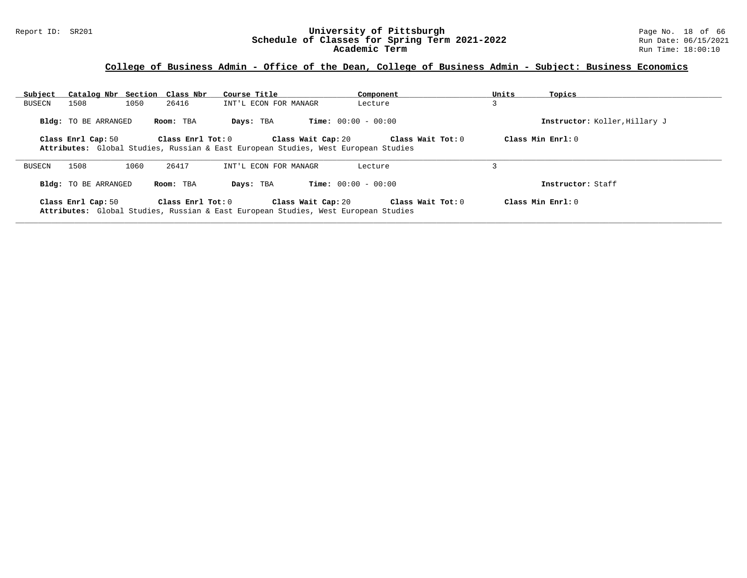#### Report ID: SR201 **University of Pittsburgh** Page No. 18 of 66 **Schedule of Classes for Spring Term 2021-2022** Run Date: 06/15/2021 **Academic Term** Run Time: 18:00:10

# **College of Business Admin - Office of the Dean, College of Business Admin - Subject: Business Economics**

| Subject | Catalog Nbr Section Class Nbr |      |                         | Course Title                                                                       |                    | Component                    |                   | Units | Topics                        |
|---------|-------------------------------|------|-------------------------|------------------------------------------------------------------------------------|--------------------|------------------------------|-------------------|-------|-------------------------------|
| BUSECN  | 1508                          | 1050 | 26416                   | INT'L ECON FOR MANAGR                                                              |                    | Lecture                      |                   |       |                               |
|         | <b>Bldg:</b> TO BE ARRANGED   |      | Room: TBA               | Days: TBA                                                                          |                    | <b>Time:</b> $00:00 - 00:00$ |                   |       | Instructor: Koller, Hillary J |
|         | Class Enrl Cap: 50            |      | $Class$ $Enr1$ $Tot: 0$ | Attributes: Global Studies, Russian & East European Studies, West European Studies | Class Wait Cap: 20 |                              | Class Wait Tot: 0 |       | Class Min $Err1:0$            |
| BUSECN  | 1508                          | 1060 | 26417                   | INT'L ECON FOR MANAGR                                                              |                    | Lecture                      |                   |       |                               |
|         | <b>Bldg:</b> TO BE ARRANGED   |      | Room: TBA               | Days: TBA                                                                          |                    | <b>Time:</b> $00:00 - 00:00$ |                   |       | Instructor: Staff             |
|         | Class Enrl Cap: 50            |      | $Class$ $Enr1$ $Tot: 0$ | Attributes: Global Studies, Russian & East European Studies, West European Studies | Class Wait Cap: 20 |                              | Class Wait Tot: 0 |       | Class Min $Err1:0$            |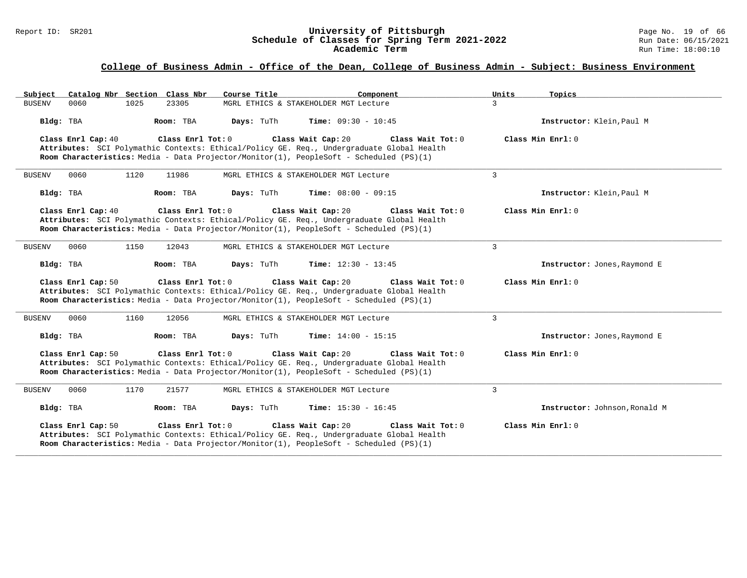#### Report ID: SR201 **University of Pittsburgh** Page No. 19 of 66 **Schedule of Classes for Spring Term 2021-2022** Run Date: 06/15/2021 **Academic Term** Run Time: 18:00:10

| Catalog Nbr Section Class Nbr<br>Subject | Course Title                                                                                                                                                                                                                      | Component                    | Units<br>Topics               |
|------------------------------------------|-----------------------------------------------------------------------------------------------------------------------------------------------------------------------------------------------------------------------------------|------------------------------|-------------------------------|
| <b>BUSENV</b><br>1025<br>0060            | 23305<br>MGRL ETHICS & STAKEHOLDER MGT Lecture                                                                                                                                                                                    | $\mathcal{L}$                |                               |
| Bldg: TBA                                | Room: TBA<br>Days: TuTh                                                                                                                                                                                                           | <b>Time:</b> $09:30 - 10:45$ | Instructor: Klein, Paul M     |
| Class Enrl Cap: 40                       | Class Enrl Tot: $0$<br>Class Wait Cap: 20<br>Attributes: SCI Polymathic Contexts: Ethical/Policy GE. Req., Undergraduate Global Health<br>Room Characteristics: Media - Data Projector/Monitor(1), PeopleSoft - Scheduled (PS)(1) | Class Wait Tot: $0$          | Class Min Enrl: 0             |
| 0060<br>1120<br><b>BUSENV</b>            | 11986<br>MGRL ETHICS & STAKEHOLDER MGT Lecture                                                                                                                                                                                    | 3                            |                               |
| Bldg: TBA                                | Days: TuTh<br>Room: TBA                                                                                                                                                                                                           | <b>Time:</b> $08:00 - 09:15$ | Instructor: Klein, Paul M     |
| Class Enrl Cap: 40                       | Class Wait Cap: 20<br>Class Enrl Tot: 0<br>Attributes: SCI Polymathic Contexts: Ethical/Policy GE. Reg., Undergraduate Global Health<br>Room Characteristics: Media - Data Projector/Monitor(1), PeopleSoft - Scheduled (PS)(1)   | Class Wait Tot: 0            | Class Min Enrl: 0             |
| 1150<br>0060<br><b>BUSENV</b>            | 12043<br>MGRL ETHICS & STAKEHOLDER MGT Lecture                                                                                                                                                                                    | $\mathbf{3}$                 |                               |
| Bldg: TBA                                | Days: TuTh<br>Room: TBA                                                                                                                                                                                                           | <b>Time:</b> $12:30 - 13:45$ | Instructor: Jones, Raymond E  |
| Class Enrl Cap: 50                       | Class Enrl Tot: 0<br>Class Wait Cap: 20<br>Attributes: SCI Polymathic Contexts: Ethical/Policy GE. Req., Undergraduate Global Health<br>Room Characteristics: Media - Data Projector/Monitor(1), PeopleSoft - Scheduled (PS)(1)   | Class Wait Tot: 0            | Class Min Enrl: 0             |
| 0060<br>1160<br><b>BUSENV</b>            | 12056<br>MGRL ETHICS & STAKEHOLDER MGT Lecture                                                                                                                                                                                    | 3                            |                               |
| Bldg: TBA                                | Room: TBA<br>Days: TuTh                                                                                                                                                                                                           | Time: $14:00 - 15:15$        | Instructor: Jones, Raymond E  |
| Class Enrl Cap: 50                       | Class Wait Cap: 20<br>Class Enrl Tot: 0<br>Attributes: SCI Polymathic Contexts: Ethical/Policy GE. Req., Undergraduate Global Health<br>Room Characteristics: Media - Data Projector/Monitor(1), PeopleSoft - Scheduled (PS)(1)   | Class Wait Tot: 0            | Class Min Enrl: 0             |
| 1170<br>0060<br><b>BUSENV</b>            | 21577<br>MGRL ETHICS & STAKEHOLDER MGT Lecture                                                                                                                                                                                    | 3                            |                               |
| Bldg: TBA                                | Room: TBA<br>Days: TuTh                                                                                                                                                                                                           | <b>Time:</b> $15:30 - 16:45$ | Instructor: Johnson, Ronald M |
| Class Enrl Cap: 50                       | Class Enrl Tot: 0<br>Class Wait Cap: 20<br>Attributes: SCI Polymathic Contexts: Ethical/Policy GE. Req., Undergraduate Global Health<br>Room Characteristics: Media - Data Projector/Monitor(1), PeopleSoft - Scheduled (PS)(1)   | Class Wait Tot: 0            | Class Min Enrl: 0             |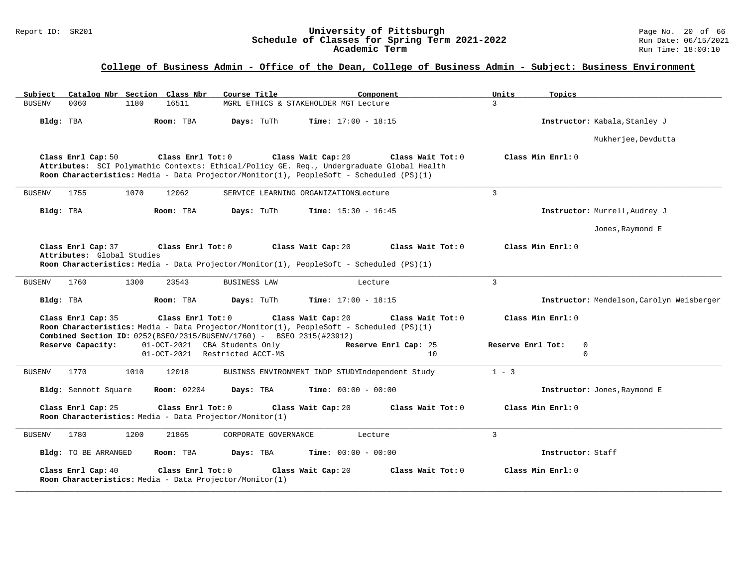#### Report ID: SR201 **University of Pittsburgh** Page No. 20 of 66 **Schedule of Classes for Spring Term 2021-2022** Run Date: 06/15/2021 **Academic Term** Run Time: 18:00:10

| Catalog Nbr Section Class Nbr<br>Subject                                                                                                                                                                                        | Course Title                                    | Component                    | Units<br>Topics                           |  |
|---------------------------------------------------------------------------------------------------------------------------------------------------------------------------------------------------------------------------------|-------------------------------------------------|------------------------------|-------------------------------------------|--|
| <b>BUSENV</b><br>0060<br>1180<br>16511                                                                                                                                                                                          | MGRL ETHICS & STAKEHOLDER MGT Lecture           |                              | $\mathcal{L}$                             |  |
| Bldg: TBA<br>Room: TBA                                                                                                                                                                                                          | Days: TuTh                                      | <b>Time:</b> $17:00 - 18:15$ | Instructor: Kabala, Stanley J             |  |
|                                                                                                                                                                                                                                 |                                                 |                              | Mukherjee, Devdutta                       |  |
| Class Enrl Cap: 50<br>Class Enrl Tot: 0<br>Attributes: SCI Polymathic Contexts: Ethical/Policy GE. Req., Undergraduate Global Health<br>Room Characteristics: Media - Data Projector/Monitor(1), PeopleSoft - Scheduled (PS)(1) | Class Wait Cap: 20                              | Class Wait Tot: 0            | Class Min Enrl: 0                         |  |
| 1755<br>1070<br>12062<br>BUSENV                                                                                                                                                                                                 | SERVICE LEARNING ORGANIZATIONSLecture           |                              | 3                                         |  |
| Bldg: TBA<br>Room: TBA                                                                                                                                                                                                          | Days: TuTh                                      | <b>Time:</b> $15:30 - 16:45$ | Instructor: Murrell, Audrey J             |  |
|                                                                                                                                                                                                                                 |                                                 |                              | Jones, Raymond E                          |  |
| Class Enrl Cap: 37<br>Class Enrl Tot: 0<br>Attributes: Global Studies<br>Room Characteristics: Media - Data Projector/Monitor(1), PeopleSoft - Scheduled (PS)(1)                                                                | Class Wait Cap: 20                              | Class Wait Tot: 0            | Class Min Enrl: 0                         |  |
| 1760<br>1300<br>23543<br><b>BUSENV</b>                                                                                                                                                                                          | <b>BUSINESS LAW</b>                             | Lecture                      | $\overline{3}$                            |  |
| Bldg: TBA<br>Room: TBA                                                                                                                                                                                                          | Days: TuTh                                      | <b>Time:</b> $17:00 - 18:15$ | Instructor: Mendelson, Carolyn Weisberger |  |
| Class Enrl Cap: 35<br>Class Enrl Tot: 0<br>Room Characteristics: Media - Data Projector/Monitor(1), PeopleSoft - Scheduled (PS)(1)<br>Combined Section ID: 0252(BSEO/2315/BUSENV/1760) - BSEO 2315(#23912)                      | Class Wait Cap: 20                              | Class Wait Tot: 0            | Class Min Enrl: 0                         |  |
| Reserve Capacity:<br>01-OCT-2021 CBA Students Only                                                                                                                                                                              |                                                 | Reserve Enrl Cap: 25         | Reserve Enrl Tot:<br>$\mathbf 0$          |  |
| 01-OCT-2021 Restricted ACCT-MS                                                                                                                                                                                                  |                                                 | 10                           | $\Omega$                                  |  |
| 1770<br>1010<br>12018<br><b>BUSENV</b>                                                                                                                                                                                          | BUSINSS ENVIRONMENT INDP STUDYIndependent Study |                              | $1 - 3$                                   |  |
| Bldg: Sennott Square<br><b>Room:</b> 02204                                                                                                                                                                                      | Days: TBA                                       | <b>Time:</b> $00:00 - 00:00$ | Instructor: Jones, Raymond E              |  |
| Class Enrl Cap: 25<br>Class Enrl Tot: 0<br>Room Characteristics: Media - Data Projector/Monitor(1)                                                                                                                              | Class Wait Cap: 20                              | Class Wait Tot: 0            | Class Min Enrl: 0                         |  |
| 1780<br>1200<br>21865<br><b>BUSENV</b>                                                                                                                                                                                          | CORPORATE GOVERNANCE                            | Lecture                      | 3                                         |  |
| Bldg: TO BE ARRANGED<br>Room: TBA                                                                                                                                                                                               | Days: TBA                                       | <b>Time:</b> $00:00 - 00:00$ | Instructor: Staff                         |  |
| Class Enrl Cap: 40<br>Class Enrl Tot: 0<br>Room Characteristics: Media - Data Projector/Monitor(1)                                                                                                                              | Class Wait Cap: 20                              | Class Wait Tot: 0            | Class Min Enrl: 0                         |  |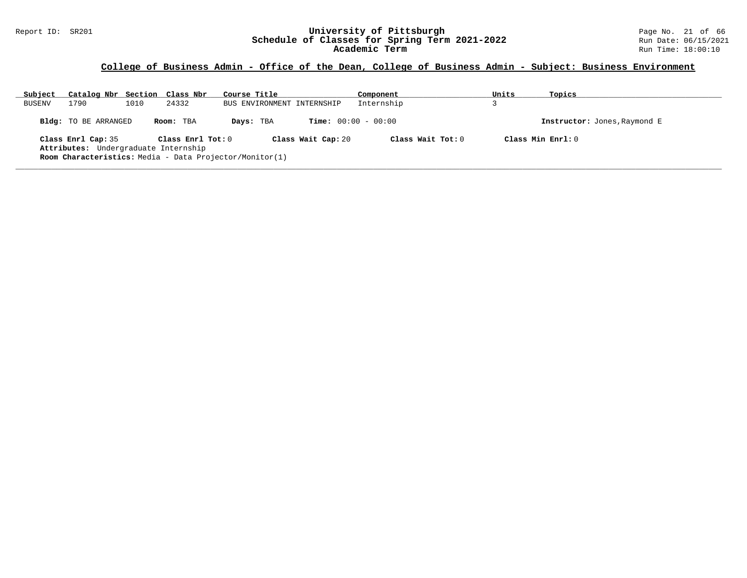#### Report ID: SR201 **University of Pittsburgh** Page No. 21 of 66 **Schedule of Classes for Spring Term 2021-2022** Run Date: 06/15/2021 **Academic Term** Run Time: 18:00:10

| Subject       | Catalog Nbr Section Class Nbr                              |      |                   | Course Title                                            |                              | Component         | Units | Topics                       |  |
|---------------|------------------------------------------------------------|------|-------------------|---------------------------------------------------------|------------------------------|-------------------|-------|------------------------------|--|
| <b>BUSENV</b> | 1790                                                       | 1010 | 24332             | BUS ENVIRONMENT INTERNSHIP                              |                              | Internship        |       |                              |  |
|               | Bldg: TO BE ARRANGED                                       |      | Room: TBA         | Days: TBA                                               | <b>Time:</b> $00:00 - 00:00$ |                   |       | Instructor: Jones, Raymond E |  |
|               | Class Enrl Cap: 35<br>Attributes: Undergraduate Internship |      | Class Enrl Tot: 0 | Room Characteristics: Media - Data Projector/Monitor(1) | Class Wait Cap: 20           | Class Wait Tot: 0 |       | Class Min Enrl: 0            |  |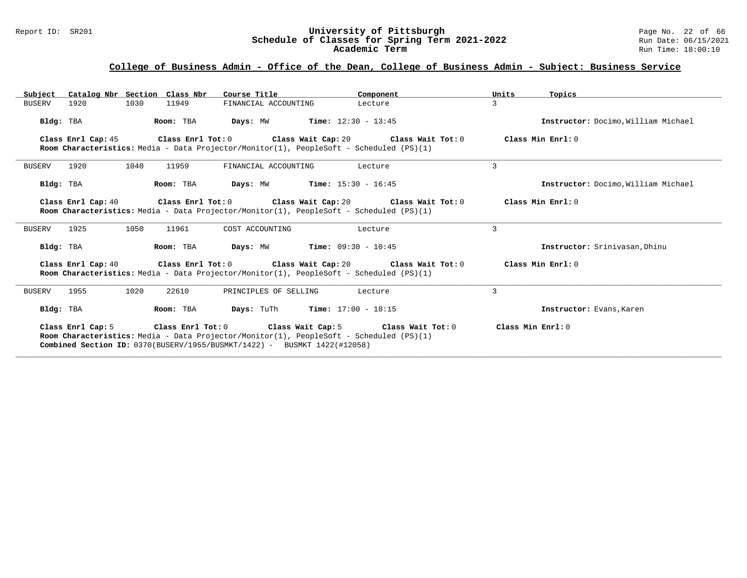#### Report ID: SR201 **University of Pittsburgh** Page No. 22 of 66 **Schedule of Classes for Spring Term 2021-2022** Run Date: 06/15/2021 **Academic Term** Run Time: 18:00:10

| Subject       |                    | Catalog Nbr Section Class Nbr | Course Title                                                             | Component                                                                                                                                                                                     | Units<br>Topics                     |
|---------------|--------------------|-------------------------------|--------------------------------------------------------------------------|-----------------------------------------------------------------------------------------------------------------------------------------------------------------------------------------------|-------------------------------------|
| BUSERV        | 1920               | 1030<br>11949                 | FINANCIAL ACCOUNTING                                                     | Lecture                                                                                                                                                                                       | 3                                   |
| Bldg: TBA     |                    | Room: TBA                     |                                                                          | <b>Days:</b> MW <b>Time:</b> $12:30 - 13:45$                                                                                                                                                  | Instructor: Docimo, William Michael |
|               |                    |                               |                                                                          | Class Enrl Cap: 45 Class Enrl Tot: 0 Class Wait Cap: 20 Class Wait Tot: 0                                                                                                                     | Class Min Enrl: 0                   |
|               |                    |                               |                                                                          | Room Characteristics: Media - Data Projector/Monitor(1), PeopleSoft - Scheduled (PS)(1)                                                                                                       |                                     |
| BUSERV        | 1920               | 1040<br>11959                 | FINANCIAL ACCOUNTING                                                     | Lecture                                                                                                                                                                                       | 3                                   |
| Bldg: TBA     |                    | Room: TBA                     |                                                                          | <b>Days:</b> MW <b>Time:</b> $15:30 - 16:45$                                                                                                                                                  | Instructor: Docimo. William Michael |
|               | Class Enrl Cap: 40 |                               |                                                                          | Class Enrl Tot: $0$ Class Wait Cap: $20$ Class Wait Tot: $0$                                                                                                                                  | Class Min Enrl: 0                   |
|               |                    |                               |                                                                          | Room Characteristics: Media - Data Projector/Monitor(1), PeopleSoft - Scheduled (PS)(1)                                                                                                       |                                     |
| <b>BUSERV</b> | 1925               | 1050<br>11961                 | COST ACCOUNTING                                                          | Lecture                                                                                                                                                                                       | 3                                   |
| Bldg: TBA     |                    | Room: TBA                     |                                                                          | <b>Days:</b> $MW$ <b>Time:</b> $09:30 - 10:45$                                                                                                                                                | Instructor: Srinivasan, Dhinu       |
|               | Class Enrl Cap: 40 |                               |                                                                          | Class Enrl Tot: $0$ Class Wait Cap: $20$ Class Wait Tot: $0$                                                                                                                                  | Class Min Enrl: 0                   |
|               |                    |                               |                                                                          | Room Characteristics: Media - Data Projector/Monitor(1), PeopleSoft - Scheduled (PS)(1)                                                                                                       |                                     |
| BUSERV        | 1955               | 1020<br>22610                 | PRINCIPLES OF SELLING                                                    | Lecture                                                                                                                                                                                       | 3                                   |
| Bldg: TBA     |                    | Room: TBA                     |                                                                          | <b>Days:</b> TuTh <b>Time:</b> $17:00 - 18:15$                                                                                                                                                | Instructor: Evans, Karen            |
|               |                    |                               | Combined Section ID: 0370(BUSERV/1955/BUSMKT/1422) - BUSMKT 1422(#12058) | Class Enrl Cap: 5 $\qquad$ Class Enrl Tot: 0 $\qquad$ Class Wait Cap: 5 $\qquad$ Class Wait Tot: 0<br>Room Characteristics: Media - Data Projector/Monitor(1), PeopleSoft - Scheduled (PS)(1) | Class Min $Enr1:0$                  |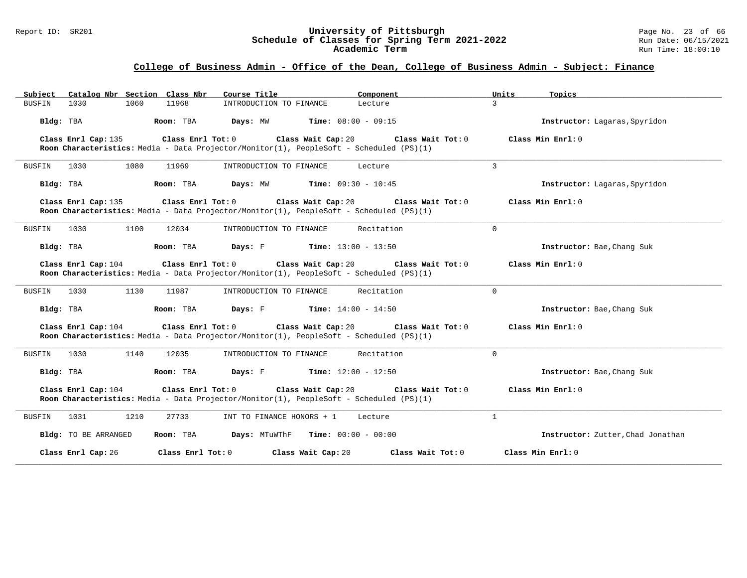#### Report ID: SR201 **University of Pittsburgh** Page No. 23 of 66 **Schedule of Classes for Spring Term 2021-2022** Run Date: 06/15/2021 **Academic Term** Run Time: 18:00:10

|               | Subject Catalog Nbr Section Class Nbr |      |                         | Course Title              | Component                                                                                                     |                     | Units          | Topics                            |
|---------------|---------------------------------------|------|-------------------------|---------------------------|---------------------------------------------------------------------------------------------------------------|---------------------|----------------|-----------------------------------|
| BUSFIN        | 1030                                  | 1060 | 11968                   | INTRODUCTION TO FINANCE   | Lecture                                                                                                       |                     | $\mathcal{L}$  |                                   |
| Bldg: TBA     |                                       |      | Room: TBA               |                           | <b>Days:</b> MW <b>Time:</b> $08:00 - 09:15$                                                                  |                     |                | Instructor: Lagaras, Spyridon     |
|               | Class Enrl Cap: 135                   |      | Class Enrl Tot: 0       |                           | Class Wait Cap: 20<br>Room Characteristics: Media - Data Projector/Monitor(1), PeopleSoft - Scheduled (PS)(1) | Class Wait Tot: $0$ |                | Class Min Enrl: 0                 |
| <b>BUSFIN</b> | 1030                                  | 1080 | 11969                   | INTRODUCTION TO FINANCE   | Lecture                                                                                                       |                     | $\overline{3}$ |                                   |
| Bldg: TBA     |                                       |      | Room: TBA               |                           | <b>Days:</b> MW <b>Time:</b> $09:30 - 10:45$                                                                  |                     |                | Instructor: Lagaras, Spyridon     |
|               | Class Enrl Cap: 135                   |      | $Class$ $Enr1$ $Tot: 0$ |                           | Class Wait Cap: 20<br>Room Characteristics: Media - Data Projector/Monitor(1), PeopleSoft - Scheduled (PS)(1) | Class Wait Tot: 0   |                | Class Min $Enrl: 0$               |
| BUSFIN        | 1030                                  | 1100 | 12034                   | INTRODUCTION TO FINANCE   |                                                                                                               | Recitation          | $\Omega$       |                                   |
| Bldg: TBA     |                                       |      | Room: TBA               |                           | <b>Days:</b> F <b>Time:</b> $13:00 - 13:50$                                                                   |                     |                | Instructor: Bae, Chang Suk        |
|               | Class Enrl Cap: 104                   |      | Class Enrl Tot: 0       |                           | Class Wait Cap: 20<br>Room Characteristics: Media - Data Projector/Monitor(1), PeopleSoft - Scheduled (PS)(1) | Class Wait Tot: 0   |                | Class Min $Enrl: 0$               |
| BUSFIN        | 1030                                  | 1130 | 11987                   | INTRODUCTION TO FINANCE   |                                                                                                               | Recitation          | $\Omega$       |                                   |
| Bldg: TBA     |                                       |      | Room: TBA               | Days: F                   | $Time: 14:00 - 14:50$                                                                                         |                     |                | Instructor: Bae, Chang Suk        |
|               | Class Enrl Cap: 104                   |      | Class Enrl Tot: 0       |                           | Class Wait Cap: 20<br>Room Characteristics: Media - Data Projector/Monitor(1), PeopleSoft - Scheduled (PS)(1) | Class Wait Tot: 0   |                | Class Min Enrl: 0                 |
| <b>BUSFIN</b> | 1030                                  | 1140 | 12035                   | INTRODUCTION TO FINANCE   |                                                                                                               | Recitation          | $\Omega$       |                                   |
| Bldg: TBA     |                                       |      | Room: TBA               | Days: F                   | <b>Time:</b> $12:00 - 12:50$                                                                                  |                     |                | Instructor: Bae, Chang Suk        |
|               | Class Enrl Cap: 104                   |      | $Class$ $Enr1$ $Tot: 0$ |                           | Class Wait Cap: 20<br>Room Characteristics: Media - Data Projector/Monitor(1), PeopleSoft - Scheduled (PS)(1) | Class Wait Tot: 0   |                | Class Min Enrl: 0                 |
| BUSFIN        | 1031                                  | 1210 | 27733                   | INT TO FINANCE HONORS + 1 | Lecture                                                                                                       |                     | $\mathbf{1}$   |                                   |
|               | Bldg: TO BE ARRANGED                  |      | Room: TBA               |                           | <b>Days:</b> MTuWThF $Time: 00:00 - 00:00$                                                                    |                     |                | Instructor: Zutter, Chad Jonathan |
|               | Class Enrl Cap: 26                    |      | Class Enrl Tot: 0       |                           | Class Wait Cap: 20                                                                                            | Class Wait Tot: 0   |                | Class Min Enrl: 0                 |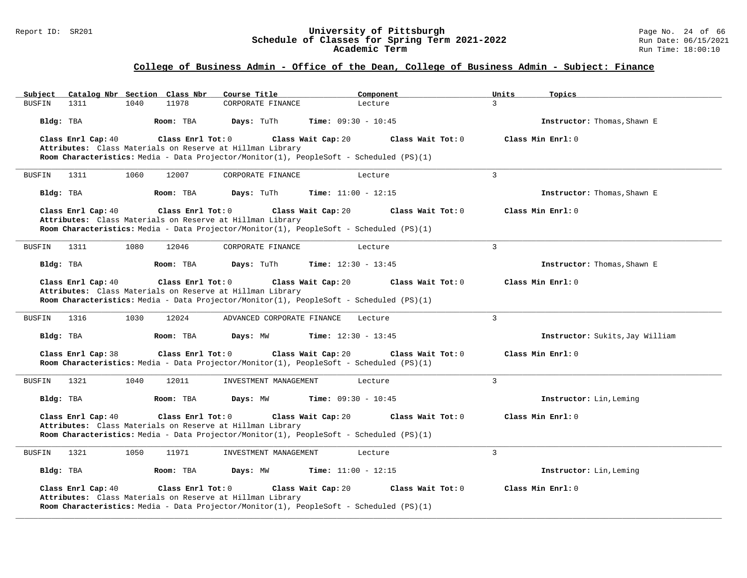#### Report ID: SR201 **University of Pittsburgh** Page No. 24 of 66 **Schedule of Classes for Spring Term 2021-2022** Run Date: 06/15/2021 **Academic Term** Run Time: 18:00:10

# **College of Business Admin - Office of the Dean, College of Business Admin - Subject: Finance**

| Catalog Nbr Section Class Nbr<br>Subject                                                | Course Title               | Component                    | Units          | Topics                          |
|-----------------------------------------------------------------------------------------|----------------------------|------------------------------|----------------|---------------------------------|
| 11978<br><b>BUSFIN</b><br>1311<br>1040                                                  | CORPORATE FINANCE          | Lecture                      | $\overline{3}$ |                                 |
| Bldg: TBA<br>Room: TBA                                                                  | Days: TuTh                 | <b>Time:</b> $09:30 - 10:45$ |                | Instructor: Thomas, Shawn E     |
| Class Enrl Cap: 40<br>Class Enrl Tot: 0                                                 | Class Wait Cap: 20         | Class Wait Tot: 0            |                | Class Min Enrl: 0               |
| Attributes: Class Materials on Reserve at Hillman Library                               |                            |                              |                |                                 |
| Room Characteristics: Media - Data Projector/Monitor(1), PeopleSoft - Scheduled (PS)(1) |                            |                              |                |                                 |
| <b>BUSFIN</b><br>1311<br>1060<br>12007                                                  | CORPORATE FINANCE          | Lecture                      | $\mathbf{3}$   |                                 |
| Bldg: TBA<br>Room: TBA                                                                  | Days: TuTh                 | Time: $11:00 - 12:15$        |                | Instructor: Thomas, Shawn E     |
| Class Enrl Cap: 40<br>Class Enrl Tot: 0                                                 | Class Wait Cap: 20         | Class Wait Tot: 0            |                | Class Min Enrl: 0               |
| Attributes: Class Materials on Reserve at Hillman Library                               |                            |                              |                |                                 |
| Room Characteristics: Media - Data Projector/Monitor(1), PeopleSoft - Scheduled (PS)(1) |                            |                              |                |                                 |
| 1311<br>1080<br>12046<br>BUSFIN                                                         | CORPORATE FINANCE          | Lecture                      | 3              |                                 |
|                                                                                         |                            |                              |                |                                 |
| Room: TBA<br>Bldg: TBA                                                                  | Days: TuTh                 | <b>Time:</b> $12:30 - 13:45$ |                | Instructor: Thomas, Shawn E     |
| Class Enrl Cap: 40<br>Class Enrl Tot: 0                                                 | Class Wait Cap: 20         | Class Wait Tot: 0            |                | Class Min Enrl: 0               |
| Attributes: Class Materials on Reserve at Hillman Library                               |                            |                              |                |                                 |
| Room Characteristics: Media - Data Projector/Monitor(1), PeopleSoft - Scheduled (PS)(1) |                            |                              |                |                                 |
|                                                                                         |                            |                              |                |                                 |
| 1030<br>12024<br>1316<br>BUSFIN                                                         | ADVANCED CORPORATE FINANCE | Lecture                      | $\overline{3}$ |                                 |
| Bldg: TBA<br>Room: TBA                                                                  | Days: MW                   | <b>Time:</b> $12:30 - 13:45$ |                | Instructor: Sukits, Jay William |
| Class Enrl Cap: 38<br>Class Enrl Tot: 0                                                 | Class Wait Cap: 20         | Class Wait Tot: 0            |                | Class Min Enrl: 0               |
| Room Characteristics: Media - Data Projector/Monitor(1), PeopleSoft - Scheduled (PS)(1) |                            |                              |                |                                 |
| 1321<br>1040<br>12011<br>BUSFIN                                                         | INVESTMENT MANAGEMENT      | Lecture                      | $\overline{3}$ |                                 |
| Bldg: TBA<br>Room: TBA                                                                  | Days: MW                   | <b>Time:</b> $09:30 - 10:45$ |                | Instructor: Lin, Leming         |
| Class Enrl Cap: 40<br>Class Enrl Tot: 0                                                 |                            | Class Wait Tot: 0            |                | Class Min Enrl: 0               |
| Attributes: Class Materials on Reserve at Hillman Library                               | Class Wait Cap: 20         |                              |                |                                 |
| Room Characteristics: Media - Data Projector/Monitor(1), PeopleSoft - Scheduled (PS)(1) |                            |                              |                |                                 |
|                                                                                         |                            |                              |                |                                 |
| 1321<br>1050<br>11971<br>BUSFIN                                                         | INVESTMENT MANAGEMENT      | Lecture                      | $\overline{3}$ |                                 |
| Bldg: TBA<br>Room: TBA                                                                  | Days: MW                   | <b>Time:</b> $11:00 - 12:15$ |                | Instructor: Lin, Leming         |
| Class Enrl Cap: 40<br>Class Enrl Tot: 0                                                 | Class Wait Cap: 20         | Class Wait Tot: 0            |                | Class Min Enrl: 0               |
| Attributes: Class Materials on Reserve at Hillman Library                               |                            |                              |                |                                 |
| Room Characteristics: Media - Data Projector/Monitor(1), PeopleSoft - Scheduled (PS)(1) |                            |                              |                |                                 |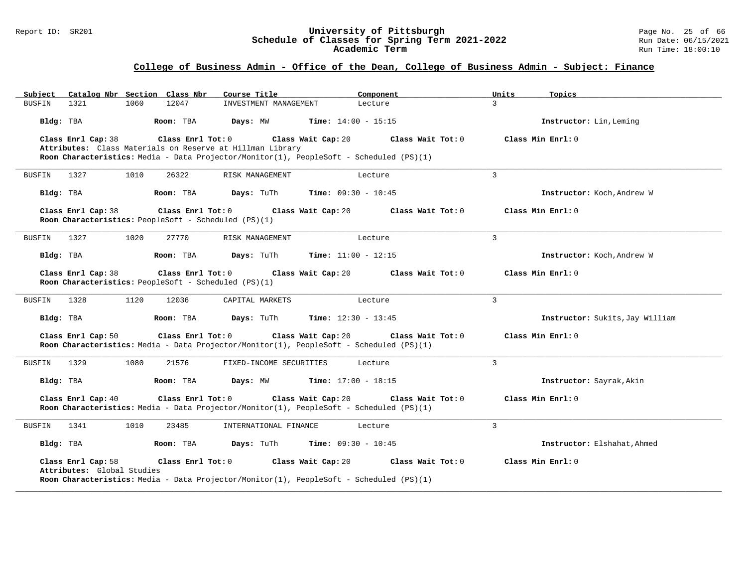#### Report ID: SR201 **University of Pittsburgh** Page No. 25 of 66 **Schedule of Classes for Spring Term 2021-2022** Run Date: 06/15/2021 **Academic Term** Run Time: 18:00:10

| Catalog Nbr Section Class Nbr<br>Subject                                                                                                                                | Course Title            | Component                    | Units<br>Topics                 |
|-------------------------------------------------------------------------------------------------------------------------------------------------------------------------|-------------------------|------------------------------|---------------------------------|
| 1321<br>1060<br>12047<br>BUSFIN                                                                                                                                         | INVESTMENT MANAGEMENT   | Lecture                      | 3                               |
| Bldg: TBA<br>Room: TBA                                                                                                                                                  | Days: MW                | <b>Time:</b> $14:00 - 15:15$ | Instructor: Lin, Leming         |
| Class Enrl Cap: 38<br>Class Enrl Tot: 0                                                                                                                                 | Class Wait Cap: 20      | Class Wait Tot: 0            | Class Min Enrl: 0               |
| Attributes: Class Materials on Reserve at Hillman Library<br>Room Characteristics: Media - Data Projector/Monitor(1), PeopleSoft - Scheduled (PS)(1)                    |                         |                              |                                 |
|                                                                                                                                                                         |                         |                              |                                 |
| 1327<br>1010<br>26322<br><b>BUSFIN</b>                                                                                                                                  | RISK MANAGEMENT         | Lecture                      | $\overline{3}$                  |
| Bldg: TBA<br>Room: TBA                                                                                                                                                  | Days: TuTh              | <b>Time:</b> $09:30 - 10:45$ | Instructor: Koch, Andrew W      |
| Class Enrl Cap: 38<br>Class Enrl Tot: 0<br>Room Characteristics: PeopleSoft - Scheduled (PS)(1)                                                                         | Class Wait Cap: 20      | Class Wait Tot: 0            | Class Min Enrl: 0               |
| BUSFIN<br>1327<br>1020<br>27770                                                                                                                                         | RISK MANAGEMENT         | Lecture                      | 3                               |
| Bldg: TBA<br>Room: TBA                                                                                                                                                  | Days: TuTh              | <b>Time:</b> $11:00 - 12:15$ | Instructor: Koch, Andrew W      |
| Class Enrl Cap: 38<br>Class Enrl Tot: 0<br>Room Characteristics: PeopleSoft - Scheduled (PS)(1)                                                                         | Class Wait Cap: 20      | Class Wait Tot: 0            | Class Min Enrl: 0               |
| <b>BUSFIN</b><br>1328<br>1120<br>12036                                                                                                                                  | CAPITAL MARKETS         | Lecture                      | 3                               |
| Bldg: TBA<br>Room: TBA                                                                                                                                                  | Days: TuTh              | <b>Time:</b> $12:30 - 13:45$ | Instructor: Sukits, Jay William |
| Class Enrl Tot: 0<br>Class Enrl Cap: 50                                                                                                                                 | Class Wait Cap: 20      | Class Wait Tot: 0            | Class Min Enrl: 0               |
| Room Characteristics: Media - Data Projector/Monitor(1), PeopleSoft - Scheduled (PS)(1)                                                                                 |                         |                              |                                 |
| 1329<br>1080<br>21576<br>BUSFIN                                                                                                                                         | FIXED-INCOME SECURITIES | Lecture                      | 3                               |
| Bldg: TBA<br>Room: TBA                                                                                                                                                  | Days: MW                | <b>Time:</b> $17:00 - 18:15$ | Instructor: Sayrak, Akin        |
| Class Enrl Cap: 40<br>Class Enrl Tot: 0<br>Room Characteristics: Media - Data Projector/Monitor(1), PeopleSoft - Scheduled (PS)(1)                                      | Class Min Enrl: 0       |                              |                                 |
| 1010<br>23485<br><b>BUSFIN</b><br>1341                                                                                                                                  | INTERNATIONAL FINANCE   | Lecture                      | 3                               |
| Bldg: TBA<br>Room: TBA                                                                                                                                                  | Days: TuTh              | <b>Time:</b> $09:30 - 10:45$ | Instructor: Elshahat, Ahmed     |
| Class Enrl Cap: 58<br>Class Enrl Tot: 0<br>Attributes: Global Studies<br><b>Room Characteristics:</b> Media - Data Projector/Monitor(1), PeopleSoft - Scheduled (PS)(1) | Class Wait Cap: 20      | Class Wait Tot: 0            | Class Min Enrl: 0               |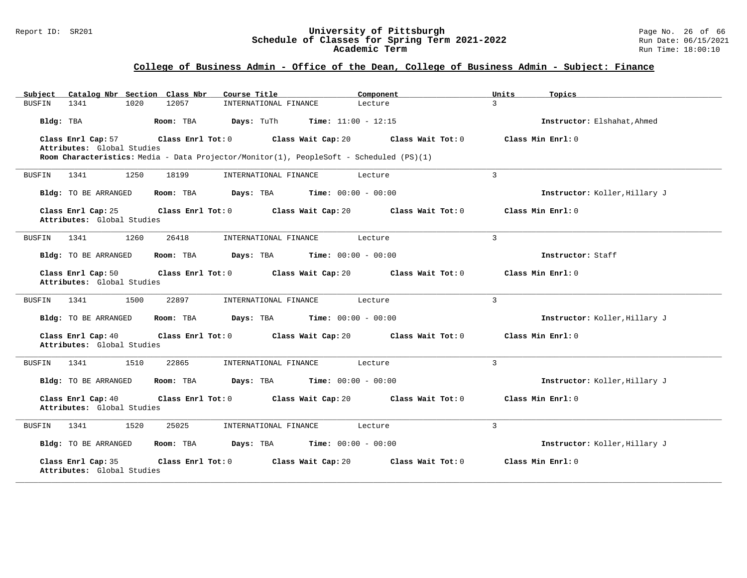#### Report ID: SR201 **University of Pittsburgh** Page No. 26 of 66 **Schedule of Classes for Spring Term 2021-2022** Run Date: 06/15/2021 **Academic Term** Run Time: 18:00:10

| Catalog Nbr Section Class Nbr<br>Subject                              | Course Title<br>Component                                                                                                          | Units<br>Topics               |
|-----------------------------------------------------------------------|------------------------------------------------------------------------------------------------------------------------------------|-------------------------------|
| 1341<br>1020<br>12057<br>BUSFIN                                       | INTERNATIONAL FINANCE<br>Lecture                                                                                                   | $\mathbf{R}$                  |
| Bldg: TBA<br>Room: TBA                                                | Days: TuTh<br><b>Time:</b> $11:00 - 12:15$                                                                                         | Instructor: Elshahat, Ahmed   |
| Class Enrl Cap: 57<br>Class Enrl Tot: 0<br>Attributes: Global Studies | Class Wait Cap: 20<br>Class Wait Tot: 0<br>Room Characteristics: Media - Data Projector/Monitor(1), PeopleSoft - Scheduled (PS)(1) | Class Min Enrl: 0             |
| 1341<br>1250<br>18199<br><b>BUSFIN</b>                                | INTERNATIONAL FINANCE<br>Lecture                                                                                                   | $\overline{3}$                |
| Bldg: TO BE ARRANGED<br>Room: TBA                                     | Days: TBA<br><b>Time:</b> $00:00 - 00:00$                                                                                          | Instructor: Koller, Hillary J |
| Class Enrl Cap: 25<br>Class Enrl Tot: 0<br>Attributes: Global Studies | Class Wait Cap: 20<br>Class Wait Tot: 0                                                                                            | Class Min Enrl: 0             |
| 1341<br>1260<br>26418<br>BUSFIN                                       | INTERNATIONAL FINANCE<br>Lecture                                                                                                   | $\overline{3}$                |
| Bldg: TO BE ARRANGED<br>Room: TBA                                     | Days: TBA<br><b>Time:</b> $00:00 - 00:00$                                                                                          | Instructor: Staff             |
| Class Enrl Cap: 50<br>Class Enrl Tot: 0<br>Attributes: Global Studies | Class Wait Cap: 20<br>Class Wait Tot: 0                                                                                            | Class Min Enrl: 0             |
| 1500<br>22897<br>1341<br>BUSFIN                                       | INTERNATIONAL FINANCE<br>Lecture                                                                                                   | $\overline{3}$                |
| Bldg: TO BE ARRANGED<br>Room: TBA                                     | Days: TBA<br><b>Time:</b> $00:00 - 00:00$                                                                                          | Instructor: Koller, Hillary J |
| Class Enrl Cap: 40<br>Class Enrl Tot: 0<br>Attributes: Global Studies | Class Wait Cap: 20<br>Class Wait Tot: 0                                                                                            | Class Min Enrl: 0             |
| 1341<br>1510<br>22865<br>BUSFIN                                       | INTERNATIONAL FINANCE<br>Lecture                                                                                                   | 3                             |
| Bldg: TO BE ARRANGED<br>Room: TBA                                     | <b>Time:</b> $00:00 - 00:00$<br>Days: TBA                                                                                          | Instructor: Koller, Hillary J |
| Class Enrl Cap: 40<br>Class Enrl Tot: 0<br>Attributes: Global Studies | Class Wait Cap: 20<br>Class Wait Tot: 0                                                                                            | Class Min Enrl: 0             |
| 1341<br>1520<br>25025<br>BUSFIN                                       | INTERNATIONAL FINANCE<br>Lecture                                                                                                   | $\overline{3}$                |
| Bldg: TO BE ARRANGED<br>Room: TBA                                     | <b>Time:</b> $00:00 - 00:00$<br>Days: TBA                                                                                          | Instructor: Koller, Hillary J |
| Class Enrl Cap: 35<br>Class Enrl Tot: 0<br>Attributes: Global Studies | Class Wait Cap: 20<br>Class Wait Tot: 0                                                                                            | Class Min Enrl: 0             |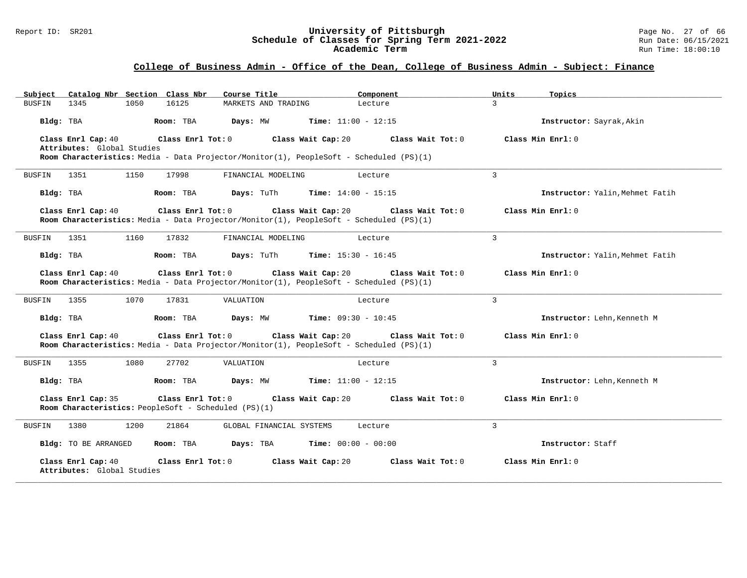#### Report ID: SR201 **University of Pittsburgh** Page No. 27 of 66 **Schedule of Classes for Spring Term 2021-2022** Run Date: 06/15/2021 **Academic Term** Run Time: 18:00:10

| Catalog Nbr Section Class Nbr<br>Subject                                                                                                                         | Course Title             | Component                    | Units<br>Topics   |                                 |
|------------------------------------------------------------------------------------------------------------------------------------------------------------------|--------------------------|------------------------------|-------------------|---------------------------------|
| 1345<br>1050<br>16125<br>BUSFIN                                                                                                                                  | MARKETS AND TRADING      | Lecture                      | $\mathcal{L}$     |                                 |
| Bldg: TBA<br>Room: TBA                                                                                                                                           | Days: MW                 | <b>Time:</b> $11:00 - 12:15$ |                   | Instructor: Sayrak, Akin        |
| Class Enrl Cap: 40<br>Class Enrl Tot: 0<br>Attributes: Global Studies<br>Room Characteristics: Media - Data Projector/Monitor(1), PeopleSoft - Scheduled (PS)(1) | Class Wait Cap: 20       | Class Wait Tot: 0            | Class Min Enrl: 0 |                                 |
| 1351<br>1150<br>17998<br><b>BUSFIN</b>                                                                                                                           | FINANCIAL MODELING       | Lecture                      | $\overline{3}$    |                                 |
| Bldg: TBA<br>Room: TBA                                                                                                                                           | Days: TuTh               | <b>Time:</b> $14:00 - 15:15$ |                   | Instructor: Yalin, Mehmet Fatih |
| Class Enrl Cap: 40<br>Class Enrl Tot: 0<br>Room Characteristics: Media - Data Projector/Monitor(1), PeopleSoft - Scheduled (PS)(1)                               | Class Wait Cap: 20       | Class Wait Tot: 0            | Class Min Enrl: 0 |                                 |
| 1351<br>1160<br>17832<br>BUSFIN                                                                                                                                  | FINANCIAL MODELING       | Lecture                      | $\mathbf{3}$      |                                 |
| Bldg: TBA<br>Room: TBA                                                                                                                                           | Days: TuTh               | <b>Time:</b> $15:30 - 16:45$ |                   | Instructor: Yalin, Mehmet Fatih |
| Class Enrl Cap: 40<br>Class Enrl Tot: 0<br>Room Characteristics: Media - Data Projector/Monitor(1), PeopleSoft - Scheduled (PS)(1)                               | Class Wait Cap: 20       | Class Wait Tot: 0            | Class Min Enrl: 0 |                                 |
| 1070<br>17831<br>1355<br><b>BUSFIN</b>                                                                                                                           | VALUATION                | Lecture                      | 3                 |                                 |
| Bldg: TBA<br>Room: TBA                                                                                                                                           | Days: MW                 | <b>Time:</b> $09:30 - 10:45$ |                   | Instructor: Lehn, Kenneth M     |
| Class Enrl Cap: 40<br>Class Enrl Tot: 0<br>Room Characteristics: Media - Data Projector/Monitor(1), PeopleSoft - Scheduled (PS)(1)                               | Class Wait Cap: 20       | Class Wait Tot: 0            | Class Min Enrl: 0 |                                 |
| 1355<br>1080<br>27702<br>BUSFIN                                                                                                                                  | VALUATION                | Lecture                      | 3                 |                                 |
| Bldg: TBA<br>Room: TBA                                                                                                                                           | Days: MW                 | <b>Time:</b> $11:00 - 12:15$ |                   | Instructor: Lehn, Kenneth M     |
| Class Enrl Cap: 35<br>Class Enrl Tot: 0<br>Room Characteristics: PeopleSoft - Scheduled (PS)(1)                                                                  | Class Wait Cap: 20       | Class Wait Tot: 0            | Class Min Enrl: 0 |                                 |
| 1380<br>1200<br>21864<br>BUSFIN                                                                                                                                  | GLOBAL FINANCIAL SYSTEMS | Lecture                      | 3                 |                                 |
| Bldg: TO BE ARRANGED<br>Room: TBA                                                                                                                                | Days: TBA                | <b>Time:</b> $00:00 - 00:00$ | Instructor: Staff |                                 |
| Class Enrl Cap: 40<br>Class Enrl Tot: 0<br>Attributes: Global Studies                                                                                            | Class Wait Cap: 20       | Class Wait Tot: 0            | Class Min Enrl: 0 |                                 |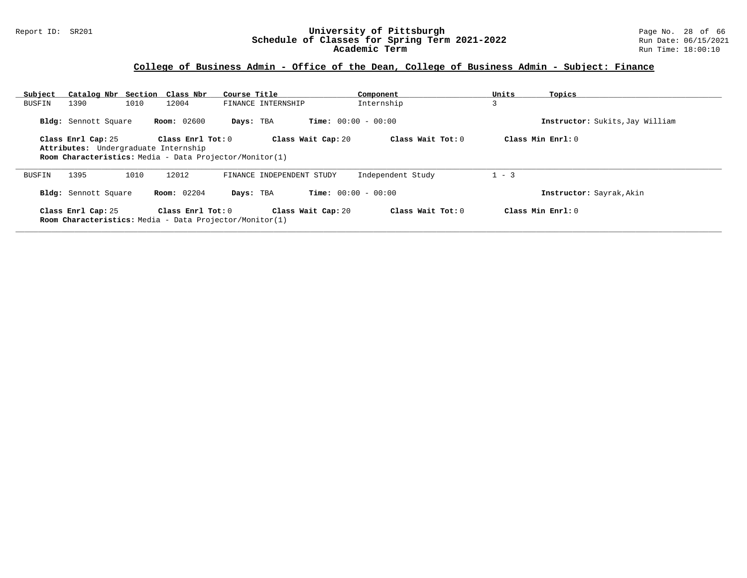#### Report ID: SR201 **University of Pittsburgh** Page No. 28 of 66 **Schedule of Classes for Spring Term 2021-2022** Run Date: 06/15/2021 **Academic Term** Run Time: 18:00:10

| Subject |                      | Catalog Nbr Section Class Nbr                                                                                        | Course Title              | Component                    | Units   | Topics                          |
|---------|----------------------|----------------------------------------------------------------------------------------------------------------------|---------------------------|------------------------------|---------|---------------------------------|
| BUSFIN  | 1390                 | 1010<br>12004                                                                                                        | FINANCE INTERNSHIP        | Internship                   | 3       |                                 |
|         | Bldg: Sennott Square | <b>Room:</b> 02600                                                                                                   | Days: TBA                 | <b>Time:</b> $00:00 - 00:00$ |         | Instructor: Sukits, Jay William |
|         | Class Enrl Cap: 25   | Class Enrl Tot: 0<br>Attributes: Undergraduate Internship<br>Room Characteristics: Media - Data Projector/Monitor(1) | Class Wait Cap: 20        | Class Wait Tot: 0            |         | Class Min $Enr1: 0$             |
| BUSFIN  | 1395                 | 1010<br>12012                                                                                                        | FINANCE INDEPENDENT STUDY | Independent Study            | $1 - 3$ |                                 |
|         | Bldg: Sennott Square | Room: 02204                                                                                                          | Days: TBA                 | <b>Time:</b> $00:00 - 00:00$ |         | Instructor: Sayrak, Akin        |
|         | Class Enrl Cap: 25   | Class $Enr1$ Tot: $0$<br><b>Room Characteristics:</b> Media - Data Projector/Monitor(1)                              | Class Wait Cap: 20        | Class Wait Tot: 0            |         | Class Min $Enrl: 0$             |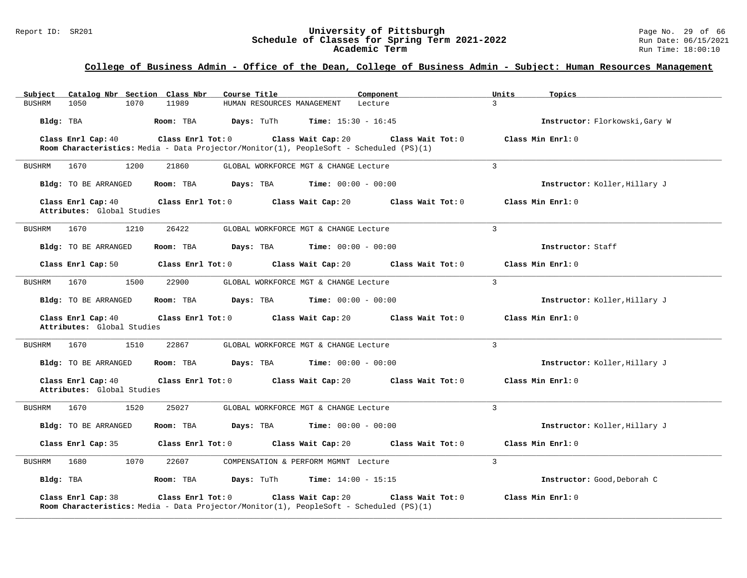#### Report ID: SR201 **University of Pittsburgh** Page No. 29 of 66 **Schedule of Classes for Spring Term 2021-2022** Run Date: 06/15/2021 **Academic Term** Run Time: 18:00:10

### **College of Business Admin - Office of the Dean, College of Business Admin - Subject: Human Resources Management**

| Catalog Nbr Section Class Nbr<br>Subject         | Course Title                                                                                                 | Component                               | Units<br>Topics                |
|--------------------------------------------------|--------------------------------------------------------------------------------------------------------------|-----------------------------------------|--------------------------------|
| 1070<br><b>BUSHRM</b><br>1050                    | 11989<br>HUMAN RESOURCES MANAGEMENT                                                                          | Lecture                                 | $\overline{3}$                 |
| Bldg: TBA                                        | Days: TuTh<br>Room: TBA                                                                                      | <b>Time:</b> $15:30 - 16:45$            | Instructor: Florkowski, Gary W |
| Class Enrl Cap: 40                               | Class Enrl Tot: 0                                                                                            | Class Wait Cap: 20<br>Class Wait Tot: 0 | Class Min Enrl: 0              |
|                                                  | Room Characteristics: Media - Data Projector/Monitor(1), PeopleSoft - Scheduled (PS)(1)                      |                                         |                                |
| 1670<br>1200<br><b>BUSHRM</b>                    | 21860                                                                                                        | GLOBAL WORKFORCE MGT & CHANGE Lecture   | 3                              |
| Bldg: TO BE ARRANGED                             | Room: TBA<br>Days: TBA                                                                                       | <b>Time:</b> $00:00 - 00:00$            | Instructor: Koller, Hillary J  |
| Class Enrl Cap: 40<br>Attributes: Global Studies | Class Enrl Tot: 0                                                                                            | Class Wait Cap: 20<br>Class Wait Tot: 0 | Class Min Enrl: 0              |
| 1210<br>1670<br><b>BUSHRM</b>                    | 26422                                                                                                        | GLOBAL WORKFORCE MGT & CHANGE Lecture   | 3                              |
| <b>Bldg:</b> TO BE ARRANGED                      | Room: TBA<br>Days: TBA                                                                                       | <b>Time:</b> $00:00 - 00:00$            | Instructor: Staff              |
| Class Enrl Cap: 50                               | Class Enrl Tot: 0                                                                                            | Class Wait Cap: 20<br>Class Wait Tot: 0 | Class Min Enrl: 0              |
| 1670<br>1500<br><b>BUSHRM</b>                    | 22900                                                                                                        | GLOBAL WORKFORCE MGT & CHANGE Lecture   | 3                              |
| <b>Bldg:</b> TO BE ARRANGED                      | Days: TBA<br>Room: TBA                                                                                       | Time: $00:00 - 00:00$                   | Instructor: Koller, Hillary J  |
| Class Enrl Cap: 40<br>Attributes: Global Studies | Class Enrl Tot: 0                                                                                            | Class Wait Cap: 20<br>Class Wait Tot: 0 | Class Min Enrl: 0              |
| 1510<br><b>BUSHRM</b><br>1670                    | 22867                                                                                                        | GLOBAL WORKFORCE MGT & CHANGE Lecture   | $\overline{3}$                 |
| Bldg: TO BE ARRANGED                             | Room: TBA<br>Days: TBA                                                                                       | <b>Time:</b> $00:00 - 00:00$            | Instructor: Koller, Hillary J  |
| Class Enrl Cap: 40<br>Attributes: Global Studies | Class Enrl Tot: 0                                                                                            | Class Wait Tot: 0<br>Class Wait Cap: 20 | Class Min Enrl: 0              |
| 1520<br>1670<br><b>BUSHRM</b>                    | 25027                                                                                                        | GLOBAL WORKFORCE MGT & CHANGE Lecture   | 3                              |
| <b>Bldg:</b> TO BE ARRANGED                      | Room: TBA<br>Days: TBA                                                                                       | <b>Time:</b> $00:00 - 00:00$            | Instructor: Koller, Hillary J  |
| Class Enrl Cap: 35                               | Class Enrl Tot: 0                                                                                            | Class Wait Cap: 20<br>Class Wait Tot: 0 | Class Min Enrl: 0              |
| 1680<br>1070<br><b>BUSHRM</b>                    | 22607                                                                                                        | COMPENSATION & PERFORM MGMNT Lecture    | 3                              |
| Bldg: TBA                                        | Room: TBA<br>Days: TuTh                                                                                      | <b>Time:</b> $14:00 - 15:15$            | Instructor: Good, Deborah C    |
| Class Enrl Cap: 38                               | Class Enrl Tot: 0<br>Room Characteristics: Media - Data Projector/Monitor(1), PeopleSoft - Scheduled (PS)(1) | Class Wait Cap: 20<br>Class Wait Tot: 0 | Class Min Enrl: 0              |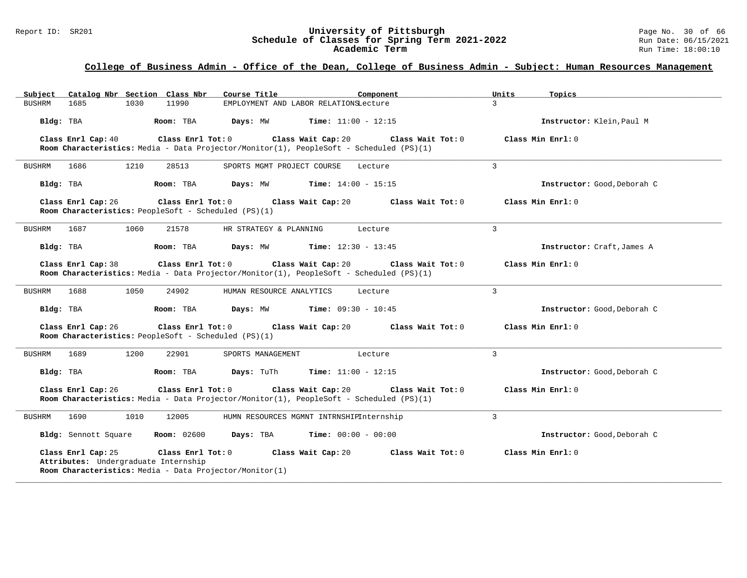# Report ID: SR201 **University of Pittsburgh University of Pittsburgh** Page No. 30 of 66<br>**Schedule of Classes for Spring Term 2021-2022** Run Date: 06/15/2021 Schedule of Classes for Spring Term 2021-2022<br>Academic Term

### **College of Business Admin - Office of the Dean, College of Business Admin - Subject: Human Resources Management**

| Subject Catalog Nbr Section Class Nbr                                                                                                                                                                      | Course Title<br>Component                                                                                                                            | Units<br>Topics             |  |  |  |  |
|------------------------------------------------------------------------------------------------------------------------------------------------------------------------------------------------------------|------------------------------------------------------------------------------------------------------------------------------------------------------|-----------------------------|--|--|--|--|
| <b>BUSHRM</b><br>1685<br>1030<br>11990                                                                                                                                                                     | EMPLOYMENT AND LABOR RELATIONSLecture                                                                                                                | $\mathcal{L}$               |  |  |  |  |
| Bldg: TBA<br>Room: TBA                                                                                                                                                                                     | Time: $11:00 - 12:15$<br>Days: MW                                                                                                                    | Instructor: Klein, Paul M   |  |  |  |  |
| Class Enrl Tot: 0<br>Class Enrl Cap: 40                                                                                                                                                                    | Class Wait Cap: 20<br>Class Wait Tot: 0<br>Room Characteristics: Media - Data Projector/Monitor(1), PeopleSoft - Scheduled (PS)(1)                   | Class Min Enrl: 0           |  |  |  |  |
| 1686<br>1210<br>28513<br>BUSHRM                                                                                                                                                                            | SPORTS MGMT PROJECT COURSE<br>Lecture                                                                                                                | $\overline{3}$              |  |  |  |  |
| Bldg: TBA<br>Room: TBA                                                                                                                                                                                     | Days: MW<br><b>Time:</b> $14:00 - 15:15$                                                                                                             | Instructor: Good, Deborah C |  |  |  |  |
| Class Enrl Cap: 26<br>Room Characteristics: PeopleSoft - Scheduled (PS)(1)                                                                                                                                 | Class Enrl Tot: 0 Class Wait Cap: 20<br>Class Wait Tot: 0                                                                                            | Class Min Enrl: 0           |  |  |  |  |
| 1687<br>1060<br>21578<br>BUSHRM                                                                                                                                                                            | HR STRATEGY & PLANNING<br>Lecture                                                                                                                    | 3                           |  |  |  |  |
| Bldg: TBA<br>Room: TBA                                                                                                                                                                                     | Days: MW<br><b>Time:</b> $12:30 - 13:45$                                                                                                             | Instructor: Craft, James A  |  |  |  |  |
| Class Enrl Cap: 38                                                                                                                                                                                         | Class Enrl Tot: 0 Class Wait Cap: 20<br>Class Wait Tot: 0<br>Room Characteristics: Media - Data Projector/Monitor(1), PeopleSoft - Scheduled (PS)(1) | Class Min Enrl: 0           |  |  |  |  |
| 1688<br>1050<br>24902<br>BUSHRM                                                                                                                                                                            | HUMAN RESOURCE ANALYTICS<br>Lecture                                                                                                                  | 3                           |  |  |  |  |
| Bldg: TBA<br>Room: TBA                                                                                                                                                                                     | Days: MW<br><b>Time:</b> $09:30 - 10:45$                                                                                                             | Instructor: Good, Deborah C |  |  |  |  |
| Class Enrl Cap: 26<br>Class Enrl Tot: 0<br>Room Characteristics: PeopleSoft - Scheduled (PS)(1)                                                                                                            | Class Wait Cap: 20<br>Class Wait Tot: 0                                                                                                              | Class Min Enrl: 0           |  |  |  |  |
| <b>BUSHRM</b><br>1200<br>22901<br>1689                                                                                                                                                                     | SPORTS MANAGEMENT<br>Lecture                                                                                                                         | 3                           |  |  |  |  |
| Bldg: TBA<br>Room: TBA                                                                                                                                                                                     | Days: TuTh<br><b>Time:</b> $11:00 - 12:15$                                                                                                           | Instructor: Good, Deborah C |  |  |  |  |
| Class Enrl Cap: 26<br>Class Enrl Tot: 0                                                                                                                                                                    | Class Wait Cap: 20<br>Class Wait Tot: 0<br>Room Characteristics: Media - Data Projector/Monitor(1), PeopleSoft - Scheduled (PS)(1)                   | Class Min Enrl: 0           |  |  |  |  |
| 1690<br>1010<br>12005<br><b>BUSHRM</b>                                                                                                                                                                     | HUMN RESOURCES MGMNT INTRNSHIPInternship                                                                                                             | 3                           |  |  |  |  |
| Bldg: Sennott Square<br><b>Room:</b> 02600                                                                                                                                                                 | Days: TBA<br><b>Time:</b> $00:00 - 00:00$                                                                                                            | Instructor: Good, Deborah C |  |  |  |  |
| Class Enrl Cap: 25<br>Class Enrl Tot: 0<br>Class Wait Cap: 20<br>Class Wait Tot: 0<br>Class Min Enrl: 0<br>Attributes: Undergraduate Internship<br>Room Characteristics: Media - Data Projector/Monitor(1) |                                                                                                                                                      |                             |  |  |  |  |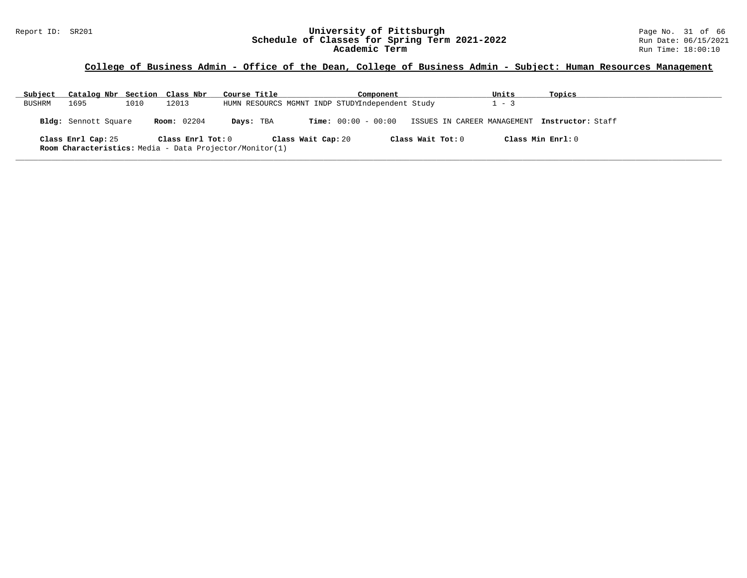#### Report ID: SR201 **University of Pittsburgh** Page No. 31 of 66 **Schedule of Classes for Spring Term 2021-2022** Run Date: 06/15/2021 **Academic Term** Run Time: 18:00:10

### **College of Business Admin - Office of the Dean, College of Business Admin - Subject: Human Resources Management**

| Subject | Catalog Nbr Section Class Nbr                                                 |      |                    | Course Title |                                                 |                       | Component |                   | Units                       | Topics             |  |
|---------|-------------------------------------------------------------------------------|------|--------------------|--------------|-------------------------------------------------|-----------------------|-----------|-------------------|-----------------------------|--------------------|--|
| BUSHRM  | 1695                                                                          | 1010 | 12013              |              | HUMN RESOURCS MGMNT INDP STUDYIndependent Study |                       |           |                   | $-3$                        |                    |  |
|         | Bldg: Sennott Square                                                          |      | <b>Room:</b> 02204 | Days: TBA    |                                                 | $Time: 00:00 - 00:00$ |           |                   | ISSUES IN CAREER MANAGEMENT | Instructor: Staff  |  |
|         | Class Enrl Cap: 25<br>Room Characteristics: Media - Data Projector/Monitor(1) |      | Class Enrl Tot: 0  |              | Class Wait Cap: 20                              |                       |           | Class Wait Tot: 0 |                             | Class Min Ernst: 0 |  |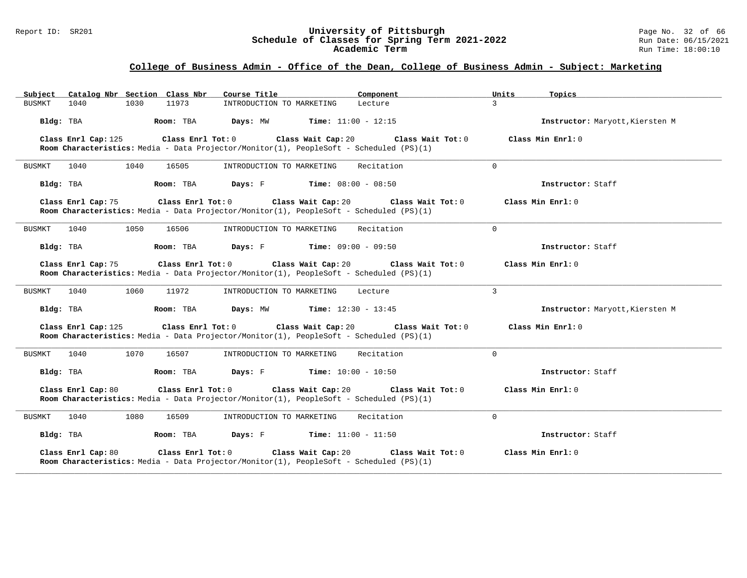#### Report ID: SR201 **University of Pittsburgh** Page No. 32 of 66 **Schedule of Classes for Spring Term 2021-2022** Run Date: 06/15/2021 **Academic Term** Run Time: 18:00:10

| Catalog Nbr Section Class Nbr<br>Subject | Course Title                                                                                                                       | Component                | Units<br>Topics                 |
|------------------------------------------|------------------------------------------------------------------------------------------------------------------------------------|--------------------------|---------------------------------|
| 1030<br>BUSMKT<br>1040                   | 11973<br>INTRODUCTION TO MARKETING                                                                                                 | $\mathcal{L}$<br>Lecture |                                 |
| Room: TBA<br>Bldg: TBA                   | Days: MW<br><b>Time:</b> $11:00 - 12:15$                                                                                           |                          | Instructor: Maryott, Kiersten M |
| Class Enrl Cap: 125                      | Class Enrl Tot: 0<br>Class Wait Cap: 20<br>Room Characteristics: Media - Data Projector/Monitor(1), PeopleSoft - Scheduled (PS)(1) | Class Wait Tot: 0        | Class Min Enrl: 0               |
| <b>BUSMKT</b><br>1040<br>1040            | 16505<br>INTRODUCTION TO MARKETING                                                                                                 | $\Omega$<br>Recitation   |                                 |
| Bldg: TBA<br>Room: TBA                   | Days: F<br><b>Time:</b> $08:00 - 08:50$                                                                                            |                          | Instructor: Staff               |
| Class Enrl Cap: 75                       | Class Enrl Tot: 0 Class Wait Cap: 20<br>Room Characteristics: Media - Data Projector/Monitor(1), PeopleSoft - Scheduled (PS)(1)    | Class Wait Tot: 0        | Class Min Enrl: 0               |
| 1050<br>BUSMKT<br>1040                   | 16506<br>INTRODUCTION TO MARKETING                                                                                                 | $\Omega$<br>Recitation   |                                 |
| Room: TBA<br>Bldg: TBA                   | Days: F<br><b>Time:</b> $09:00 - 09:50$                                                                                            |                          | Instructor: Staff               |
| Class Enrl Cap: 75                       | Class Enrl Tot: 0 Class Wait Cap: 20<br>Room Characteristics: Media - Data Projector/Monitor(1), PeopleSoft - Scheduled (PS)(1)    | Class Wait Tot: 0        | Class Min Enrl: 0               |
| 1040<br>1060<br>BUSMKT                   | 11972<br>INTRODUCTION TO MARKETING                                                                                                 | 3<br>Lecture             |                                 |
| Bldg: TBA<br>Room: TBA                   | Days: MW<br><b>Time:</b> $12:30 - 13:45$                                                                                           |                          | Instructor: Maryott, Kiersten M |
| Class Enrl Cap: 125                      | Class Enrl Tot: 0<br>Class Wait Cap: 20<br>Room Characteristics: Media - Data Projector/Monitor(1), PeopleSoft - Scheduled (PS)(1) | Class Wait Tot: 0        | Class Min Enrl: 0               |
| BUSMKT<br>1040<br>1070                   | 16507<br>INTRODUCTION TO MARKETING                                                                                                 | Recitation<br>$\Omega$   |                                 |
| Bldg: TBA<br>Room: TBA                   | Days: F<br><b>Time:</b> $10:00 - 10:50$                                                                                            |                          | Instructor: Staff               |
| Class Enrl Cap: 80                       | Class Enrl Tot: 0<br>Class Wait Cap: 20<br>Room Characteristics: Media - Data Projector/Monitor(1), PeopleSoft - Scheduled (PS)(1) | Class Wait Tot: 0        | Class Min Enrl: 0               |
| 1040<br>1080<br>BUSMKT                   | 16509<br>INTRODUCTION TO MARKETING                                                                                                 | Recitation<br>$\Omega$   |                                 |
| Room: TBA<br>Bldg: TBA                   | Days: F<br><b>Time:</b> $11:00 - 11:50$                                                                                            |                          | Instructor: Staff               |
| Class Enrl Cap: 80                       | Class Wait Cap: 20<br>Class Enrl Tot: 0<br>Room Characteristics: Media - Data Projector/Monitor(1), PeopleSoft - Scheduled (PS)(1) | Class Wait Tot: 0        | Class Min Enrl: 0               |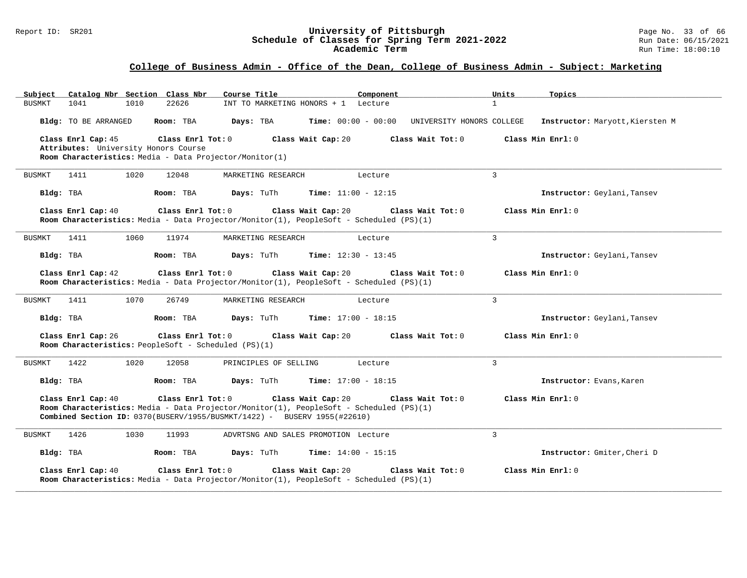#### Report ID: SR201 **University of Pittsburgh** Page No. 33 of 66 **Schedule of Classes for Spring Term 2021-2022** Run Date: 06/15/2021 **Academic Term** Run Time: 18:00:10

| Catalog Nbr Section Class Nbr<br>Subject                                                                                                                                                                                                                                                  | Course Title<br>Component                                                                                                          | Units<br>Topics                 |  |  |  |  |
|-------------------------------------------------------------------------------------------------------------------------------------------------------------------------------------------------------------------------------------------------------------------------------------------|------------------------------------------------------------------------------------------------------------------------------------|---------------------------------|--|--|--|--|
| 1041<br>1010<br>22626<br><b>BUSMKT</b>                                                                                                                                                                                                                                                    | INT TO MARKETING HONORS + 1 Lecture                                                                                                | $\mathbf{1}$                    |  |  |  |  |
| Bldg: TO BE ARRANGED<br>Room: TBA                                                                                                                                                                                                                                                         | Days: TBA<br><b>Time:</b> $00:00 - 00:00$<br>UNIVERSITY HONORS COLLEGE                                                             | Instructor: Maryott, Kiersten M |  |  |  |  |
| Class Enrl Cap: 45<br>Class Enrl Tot: 0<br>Attributes: University Honors Course<br>Room Characteristics: Media - Data Projector/Monitor(1)                                                                                                                                                | Class Wait Cap: 20<br>Class Wait Tot: 0                                                                                            | Class Min Enrl: 0               |  |  |  |  |
| 1020<br>12048<br><b>BUSMKT</b><br>1411                                                                                                                                                                                                                                                    | MARKETING RESEARCH<br>Lecture                                                                                                      | $\overline{3}$                  |  |  |  |  |
| Bldg: TBA<br>Room: TBA                                                                                                                                                                                                                                                                    | <b>Time:</b> $11:00 - 12:15$<br>Days: TuTh                                                                                         | Instructor: Geylani, Tansev     |  |  |  |  |
| Class Enrl Tot: 0<br>Class Enrl Cap: 40                                                                                                                                                                                                                                                   | Class Wait Cap: 20<br>Class Wait Tot: 0<br>Room Characteristics: Media - Data Projector/Monitor(1), PeopleSoft - Scheduled (PS)(1) | Class Min Enrl: 0               |  |  |  |  |
| 1411<br>1060<br>11974<br>BUSMKT                                                                                                                                                                                                                                                           | MARKETING RESEARCH<br>Lecture                                                                                                      | 3                               |  |  |  |  |
| Bldg: TBA<br>Room: TBA                                                                                                                                                                                                                                                                    | Days: TuTh<br><b>Time:</b> $12:30 - 13:45$                                                                                         | Instructor: Geylani, Tansev     |  |  |  |  |
| Class Enrl Cap: 42<br>Class Enrl Tot: 0                                                                                                                                                                                                                                                   | Class Wait Cap: 20<br>Class Wait Tot: 0<br>Room Characteristics: Media - Data Projector/Monitor(1), PeopleSoft - Scheduled (PS)(1) | Class Min Enrl: 0               |  |  |  |  |
| <b>BUSMKT</b><br>1411<br>1070<br>26749                                                                                                                                                                                                                                                    | MARKETING RESEARCH<br>Lecture                                                                                                      | 3                               |  |  |  |  |
| Bldg: TBA<br>Room: TBA                                                                                                                                                                                                                                                                    | <b>Time:</b> $17:00 - 18:15$<br><b>Days:</b> TuTh                                                                                  | Instructor: Geylani, Tansev     |  |  |  |  |
| Class Enrl Cap: 26<br>Class Enrl Tot: 0<br>Room Characteristics: PeopleSoft - Scheduled (PS)(1)                                                                                                                                                                                           | Class Wait Cap: 20<br>Class Wait Tot: 0                                                                                            | Class Min Enrl: 0               |  |  |  |  |
| 1422<br>1020<br>12058<br>BUSMKT                                                                                                                                                                                                                                                           | PRINCIPLES OF SELLING<br>Lecture                                                                                                   | 3                               |  |  |  |  |
| Bldg: TBA<br>Room: TBA                                                                                                                                                                                                                                                                    | Days: TuTh<br><b>Time:</b> $17:00 - 18:15$                                                                                         | Instructor: Evans, Karen        |  |  |  |  |
| Class Enrl Cap: 40<br>Class Enrl Tot: 0<br>Class Wait Cap: 20<br>Class Min Enrl: 0<br>Class Wait Tot: 0<br>Room Characteristics: Media - Data Projector/Monitor(1), PeopleSoft - Scheduled (PS)(1)<br><b>Combined Section ID:</b> $0370(BUSERV/1955/BUSMKT/1422)$ - BUSERV $1955(#22610)$ |                                                                                                                                    |                                 |  |  |  |  |
| 1426<br>1030<br>11993<br>BUSMKT                                                                                                                                                                                                                                                           | ADVRTSNG AND SALES PROMOTION Lecture                                                                                               | $\overline{3}$                  |  |  |  |  |
| Bldg: TBA<br>Room: TBA                                                                                                                                                                                                                                                                    | <b>Time:</b> $14:00 - 15:15$<br>Days: TuTh                                                                                         | Instructor: Gmiter, Cheri D     |  |  |  |  |
| Class Enrl Cap: 40<br>Class Enrl Tot: 0                                                                                                                                                                                                                                                   | Class Wait Cap: 20<br>Class Wait Tot: 0<br>Room Characteristics: Media - Data Projector/Monitor(1), PeopleSoft - Scheduled (PS)(1) | Class Min Enrl: 0               |  |  |  |  |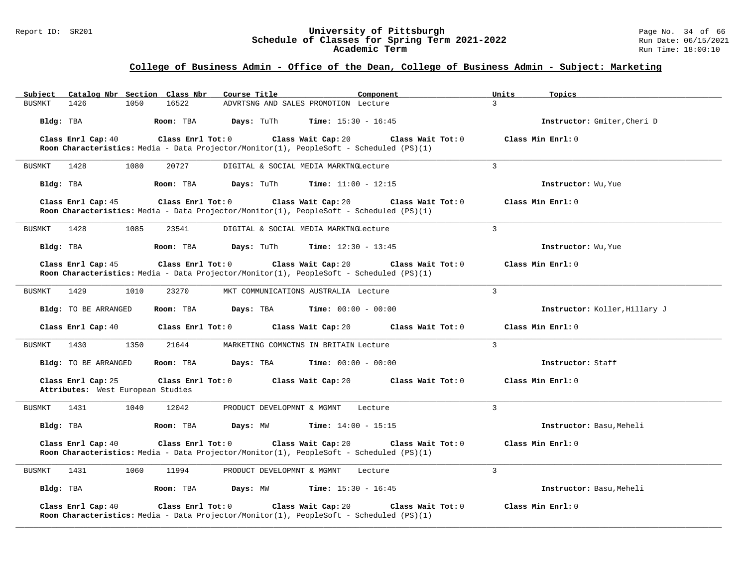#### Report ID: SR201 **University of Pittsburgh** Page No. 34 of 66 **Schedule of Classes for Spring Term 2021-2022** Run Date: 06/15/2021 **Academic Term** Run Time: 18:00:10

# **College of Business Admin - Office of the Dean, College of Business Admin - Subject: Marketing**

| Subject   |                                                         |      | Catalog Nbr Section Class Nbr | Course Title                                                                            |                              | Component         | Units          | Topics                        |
|-----------|---------------------------------------------------------|------|-------------------------------|-----------------------------------------------------------------------------------------|------------------------------|-------------------|----------------|-------------------------------|
| BUSMKT    | 1426                                                    | 1050 | 16522                         | ADVRTSNG AND SALES PROMOTION Lecture                                                    |                              |                   | $\mathcal{L}$  |                               |
| Bldg: TBA |                                                         |      | Room: TBA                     | Days: TuTh                                                                              | <b>Time:</b> $15:30 - 16:45$ |                   |                | Instructor: Gmiter, Cheri D   |
|           | Class Enrl Cap: 40                                      |      | Class Enrl Tot: 0             |                                                                                         | Class Wait Cap: 20           | Class Wait Tot: 0 |                | Class Min Enrl: 0             |
|           |                                                         |      |                               | Room Characteristics: Media - Data Projector/Monitor(1), PeopleSoft - Scheduled (PS)(1) |                              |                   |                |                               |
| BUSMKT    | 1428                                                    | 1080 | 20727                         | DIGITAL & SOCIAL MEDIA MARKTNGLecture                                                   |                              |                   | $\mathcal{L}$  |                               |
| Bldg: TBA |                                                         |      | Room: TBA                     | <b>Days:</b> TuTh                                                                       | <b>Time:</b> $11:00 - 12:15$ |                   |                | Instructor: Wu, Yue           |
|           | Class Enrl Cap: 45                                      |      | Class Enrl Tot: 0             | Room Characteristics: Media - Data Projector/Monitor(1), PeopleSoft - Scheduled (PS)(1) | Class Wait Cap: 20           | Class Wait Tot: 0 |                | Class Min Enrl: 0             |
| BUSMKT    | 1428                                                    | 1085 | 23541                         | DIGITAL & SOCIAL MEDIA MARKTNGLecture                                                   |                              |                   | $\overline{3}$ |                               |
| Bldg: TBA |                                                         |      | Room: TBA                     | Days: TuTh                                                                              | <b>Time:</b> $12:30 - 13:45$ |                   |                | Instructor: Wu, Yue           |
|           | Class Enrl Cap: 45                                      |      | $Class$ $Enr1$ $Tot: 0$       | Room Characteristics: Media - Data Projector/Monitor(1), PeopleSoft - Scheduled (PS)(1) | Class Wait Cap: 20           | Class Wait Tot: 0 |                | Class Min Enrl: 0             |
| BUSMKT    | 1429                                                    | 1010 | 23270                         | MKT COMMUNICATIONS AUSTRALIA Lecture                                                    |                              |                   | $\mathbf{3}$   |                               |
|           | <b>Bldg:</b> TO BE ARRANGED                             |      | Room: TBA                     | Days: TBA                                                                               | <b>Time:</b> $00:00 - 00:00$ |                   |                | Instructor: Koller, Hillary J |
|           | Class Enrl Cap: 40                                      |      | Class Enrl Tot: 0             |                                                                                         | Class Wait Cap: 20           | Class Wait Tot: 0 |                | Class Min Enrl: 0             |
| BUSMKT    | 1430                                                    | 1350 | 21644                         | MARKETING COMNCTNS IN BRITAIN Lecture                                                   |                              |                   | $\overline{3}$ |                               |
|           | Bldg: TO BE ARRANGED                                    |      | Room: TBA                     | Days: TBA                                                                               | <b>Time:</b> $00:00 - 00:00$ |                   |                | Instructor: Staff             |
|           | Class Enrl Cap: 25<br>Attributes: West European Studies |      | Class Enrl Tot: 0             |                                                                                         | Class Wait Cap: 20           | Class Wait Tot: 0 |                | Class Min Enrl: 0             |
| BUSMKT    | 1431                                                    | 1040 | 12042                         | PRODUCT DEVELOPMNT & MGMNT                                                              |                              | Lecture           | 3              |                               |
| Bldg: TBA |                                                         |      | Room: TBA                     | Days: MW                                                                                | Time: $14:00 - 15:15$        |                   |                | Instructor: Basu, Meheli      |
|           | Class Enrl Cap: 40                                      |      | Class Enrl Tot: 0             |                                                                                         | Class Wait Cap: 20           | Class Wait Tot: 0 |                | Class Min Enrl: 0             |
|           |                                                         |      |                               | Room Characteristics: Media - Data Projector/Monitor(1), PeopleSoft - Scheduled (PS)(1) |                              |                   |                |                               |
| BUSMKT    | 1431                                                    | 1060 | 11994                         | PRODUCT DEVELOPMNT & MGMNT                                                              |                              | Lecture           | $\overline{3}$ |                               |
| Bldg: TBA |                                                         |      | Room: TBA                     | Days: MW                                                                                | <b>Time:</b> $15:30 - 16:45$ |                   |                | Instructor: Basu, Meheli      |
|           | Class Enrl Cap: 40                                      |      | Class Enrl Tot: 0             | Room Characteristics: Media - Data Projector/Monitor(1), PeopleSoft - Scheduled (PS)(1) | Class Wait Cap: 20           | Class Wait Tot: 0 |                | Class Min Enrl: 0             |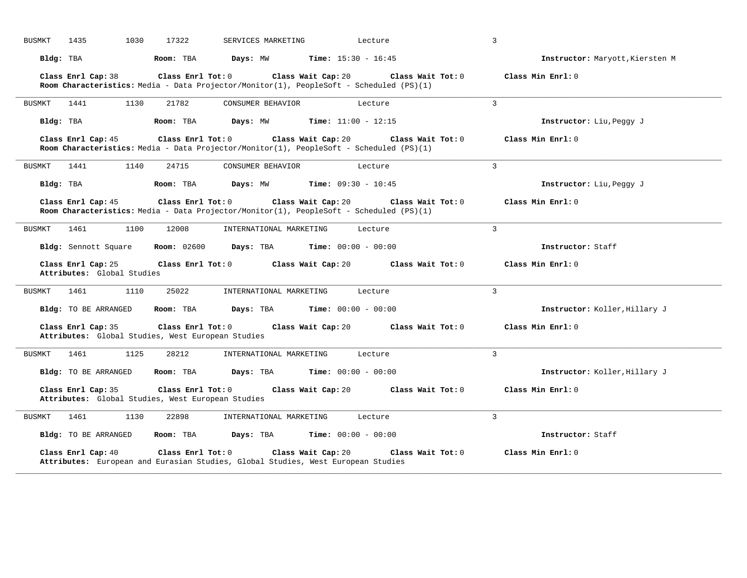| 1435<br>1030<br>17322<br><b>BUSMKT</b>                                                       | SERVICES MARKETING<br>Lecture                                                                                                      | 3                               |
|----------------------------------------------------------------------------------------------|------------------------------------------------------------------------------------------------------------------------------------|---------------------------------|
| Bldg: TBA<br>Room: TBA                                                                       | Days: MW<br><b>Time:</b> $15:30 - 16:45$                                                                                           | Instructor: Maryott, Kiersten M |
| Class Enrl Cap: 38<br>Class Enrl Tot: 0                                                      | Class Wait Cap: 20<br>Class Wait Tot: 0<br>Room Characteristics: Media - Data Projector/Monitor(1), PeopleSoft - Scheduled (PS)(1) | Class Min Enrl: 0               |
| <b>BUSMKT</b><br>1441<br>1130<br>21782                                                       | CONSUMER BEHAVIOR<br>Lecture                                                                                                       | 3                               |
| Bldg: TBA<br>Room: TBA                                                                       | Days: MW<br><b>Time:</b> $11:00 - 12:15$                                                                                           | Instructor: Liu, Peggy J        |
| Class Enrl Cap: 45<br>Class Enrl Tot: 0                                                      | Class Wait Cap: 20<br>Class Wait Tot: 0<br>Room Characteristics: Media - Data Projector/Monitor(1), PeopleSoft - Scheduled (PS)(1) | Class Min Enrl: 0               |
| 1441<br>1140<br>24715<br>BUSMKT                                                              | CONSUMER BEHAVIOR<br>Lecture                                                                                                       | 3                               |
| Bldg: TBA<br>Room: TBA                                                                       | Days: MW<br><b>Time:</b> $09:30 - 10:45$                                                                                           | Instructor: Liu, Peggy J        |
| Class Enrl Cap: 45<br>Class Enrl Tot: 0                                                      | Class Wait Cap: 20<br>Class Wait Tot: 0<br>Room Characteristics: Media - Data Projector/Monitor(1), PeopleSoft - Scheduled (PS)(1) | Class Min Enrl: 0               |
| 1461<br>1100<br>12008<br>BUSMKT                                                              | INTERNATIONAL MARKETING<br>Lecture                                                                                                 | 3                               |
| <b>Room:</b> 02600<br>Bldg: Sennott Square                                                   | Days: TBA<br><b>Time:</b> $00:00 - 00:00$                                                                                          | Instructor: Staff               |
| Class Enrl Cap: 25<br>Class Enrl Tot: 0<br>Attributes: Global Studies                        | Class Wait Cap: 20<br>Class Wait Tot: 0                                                                                            | Class Min Enrl: 0               |
| 1461<br>1110<br>25022<br>BUSMKT                                                              | INTERNATIONAL MARKETING<br>Lecture                                                                                                 | 3                               |
| Bldg: TO BE ARRANGED<br>Room: TBA                                                            | Days: TBA<br><b>Time:</b> $00:00 - 00:00$                                                                                          | Instructor: Koller, Hillary J   |
| Class Enrl Cap: 35<br>Class Enrl Tot: 0<br>Attributes: Global Studies, West European Studies | Class Wait Cap: 20<br>Class Wait Tot: 0                                                                                            | Class Min Enrl: 0               |
| <b>BUSMKT</b><br>1461<br>1125<br>28212                                                       | INTERNATIONAL MARKETING<br>Lecture                                                                                                 | $\overline{3}$                  |
| Bldg: TO BE ARRANGED<br>Room: TBA                                                            | Days: TBA<br><b>Time:</b> $00:00 - 00:00$                                                                                          | Instructor: Koller, Hillary J   |
| Class Enrl Cap: 35<br>Class Enrl Tot: 0<br>Attributes: Global Studies, West European Studies | Class Wait Tot: 0<br>Class Wait Cap: 20                                                                                            | Class Min Enrl: 0               |
| 1461<br>1130<br>22898<br>BUSMKT                                                              | INTERNATIONAL MARKETING<br>Lecture                                                                                                 | 3                               |
| Bldg: TO BE ARRANGED<br>Room: TBA                                                            | Days: TBA<br><b>Time:</b> $00:00 - 00:00$                                                                                          | Instructor: Staff               |
| Class Enrl Cap: 40<br>Class Enrl Tot: 0                                                      | Class Wait Cap: 20<br>Class Wait Tot: 0<br>Attributes: European and Eurasian Studies, Global Studies, West European Studies        | Class Min Enrl: 0               |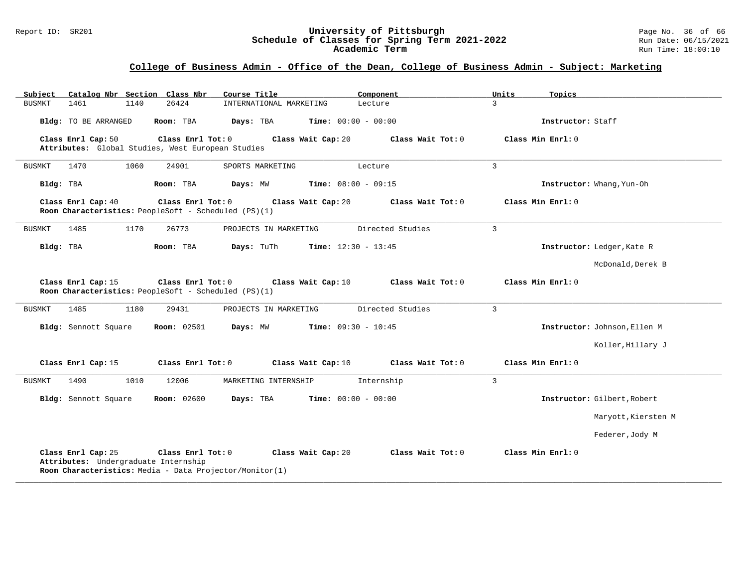#### Report ID: SR201 **University of Pittsburgh** Page No. 36 of 66 **Schedule of Classes for Spring Term 2021-2022** Run Date: 06/15/2021 **Academic Term** Run Time: 18:00:10

| Subject<br>Catalog Nbr Section Class Nbr                                                                                                                                                                   | Course Title                                                                                    | Component                    | Units<br>Topics              |  |  |  |  |
|------------------------------------------------------------------------------------------------------------------------------------------------------------------------------------------------------------|-------------------------------------------------------------------------------------------------|------------------------------|------------------------------|--|--|--|--|
| BUSMKT<br>1461<br>1140                                                                                                                                                                                     | 26424<br>INTERNATIONAL MARKETING                                                                | Lecture                      | $\mathcal{L}$                |  |  |  |  |
| Bldg: TO BE ARRANGED                                                                                                                                                                                       | Days: TBA<br>Room: TBA                                                                          | <b>Time:</b> $00:00 - 00:00$ | Instructor: Staff            |  |  |  |  |
| Class Enrl Cap: 50                                                                                                                                                                                         | Class Enrl Tot: 0<br>Class Wait Cap: 20<br>Attributes: Global Studies, West European Studies    | Class Wait Tot: 0            | Class Min Enrl: 0            |  |  |  |  |
| 1470<br>1060<br>BUSMKT                                                                                                                                                                                     | 24901<br>SPORTS MARKETING                                                                       | Lecture                      | $\overline{3}$               |  |  |  |  |
| Bldg: TBA                                                                                                                                                                                                  | Room: TBA<br>Days: MW                                                                           | Time: $08:00 - 09:15$        | Instructor: Whang, Yun-Oh    |  |  |  |  |
| Class Enrl Cap: 40                                                                                                                                                                                         | Class Enrl Tot: 0<br>Class Wait Cap: 20<br>Room Characteristics: PeopleSoft - Scheduled (PS)(1) | Class Wait Tot: 0            | Class Min Enrl: 0            |  |  |  |  |
| <b>BUSMKT</b><br>1485<br>1170                                                                                                                                                                              | 26773<br>PROJECTS IN MARKETING                                                                  | Directed Studies             | 3                            |  |  |  |  |
| Bldg: TBA                                                                                                                                                                                                  | Room: TBA<br>Days: TuTh                                                                         | <b>Time:</b> $12:30 - 13:45$ | Instructor: Ledger, Kate R   |  |  |  |  |
|                                                                                                                                                                                                            |                                                                                                 |                              | McDonald, Derek B            |  |  |  |  |
| Class Enrl Cap: 15                                                                                                                                                                                         | Class Enrl Tot: 0<br>Class Wait Cap: 10<br>Room Characteristics: PeopleSoft - Scheduled (PS)(1) | Class Wait Tot: 0            | Class Min Enrl: 0            |  |  |  |  |
| <b>BUSMKT</b><br>1485<br>1180                                                                                                                                                                              | 29431<br>PROJECTS IN MARKETING                                                                  | Directed Studies             | $\overline{3}$               |  |  |  |  |
| Bldg: Sennott Square                                                                                                                                                                                       | <b>Room:</b> 02501<br>Days: MW                                                                  | <b>Time:</b> $09:30 - 10:45$ | Instructor: Johnson, Ellen M |  |  |  |  |
|                                                                                                                                                                                                            |                                                                                                 |                              | Koller, Hillary J            |  |  |  |  |
| Class Enrl Cap: 15                                                                                                                                                                                         | Class Enrl Tot: 0<br>Class Wait Cap: 10                                                         | Class Wait Tot: 0            | Class Min Enrl: 0            |  |  |  |  |
| 1490<br><b>BUSMKT</b><br>1010                                                                                                                                                                              | 12006<br>MARKETING INTERNSHIP                                                                   | Internship                   | 3                            |  |  |  |  |
| Bldg: Sennott Square                                                                                                                                                                                       | <b>Room:</b> 02600<br>Days: TBA                                                                 | <b>Time:</b> $00:00 - 00:00$ | Instructor: Gilbert, Robert  |  |  |  |  |
|                                                                                                                                                                                                            |                                                                                                 |                              | Maryott, Kiersten M          |  |  |  |  |
|                                                                                                                                                                                                            |                                                                                                 |                              | Federer, Jody M              |  |  |  |  |
| Class Enrl Cap: 25<br>Class Enrl Tot: 0<br>Class Wait Tot: 0<br>Class Min Enrl: 0<br>Class Wait Cap: 20<br>Attributes: Undergraduate Internship<br>Room Characteristics: Media - Data Projector/Monitor(1) |                                                                                                 |                              |                              |  |  |  |  |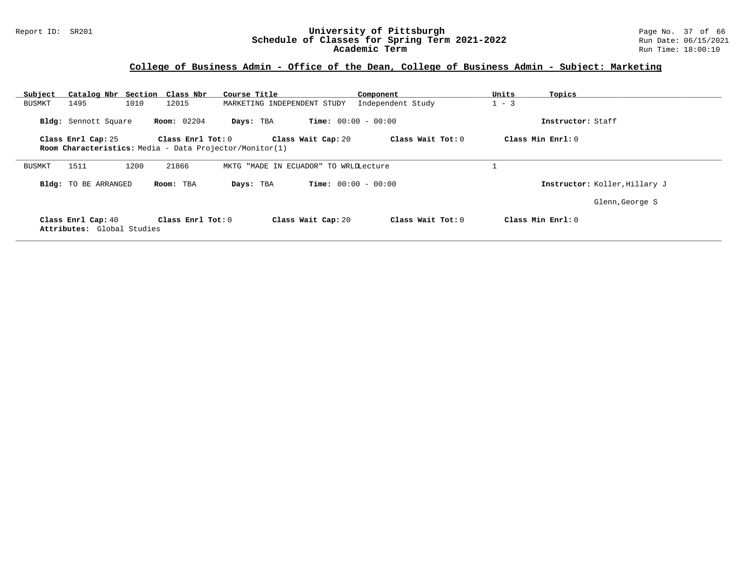#### Report ID: SR201 **University of Pittsburgh** Page No. 37 of 66 **Schedule of Classes for Spring Term 2021-2022** Run Date: 06/15/2021 **Academic Term** Run Time: 18:00:10

| Subject       |                                                  | Catalog Nbr Section Class Nbr                           | Course Title                             | Component                    | Units               | Topics                        |
|---------------|--------------------------------------------------|---------------------------------------------------------|------------------------------------------|------------------------------|---------------------|-------------------------------|
| <b>BUSMKT</b> | 1495<br>1010                                     | 12015                                                   | MARKETING INDEPENDENT STUDY              | Independent Study            | $1 - 3$             |                               |
|               | Bldg: Sennott Square                             | <b>Room:</b> 02204                                      | Days: TBA                                | <b>Time:</b> $00:00 - 00:00$ |                     | Instructor: Staff             |
|               | Class Enrl Cap: 25                               | Class $Enrl$ Tot: $0$                                   | Class Wait Cap: 20                       |                              | Class Wait Tot: 0   | Class Min Enrl: 0             |
|               |                                                  | Room Characteristics: Media - Data Projector/Monitor(1) |                                          |                              |                     |                               |
| BUSMKT        | 1511<br>1200                                     | 21866                                                   | "MADE IN ECUADOR" TO WRLDLecture<br>MKTG |                              |                     |                               |
|               | <b>Bldg:</b> TO BE ARRANGED                      | Room: TBA                                               | Days: TBA                                | <b>Time:</b> $00:00 - 00:00$ |                     | Instructor: Koller, Hillary J |
|               |                                                  |                                                         |                                          |                              |                     | Glenn, George S               |
|               | Class Enrl Cap: 40<br>Attributes: Global Studies | Class Enrl Tot: $0$                                     | Class Wait Cap: 20                       |                              | Class Wait $Tot: 0$ | Class Min $Enr1: 0$           |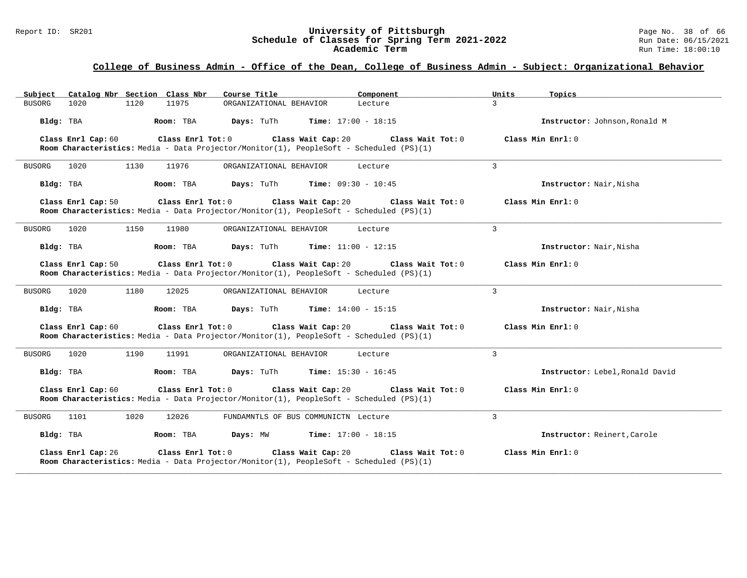#### Report ID: SR201 **University of Pittsburgh** Page No. 38 of 66 **Schedule of Classes for Spring Term 2021-2022** Run Date: 06/15/2021 **Academic Term** Run Time: 18:00:10

| Subject Catalog Nbr Section Class Nbr   | Course Title<br>Component                                                                                                          | Units<br>Topics                 |
|-----------------------------------------|------------------------------------------------------------------------------------------------------------------------------------|---------------------------------|
| 1120<br>11975<br><b>BUSORG</b><br>1020  | ORGANIZATIONAL BEHAVIOR<br>Lecture                                                                                                 | $\mathbf{R}$                    |
| Bldg: TBA<br>Room: TBA                  | Days: TuTh<br><b>Time:</b> $17:00 - 18:15$                                                                                         | Instructor: Johnson, Ronald M   |
| Class Enrl Cap: 60<br>Class Enrl Tot: 0 | Class Wait Cap: 20<br>Class Wait Tot: 0<br>Room Characteristics: Media - Data Projector/Monitor(1), PeopleSoft - Scheduled (PS)(1) | Class Min Enrl: 0               |
| 1020<br>1130<br>11976<br><b>BUSORG</b>  | ORGANIZATIONAL BEHAVIOR<br>Lecture                                                                                                 | 3                               |
| Bldg: TBA<br>Room: TBA                  | Days: TuTh<br><b>Time:</b> $09:30 - 10:45$                                                                                         | Instructor: Nair, Nisha         |
| Class Enrl Cap: 50<br>Class Enrl Tot: 0 | Class Wait Cap: 20<br>Class Wait Tot: 0<br>Room Characteristics: Media - Data Projector/Monitor(1), PeopleSoft - Scheduled (PS)(1) | Class Min Enrl: 0               |
| <b>BUSORG</b><br>1020<br>1150<br>11980  | ORGANIZATIONAL BEHAVIOR<br>Lecture                                                                                                 | 3                               |
| Bldg: TBA<br>Room: TBA                  | <b>Days:</b> TuTh<br><b>Time:</b> $11:00 - 12:15$                                                                                  | Instructor: Nair, Nisha         |
| Class Enrl Cap: 50<br>Class Enrl Tot: 0 | Class Wait Cap: 20<br>Class Wait Tot: 0<br>Room Characteristics: Media - Data Projector/Monitor(1), PeopleSoft - Scheduled (PS)(1) | Class Min Enrl: 0               |
| 1020<br>1180<br>12025<br><b>BUSORG</b>  | ORGANIZATIONAL BEHAVIOR<br>Lecture                                                                                                 | 3                               |
| Bldg: TBA<br>Room: TBA                  | Days: TuTh<br><b>Time:</b> $14:00 - 15:15$                                                                                         | Instructor: Nair, Nisha         |
| Class Enrl Cap: 60<br>Class Enrl Tot: 0 | Class Wait Cap: 20<br>Class Wait Tot: 0<br>Room Characteristics: Media - Data Projector/Monitor(1), PeopleSoft - Scheduled (PS)(1) | Class Min Enrl: 0               |
| 1190<br><b>BUSORG</b><br>1020<br>11991  | ORGANIZATIONAL BEHAVIOR<br>Lecture                                                                                                 | 3                               |
| Bldg: TBA<br>Room: TBA                  | <b>Time:</b> $15:30 - 16:45$<br>Days: TuTh                                                                                         | Instructor: Lebel, Ronald David |
| Class Enrl Cap: 60<br>Class Enrl Tot: 0 | Class Wait Cap: 20<br>Class Wait Tot: 0<br>Room Characteristics: Media - Data Projector/Monitor(1), PeopleSoft - Scheduled (PS)(1) | Class Min Enrl: 0               |
| 1101<br>1020<br>12026<br><b>BUSORG</b>  | FUNDAMNTLS OF BUS COMMUNICTN Lecture                                                                                               | $\overline{3}$                  |
| Bldg: TBA<br>Room: TBA                  | Days: MW<br><b>Time:</b> $17:00 - 18:15$                                                                                           | Instructor: Reinert, Carole     |
| Class Enrl Cap: 26<br>Class Enrl Tot: 0 | Class Wait Cap: 20<br>Class Wait Tot: 0<br>Room Characteristics: Media - Data Projector/Monitor(1), PeopleSoft - Scheduled (PS)(1) | Class Min Enrl: 0               |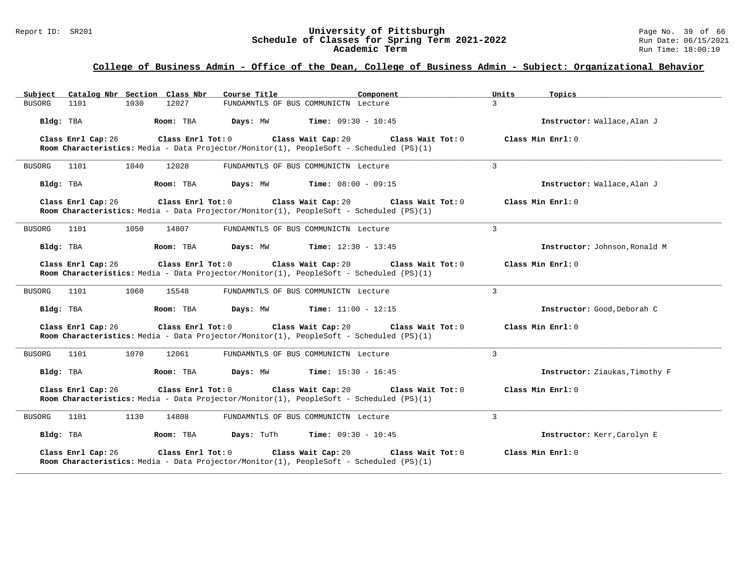#### Report ID: SR201 **University of Pittsburgh** Page No. 39 of 66 **Schedule of Classes for Spring Term 2021-2022** Run Date: 06/15/2021 **Academic Term** Run Time: 18:00:10

| Subject Catalog Nbr Section Class Nbr<br>Course Title                                                                              | Component                                         | Units<br>Topics                |
|------------------------------------------------------------------------------------------------------------------------------------|---------------------------------------------------|--------------------------------|
| 1030<br>12027<br><b>BUSORG</b><br>1101                                                                                             | FUNDAMNTLS OF BUS COMMUNICTN Lecture              | $\mathbf{R}$                   |
| Bldg: TBA<br>Room: TBA                                                                                                             | <b>Time:</b> $09:30 - 10:45$<br>Days: MW          | Instructor: Wallace, Alan J    |
| Class Enrl Tot: 0<br>Class Enrl Cap: 26<br>Room Characteristics: Media - Data Projector/Monitor(1), PeopleSoft - Scheduled (PS)(1) | Class Wait Cap: 20<br>Class Wait Tot: 0           | Class Min Enrl: 0              |
| 1101<br>1040<br>12028<br><b>BUSORG</b>                                                                                             | FUNDAMNTLS OF BUS COMMUNICTN Lecture              | 3                              |
| Bldg: TBA<br>Room: TBA                                                                                                             | Days: MW<br><b>Time:</b> $08:00 - 09:15$          | Instructor: Wallace, Alan J    |
| Class Enrl Cap: 26<br>Class Enrl Tot: 0<br>Room Characteristics: Media - Data Projector/Monitor(1), PeopleSoft - Scheduled (PS)(1) | Class Wait Cap: 20 Class Wait Tot: 0              | Class Min Enrl: 0              |
| <b>BUSORG</b><br>1101<br>1050<br>14807                                                                                             | FUNDAMNTLS OF BUS COMMUNICTN Lecture              | 3                              |
| Bldg: TBA<br>Room: TBA                                                                                                             | Days: MW<br><b>Time:</b> $12:30 - 13:45$          | Instructor: Johnson, Ronald M  |
| Class Enrl Cap: 26<br>Class Enrl Tot: 0<br>Room Characteristics: Media - Data Projector/Monitor(1), PeopleSoft - Scheduled (PS)(1) | Class Wait Cap: 20<br>Class Wait Tot: 0           | Class Min Enrl: 0              |
| 1101<br>1060<br>15548<br><b>BUSORG</b>                                                                                             | FUNDAMNTLS OF BUS COMMUNICTN Lecture              | 3                              |
| Days: MW<br>Bldg: TBA<br>Room: TBA                                                                                                 | <b>Time:</b> $11:00 - 12:15$                      | Instructor: Good, Deborah C    |
| Class Enrl Tot: 0<br>Class Enrl Cap: 26<br>Room Characteristics: Media - Data Projector/Monitor(1), PeopleSoft - Scheduled (PS)(1) | Class Wait Cap: 20<br>Class Wait Tot: 0           | Class Min Enrl: 0              |
| 1070<br><b>BUSORG</b><br>1101<br>12061                                                                                             | FUNDAMNTLS OF BUS COMMUNICTN Lecture              | 3                              |
| Bldg: TBA<br>Room: TBA<br>Days: MW                                                                                                 | <b>Time:</b> $15:30 - 16:45$                      | Instructor: Ziaukas, Timothy F |
| Class Enrl Cap: 26<br>Class Enrl Tot: 0<br>Room Characteristics: Media - Data Projector/Monitor(1), PeopleSoft - Scheduled (PS)(1) | Class Wait Cap: 20<br>Class Wait Tot: 0           | Class Min Enrl: 0              |
| 1101<br>1130<br>14808<br><b>BUSORG</b>                                                                                             | FUNDAMNTLS OF BUS COMMUNICTN Lecture              | $\overline{3}$                 |
| Bldg: TBA<br>Room: TBA                                                                                                             | <b>Days:</b> TuTh<br><b>Time:</b> $09:30 - 10:45$ | Instructor: Kerr, Carolyn E    |
| Class Enrl Cap: 26<br>Class Enrl Tot: 0<br>Room Characteristics: Media - Data Projector/Monitor(1), PeopleSoft - Scheduled (PS)(1) | Class Wait Cap: 20<br>Class Wait Tot: 0           | Class Min Enrl: 0              |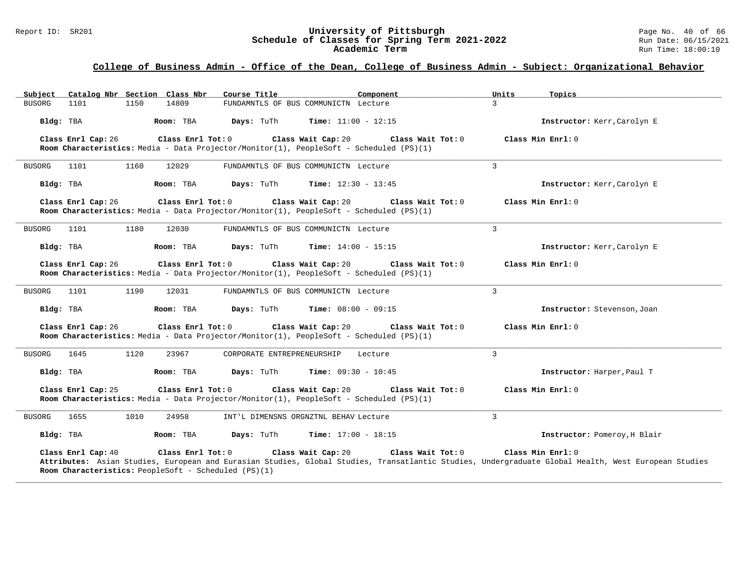#### Report ID: SR201 **University of Pittsburgh** Page No. 40 of 66 **Schedule of Classes for Spring Term 2021-2022** Run Date: 06/15/2021 **Academic Term** Run Time: 18:00:10

| Subject Catalog Nbr Section Class Nbr                                                           | Course Title<br>Component                                                                                                                                                                      | Units<br>Topics              |
|-------------------------------------------------------------------------------------------------|------------------------------------------------------------------------------------------------------------------------------------------------------------------------------------------------|------------------------------|
| 1150<br>14809<br>BUSORG<br>1101                                                                 | FUNDAMNTLS OF BUS COMMUNICTN Lecture                                                                                                                                                           | $\mathcal{L}$                |
| Bldg: TBA<br>Room: TBA                                                                          | <b>Time:</b> $11:00 - 12:15$<br>Days: TuTh                                                                                                                                                     | Instructor: Kerr, Carolyn E  |
| Class Enrl Cap: 26<br>Class Enrl Tot: 0                                                         | Class Wait Cap: 20<br>Class Wait Tot: 0<br>Room Characteristics: Media - Data Projector/Monitor(1), PeopleSoft - Scheduled (PS)(1)                                                             | Class Min Enrl: 0            |
| 1160<br>12029<br>BUSORG<br>1101                                                                 | FUNDAMNTLS OF BUS COMMUNICTN Lecture                                                                                                                                                           | $\mathbf{3}$                 |
| Bldg: TBA<br>Room: TBA                                                                          | Days: TuTh<br><b>Time:</b> $12:30 - 13:45$                                                                                                                                                     | Instructor: Kerr, Carolyn E  |
| Class Enrl Cap: 26<br>Class Enrl Tot: 0                                                         | Class Wait Cap: 20<br>Class Wait Tot: 0<br>Room Characteristics: Media - Data Projector/Monitor(1), PeopleSoft - Scheduled (PS)(1)                                                             | Class Min Enrl: 0            |
| 1180<br>12030<br>BUSORG<br>1101                                                                 | FUNDAMNTLS OF BUS COMMUNICTN Lecture                                                                                                                                                           | 3                            |
| Room: TBA<br>Bldg: TBA                                                                          | <b>Time:</b> $14:00 - 15:15$<br>Days: TuTh                                                                                                                                                     | Instructor: Kerr, Carolyn E  |
| Class Enrl Cap: 26<br>Class Enrl Tot: 0                                                         | Class Wait Cap: 20<br>Class Wait Tot: 0<br>Room Characteristics: Media - Data Projector/Monitor(1), PeopleSoft - Scheduled (PS)(1)                                                             | Class Min Enrl: 0            |
| 1190<br>12031<br><b>BUSORG</b><br>1101                                                          | FUNDAMNTLS OF BUS COMMUNICTN Lecture                                                                                                                                                           | 3                            |
| Room: TBA<br>Bldg: TBA                                                                          | Days: TuTh<br><b>Time:</b> $08:00 - 09:15$                                                                                                                                                     | Instructor: Stevenson, Joan  |
| Class Enrl Cap: 26<br>Class Enrl Tot: 0                                                         | Class Wait Cap: 20<br>Class Wait Tot: 0<br>Room Characteristics: Media - Data Projector/Monitor(1), PeopleSoft - Scheduled (PS)(1)                                                             | Class Min Enrl: 0            |
| 1120<br><b>BUSORG</b><br>1645<br>23967                                                          | CORPORATE ENTREPRENEURSHIP<br>Lecture                                                                                                                                                          | 3                            |
| Bldg: TBA<br>Room: TBA                                                                          | <b>Time:</b> $09:30 - 10:45$<br>Days: TuTh                                                                                                                                                     | Instructor: Harper, Paul T   |
| Class Enrl Tot: 0<br>Class Enrl Cap: 25                                                         | Class Wait Cap: 20<br>Class Wait Tot: 0<br>Room Characteristics: Media - Data Projector/Monitor(1), PeopleSoft - Scheduled (PS)(1)                                                             | Class Min Enrl: 0            |
| 1655<br>1010<br>24958<br>BUSORG                                                                 | INT'L DIMENSNS ORGNZTNL BEHAV Lecture                                                                                                                                                          | 3                            |
| Bldg: TBA<br>Room: TBA                                                                          | <b>Time:</b> $17:00 - 18:15$<br>Days: TuTh                                                                                                                                                     | Instructor: Pomeroy, H Blair |
| Class Enrl Tot: 0<br>Class Enrl Cap: 40<br>Room Characteristics: PeopleSoft - Scheduled (PS)(1) | Class Wait Cap: 20<br>Class Wait Tot: 0<br>Attributes: Asian Studies, European and Eurasian Studies, Global Studies, Transatlantic Studies, Undergraduate Global Health, West European Studies | Class Min Enrl: 0            |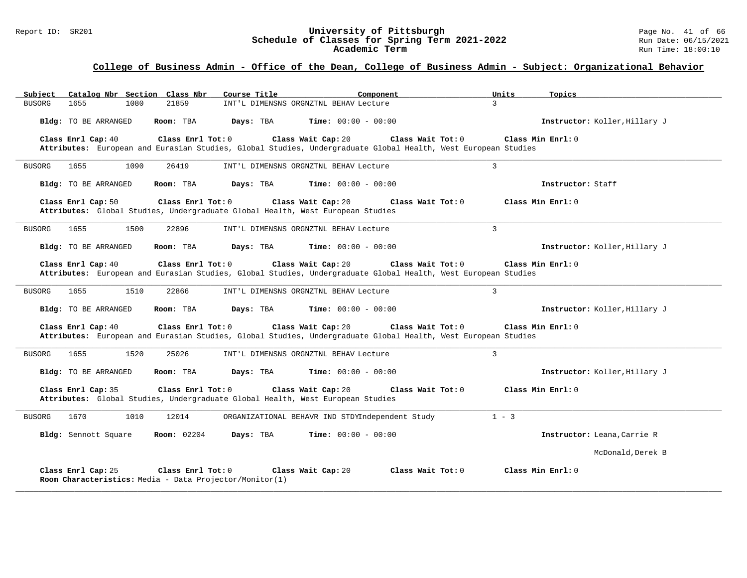#### Report ID: SR201 **University of Pittsburgh University of Pittsburgh** Page No. 41 of 66<br>**Schedule of Classes for Spring Term 2021-2022** Run Date: 06/15/2021 **Schedule of Classes for Spring Term 2021-2022** Run Date: 06/15/2021 **Academic Term** Run Time: 18:00:10

| Catalog Nbr Section Class Nbr<br>Subject                                                           | Component<br>Course Title                                                                                                                                | Units<br>Topics               |
|----------------------------------------------------------------------------------------------------|----------------------------------------------------------------------------------------------------------------------------------------------------------|-------------------------------|
| <b>BUSORG</b><br>1655<br>1080<br>21859                                                             | INT'L DIMENSNS ORGNZTNL BEHAV Lecture                                                                                                                    | $\mathbf{z}$                  |
| Bldg: TO BE ARRANGED<br>Room: TBA                                                                  | <b>Time:</b> $00:00 - 00:00$<br>Days: TBA                                                                                                                | Instructor: Koller, Hillary J |
| Class Enrl Cap: 40<br>Class Enrl Tot: 0                                                            | Class Wait Cap: 20<br>Class Wait Tot: 0<br>Attributes: European and Eurasian Studies, Global Studies, Undergraduate Global Health, West European Studies | Class Min Enrl: 0             |
| 1655<br>1090<br>26419<br><b>BUSORG</b>                                                             | INT'L DIMENSNS ORGNZTNL BEHAV Lecture                                                                                                                    | 3                             |
| Bldg: TO BE ARRANGED<br>Room: TBA                                                                  | <b>Time:</b> $00:00 - 00:00$<br>Days: TBA                                                                                                                | Instructor: Staff             |
| Class Enrl Cap: 50<br>Class Enrl Tot: 0                                                            | Class Wait Cap: 20<br>Class Wait $Tot: 0$<br>Attributes: Global Studies, Undergraduate Global Health, West European Studies                              | Class Min Enrl: 0             |
| 1500<br>22896<br><b>BUSORG</b><br>1655                                                             | INT'L DIMENSNS ORGNZTNL BEHAV Lecture                                                                                                                    | 3                             |
| Bldg: TO BE ARRANGED<br>Room: TBA                                                                  | <b>Time:</b> $00:00 - 00:00$<br>Days: TBA                                                                                                                | Instructor: Koller, Hillary J |
| Class Enrl Cap: 40<br>Class Enrl Tot: $0$                                                          | Class Wait Cap: 20<br>Class Wait Tot: 0<br>Attributes: European and Eurasian Studies, Global Studies, Undergraduate Global Health, West European Studies | Class Min Enrl: 0             |
| 1655<br>1510<br>22866<br>BUSORG                                                                    | INT'L DIMENSNS ORGNZTNL BEHAV Lecture                                                                                                                    | $\mathbf{3}$                  |
| Bldg: TO BE ARRANGED<br>Room: TBA                                                                  | Days: TBA<br><b>Time:</b> $00:00 - 00:00$                                                                                                                | Instructor: Koller, Hillary J |
| Class Enrl Tot: 0<br>Class Enrl Cap: 40                                                            | Class Wait Cap: 20<br>Class Wait Tot: 0<br>Attributes: European and Eurasian Studies, Global Studies, Undergraduate Global Health, West European Studies | Class Min Enrl: 0             |
| 1520<br><b>BUSORG</b><br>1655<br>25026                                                             | INT'L DIMENSNS ORGNZTNL BEHAV Lecture                                                                                                                    | $\mathbf{3}$                  |
| Bldg: TO BE ARRANGED<br>Room: TBA                                                                  | Days: TBA<br><b>Time:</b> $00:00 - 00:00$                                                                                                                | Instructor: Koller, Hillary J |
| Class Enrl Tot: 0<br>Class Enrl Cap: 35                                                            | Class Wait Cap: 20<br>Class Wait Tot: 0<br>Attributes: Global Studies, Undergraduate Global Health, West European Studies                                | Class Min Enrl: 0             |
| 1670<br>1010<br>12014<br><b>BUSORG</b>                                                             | ORGANIZATIONAL BEHAVR IND STDYIndependent Study                                                                                                          | $1 - 3$                       |
| Bldg: Sennott Square<br><b>Room:</b> 02204                                                         | Days: TBA<br><b>Time:</b> $00:00 - 00:00$                                                                                                                | Instructor: Leana, Carrie R   |
|                                                                                                    |                                                                                                                                                          | McDonald, Derek B             |
| Class Enrl Cap: 25<br>Class Enrl Tot: 0<br>Room Characteristics: Media - Data Projector/Monitor(1) | Class Wait Tot: 0<br>Class Wait Cap: 20                                                                                                                  | Class Min Enrl: 0             |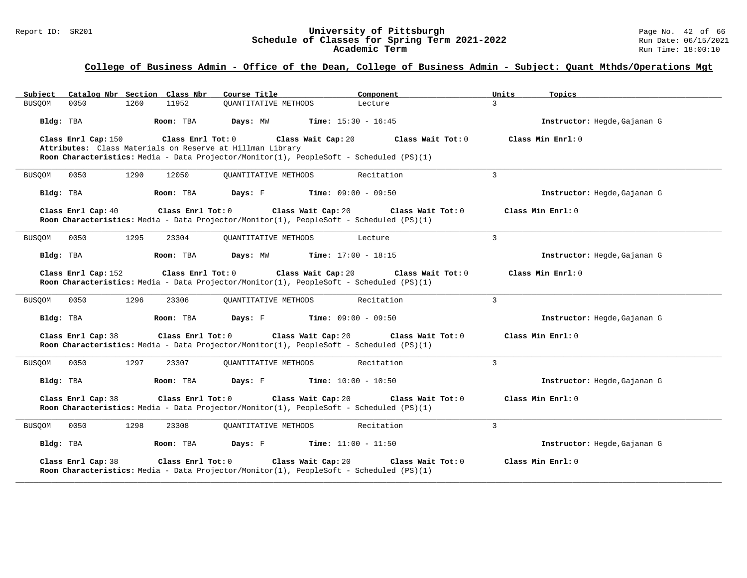#### Report ID: SR201 **University of Pittsburgh** Page No. 42 of 66 **Schedule of Classes for Spring Term 2021-2022** Run Date: 06/15/2021 **Academic Term** Run Time: 18:00:10

| Catalog Nbr Section Class Nbr<br>Subject                                                                                                                                                         | Course Title                                | Component                    | Units<br>Topics              |
|--------------------------------------------------------------------------------------------------------------------------------------------------------------------------------------------------|---------------------------------------------|------------------------------|------------------------------|
| 0050<br>1260<br>11952<br><b>BUSOOM</b>                                                                                                                                                           | <b>OUANTITATIVE METHODS</b>                 | Lecture                      | $\mathbf{R}$                 |
| Room: TBA<br>Bldg: TBA                                                                                                                                                                           | Days: MW                                    | <b>Time:</b> $15:30 - 16:45$ | Instructor: Hegde, Gajanan G |
| Class Enrl Cap: 150<br>Class Enrl Tot: 0<br>Attributes: Class Materials on Reserve at Hillman Library<br>Room Characteristics: Media - Data Projector/Monitor(1), PeopleSoft - Scheduled (PS)(1) | Class Wait Cap: 20                          | Class Wait Tot: 0            | Class Min Enrl: 0            |
| 1290<br>0050<br>12050<br><b>BUSOOM</b>                                                                                                                                                           | <b>OUANTITATIVE METHODS</b>                 | Recitation                   | $\overline{3}$               |
| Room: TBA<br>Bldg: TBA                                                                                                                                                                           | Days: F                                     | <b>Time:</b> $09:00 - 09:50$ | Instructor: Hegde, Gajanan G |
| Class Enrl Cap: 40<br>Class Enrl Tot: 0<br>Room Characteristics: Media - Data Projector/Monitor(1), PeopleSoft - Scheduled (PS)(1)                                                               | Class Wait Cap: 20                          | Class Wait Tot: 0            | Class Min Enrl: 0            |
| 1295<br>23304<br><b>BUSQOM</b><br>0050                                                                                                                                                           | <b>OUANTITATIVE METHODS</b>                 | Lecture                      | $\overline{3}$               |
| Bldg: TBA<br>Room: TBA                                                                                                                                                                           | Days: MW                                    | <b>Time:</b> $17:00 - 18:15$ | Instructor: Hegde, Gajanan G |
| Class Enrl Tot: 0<br>Class Enrl Cap: 152<br>Room Characteristics: Media - Data Projector/Monitor(1), PeopleSoft - Scheduled (PS)(1)                                                              | Class Wait Cap: 20                          | Class Wait Tot: 0            | Class Min $Enrl: 0$          |
| 0050<br>1296<br>23306<br>BUSQOM                                                                                                                                                                  | OUANTITATIVE METHODS                        | Recitation                   | $\overline{3}$               |
| Room: TBA<br>Bldg: TBA                                                                                                                                                                           | <b>Days:</b> F <b>Time:</b> $09:00 - 09:50$ |                              | Instructor: Hegde, Gajanan G |
| Class Enrl Cap: 38<br>Class Enrl Tot: 0<br>Room Characteristics: Media - Data Projector/Monitor(1), PeopleSoft - Scheduled (PS)(1)                                                               | Class Wait Cap: 20                          | Class Wait Tot: 0            | Class Min Enrl: 0            |
| 0050<br>1297<br>23307<br>BUSQOM                                                                                                                                                                  | OUANTITATIVE METHODS                        | Recitation                   | 3                            |
| Bldg: TBA<br>Room: TBA                                                                                                                                                                           | <b>Days:</b> F <b>Time:</b> $10:00 - 10:50$ |                              | Instructor: Hegde, Gajanan G |
| Class Enrl Cap: 38<br>Class Enrl Tot: 0<br>Room Characteristics: Media - Data Projector/Monitor(1), PeopleSoft - Scheduled (PS)(1)                                                               | Class Wait Cap: 20                          | Class Wait Tot: 0            | Class Min Enrl: 0            |
| 0050<br>1298<br>23308<br>BUSQOM                                                                                                                                                                  | OUANTITATIVE METHODS                        | Recitation                   | 3                            |
| Bldg: TBA<br>Room: TBA                                                                                                                                                                           | <b>Days:</b> F Time: $11:00 - 11:50$        |                              | Instructor: Hegde, Gajanan G |
| Class Enrl Cap: 38<br>Class Enrl Tot: 0<br>Room Characteristics: Media - Data Projector/Monitor(1), PeopleSoft - Scheduled (PS)(1)                                                               | Class Wait Cap: 20                          | Class Wait Tot: 0            | Class Min Enrl: 0            |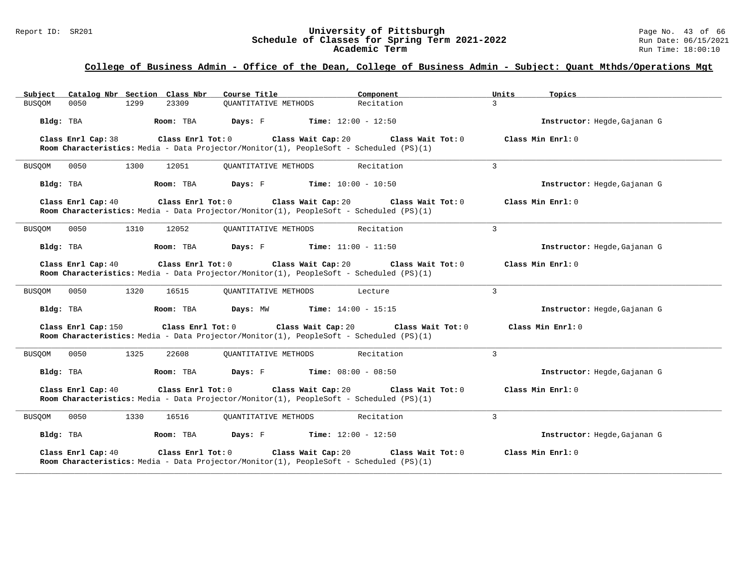#### Report ID: SR201 **University of Pittsburgh** Page No. 43 of 66 **Schedule of Classes for Spring Term 2021-2022** Run Date: 06/15/2021 **Academic Term** Run Time: 18:00:10

| Subject Catalog Nbr Section Class Nbr                                                                                                    | Course Title                                | Component                            | Units<br>Topics              |  |
|------------------------------------------------------------------------------------------------------------------------------------------|---------------------------------------------|--------------------------------------|------------------------------|--|
| <b>BUSOOM</b><br>0050<br>1299<br>23309                                                                                                   | <b>OUANTITATIVE METHODS</b>                 | Recitation                           | $\mathbf{R}$                 |  |
| Bldg: TBA<br>Room: TBA                                                                                                                   | Days: F                                     | <b>Time:</b> $12:00 - 12:50$         | Instructor: Hegde, Gajanan G |  |
| Class Enrl Tot: 0<br>Class Enrl Cap: 38<br>Room Characteristics: Media - Data Projector/Monitor(1), PeopleSoft - Scheduled (PS)(1)       | Class Wait Cap: 20                          | Class Wait Tot: 0                    | Class Min Enrl: 0            |  |
| 0050<br>1300<br>12051<br>BUSQOM                                                                                                          | <b>OUANTITATIVE METHODS</b>                 | Recitation                           | $\overline{3}$               |  |
| Bldg: TBA<br>Room: TBA                                                                                                                   | <b>Days:</b> F <b>Time:</b> $10:00 - 10:50$ |                                      | Instructor: Hegde, Gajanan G |  |
| $Class$ $Enr1$ $Tot: 0$<br>Class Enrl Cap: 40<br>Room Characteristics: Media - Data Projector/Monitor(1), PeopleSoft - Scheduled (PS)(1) |                                             | Class Wait Cap: 20 Class Wait Tot: 0 | Class Min Enrl: 0            |  |
| 1310<br><b>BUSQOM</b><br>0050<br>12052                                                                                                   | <b>OUANTITATIVE METHODS</b>                 | Recitation                           | 3                            |  |
| Bldg: TBA<br>Room: TBA                                                                                                                   | Davs: F                                     | <b>Time:</b> $11:00 - 11:50$         | Instructor: Hegde, Gajanan G |  |
| Class Enrl Cap: 40<br>$Class$ $Enr1$ $Tot: 0$<br>Room Characteristics: Media - Data Projector/Monitor(1), PeopleSoft - Scheduled (PS)(1) |                                             | Class Wait Cap: 20 Class Wait Tot: 0 | Class Min Enrl: 0            |  |
| 0050<br>1320<br>16515<br>BUSQOM                                                                                                          | OUANTITATIVE METHODS                        | Lecture                              | 3                            |  |
| Room: TBA<br>Bldg: TBA                                                                                                                   | Days: MW                                    | <b>Time:</b> $14:00 - 15:15$         | Instructor: Hegde, Gajanan G |  |
| Class Enrl Tot: 0<br>Class Enrl Cap: 150<br>Room Characteristics: Media - Data Projector/Monitor(1), PeopleSoft - Scheduled (PS)(1)      | Class Wait Cap: 20                          | Class Wait Tot: 0                    | Class Min Enrl: 0            |  |
| 1325<br><b>BUSOOM</b><br>0050<br>22608                                                                                                   | OUANTITATIVE METHODS                        | Recitation                           | 3                            |  |
| Bldg: TBA<br>Room: TBA                                                                                                                   | Days: F                                     | <b>Time:</b> $08:00 - 08:50$         | Instructor: Hegde, Gajanan G |  |
| Class Enrl Cap: 40<br>Class Enrl Tot: 0<br>Room Characteristics: Media - Data Projector/Monitor(1), PeopleSoft - Scheduled (PS)(1)       | Class Wait Cap: 20                          | Class Wait Tot: 0                    | Class Min Enrl: 0            |  |
| 0050<br>1330<br>16516<br>BUSQOM                                                                                                          | OUANTITATIVE METHODS                        | Recitation                           | $\overline{3}$               |  |
| Bldg: TBA<br>Room: TBA                                                                                                                   | Days: F                                     | <b>Time:</b> $12:00 - 12:50$         | Instructor: Hegde, Gajanan G |  |
| Class Enrl Cap: 40<br>Class Enrl Tot: 0<br>Room Characteristics: Media - Data Projector/Monitor(1), PeopleSoft - Scheduled (PS)(1)       | Class Wait Cap: 20                          | Class Wait Tot: 0                    | Class Min Enrl: 0            |  |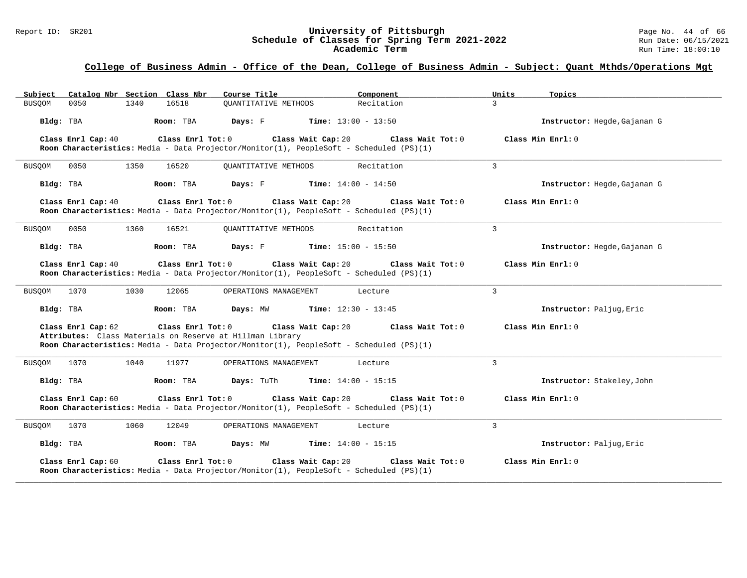#### Report ID: SR201 **University of Pittsburgh** Page No. 44 of 66 **Schedule of Classes for Spring Term 2021-2022** Run Date: 06/15/2021 **Academic Term** Run Time: 18:00:10

| Catalog Nbr Section Class Nbr<br>Subject                                                                                                                                                        | Course Title                                  | Component                    | Units<br>Topics              |  |
|-------------------------------------------------------------------------------------------------------------------------------------------------------------------------------------------------|-----------------------------------------------|------------------------------|------------------------------|--|
| <b>BUSQOM</b><br>0050<br>1340<br>16518                                                                                                                                                          | <b>OUANTITATIVE METHODS</b>                   | Recitation                   | $\mathcal{L}$                |  |
| Bldg: TBA<br>Room: TBA                                                                                                                                                                          | Days: F                                       | <b>Time:</b> $13:00 - 13:50$ | Instructor: Hegde, Gajanan G |  |
| Class Enrl Tot: 0<br>Class Enrl Cap: 40<br>Room Characteristics: Media - Data Projector/Monitor(1), PeopleSoft - Scheduled (PS)(1)                                                              | Class Wait Cap: 20                            | Class Wait Tot: 0            | Class Min Enrl: 0            |  |
| 16520<br>0050<br>1350<br>BUSQOM                                                                                                                                                                 | <b>OUANTITATIVE METHODS</b>                   | Recitation                   | $\overline{3}$               |  |
| Bldg: TBA<br>Room: TBA                                                                                                                                                                          | $\mathtt{Days:}$ $\quad$ $\quad$ $\quad$      | <b>Time:</b> $14:00 - 14:50$ | Instructor: Hegde, Gajanan G |  |
| Class Enrl Cap: 40<br>Room Characteristics: Media - Data Projector/Monitor(1), PeopleSoft - Scheduled (PS)(1)                                                                                   | Class Enrl Tot: 0<br>Class Wait Cap: 20       | Class Wait Tot: 0            | Class Min Enrl: 0            |  |
| 0050<br>1360<br>16521<br>BUSQOM                                                                                                                                                                 | <b>OUANTITATIVE METHODS</b>                   | Recitation                   | 3                            |  |
| Bldg: TBA<br>Room: TBA                                                                                                                                                                          | Days: F                                       | <b>Time:</b> $15:00 - 15:50$ | Instructor: Hegde, Gajanan G |  |
| Class Enrl Cap: 40<br>Room Characteristics: Media - Data Projector/Monitor(1), PeopleSoft - Scheduled (PS)(1)                                                                                   | $Class$ $Enr1$ $Tot: 0$<br>Class Wait Cap: 20 | Class Wait Tot: 0            | Class Min Enrl: 0            |  |
| 1030<br>1070<br>12065<br>BUSQOM                                                                                                                                                                 | OPERATIONS MANAGEMENT                         | Lecture                      | 3                            |  |
| Bldg: TBA<br>Room: TBA                                                                                                                                                                          | Days: MW                                      | <b>Time:</b> $12:30 - 13:45$ | Instructor: Paljug, Eric     |  |
| Class Enrl Cap: 62<br>Class Enrl Tot: 0<br>Attributes: Class Materials on Reserve at Hillman Library<br>Room Characteristics: Media - Data Projector/Monitor(1), PeopleSoft - Scheduled (PS)(1) | Class Wait Cap: 20                            | Class Wait Tot: 0            | Class Min Enrl: 0            |  |
| 1070<br>1040<br>11977<br>BUSOOM                                                                                                                                                                 | OPERATIONS MANAGEMENT                         | Lecture                      | $\overline{3}$               |  |
| Bldg: TBA<br>Room: TBA                                                                                                                                                                          | <b>Days:</b> TuTh                             | <b>Time:</b> $14:00 - 15:15$ | Instructor: Stakeley, John   |  |
| Class Enrl Tot: 0<br>Class Enrl Cap: 60<br>Room Characteristics: Media - Data Projector/Monitor(1), PeopleSoft - Scheduled (PS)(1)                                                              | Class Wait Cap: 20                            | Class Wait Tot: 0            | Class Min Enrl: 0            |  |
| 1070<br>1060<br>12049<br>BUSQOM                                                                                                                                                                 | OPERATIONS MANAGEMENT                         | Lecture                      | 3                            |  |
| Bldg: TBA<br>Room: TBA                                                                                                                                                                          | Days: MW                                      | <b>Time:</b> $14:00 - 15:15$ | Instructor: Paljug, Eric     |  |
| Class Enrl Cap: 60<br>Class Enrl Tot: 0<br>Room Characteristics: Media - Data Projector/Monitor(1), PeopleSoft - Scheduled (PS)(1)                                                              | Class Wait Cap: 20                            | Class Wait Tot: 0            | Class Min Enrl: 0            |  |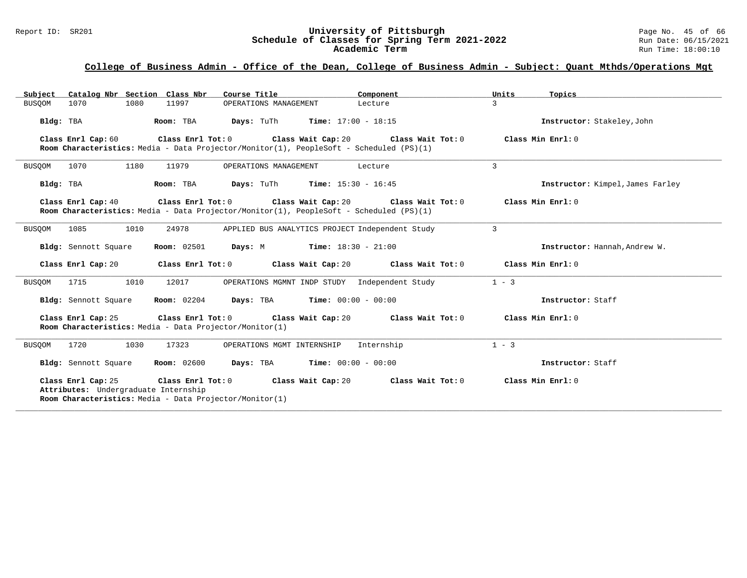#### Report ID: SR201 **University of Pittsburgh** Page No. 45 of 66 **Schedule of Classes for Spring Term 2021-2022** Run Date: 06/15/2021 **Academic Term** Run Time: 18:00:10

### **College of Business Admin - Office of the Dean, College of Business Admin - Subject: Quant Mthds/Operations Mgt**

| Subject Catalog Nbr Section Class Nbr                      | Course Title                                                                                                                                            | Component         | Units<br>Topics                  |
|------------------------------------------------------------|---------------------------------------------------------------------------------------------------------------------------------------------------------|-------------------|----------------------------------|
| 1080<br><b>BUSQOM</b><br>1070                              | 11997<br>OPERATIONS MANAGEMENT                                                                                                                          | Lecture           | 3                                |
| Bldg: TBA                                                  | <b>Days:</b> TuTh <b>Time:</b> $17:00 - 18:15$<br>Room: TBA                                                                                             |                   | Instructor: Stakeley, John       |
| Class Enrl Cap: 60                                         | Class Enrl Tot: 0 Class Wait Cap: 20 Class Wait Tot: 0<br>Room Characteristics: Media - Data Projector/Monitor(1), PeopleSoft - Scheduled (PS)(1)       |                   | Class Min Enrl: 0                |
| 1070<br>1180<br><b>BUSOOM</b>                              | 11979<br>OPERATIONS MANAGEMENT                                                                                                                          | Lecture           | 3                                |
| Bldg: TBA                                                  | Room: TBA<br><b>Days:</b> TuTh <b>Time:</b> $15:30 - 16:45$                                                                                             |                   | Instructor: Kimpel, James Farley |
| Class Enrl Cap: 40                                         | Class Enrl Tot: $0$ Class Wait Cap: $20$ Class Wait Tot: $0$<br>Room Characteristics: Media - Data Projector/Monitor(1), PeopleSoft - Scheduled (PS)(1) |                   | Class Min Enrl: 0                |
| 1010<br>1085<br>BUSOOM                                     | 24978<br>APPLIED BUS ANALYTICS PROJECT Independent Study                                                                                                |                   | $\mathbf{3}$                     |
| Bldg: Sennott Square                                       | <b>Room:</b> 02501 <b>Days:</b> M <b>Time:</b> 18:30 - 21:00                                                                                            |                   | Instructor: Hannah, Andrew W.    |
| Class Enrl Cap: 20                                         | Class Enrl Tot: 0 Class Wait Cap: 20 Class Wait Tot: 0                                                                                                  |                   | Class Min Enrl: 0                |
| 1715<br>1010<br>BUSQOM                                     | 12017<br>OPERATIONS MGMNT INDP STUDY Independent Study                                                                                                  |                   | $1 - 3$                          |
| Bldg: Sennott Square                                       | <b>Room:</b> $02204$ <b>Days:</b> TBA <b>Time:</b> $00:00 - 00:00$                                                                                      |                   | Instructor: Staff                |
| Class Enrl Cap: 25                                         | Class Enrl Tot: 0 Class Wait Cap: 20 Class Wait Tot: 0<br>Room Characteristics: Media - Data Projector/Monitor(1)                                       |                   | Class Min Enrl: 0                |
| 1720<br>1030<br>BUSQOM                                     | 17323<br>OPERATIONS MGMT INTERNSHIP                                                                                                                     | Internship        | $1 - 3$                          |
| Bldg: Sennott Square                                       | <b>Room:</b> 02600<br><b>Days:</b> TBA <b>Time:</b> $00:00 - 00:00$                                                                                     |                   | Instructor: Staff                |
| Class Enrl Cap: 25<br>Attributes: Undergraduate Internship | Class Enrl Tot: 0<br>Class Wait Cap: 20<br>Room Characteristics: Media - Data Projector/Monitor(1)                                                      | Class Wait Tot: 0 | Class Min Enrl: $0$              |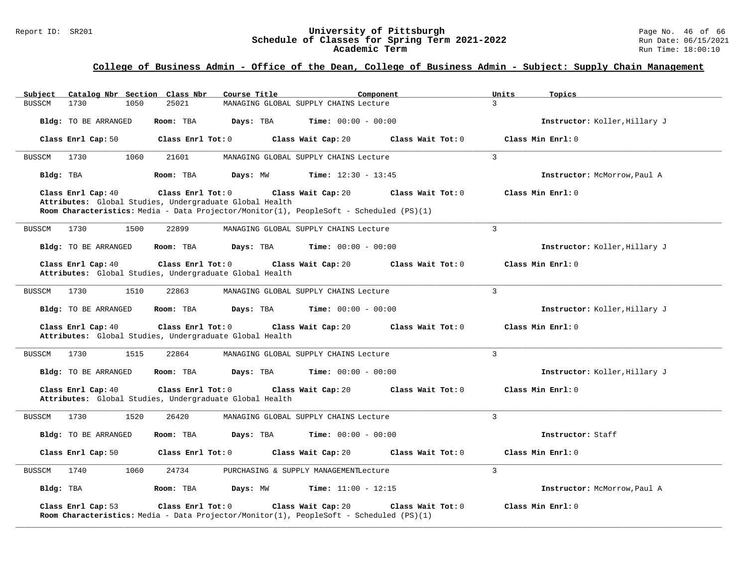#### Report ID: SR201 **University of Pittsburgh** Page No. 46 of 66 **Schedule of Classes for Spring Term 2021-2022** Run Date: 06/15/2021 **Academic Term** Run Time: 18:00:10

### **College of Business Admin - Office of the Dean, College of Business Admin - Subject: Supply Chain Management**

| Catalog Nbr Section Class Nbr<br>Subject                                                           | Course Title<br>Component                                                                                                          | Units<br>Topics               |
|----------------------------------------------------------------------------------------------------|------------------------------------------------------------------------------------------------------------------------------------|-------------------------------|
| 1730<br>25021<br><b>BUSSCM</b><br>1050                                                             | MANAGING GLOBAL SUPPLY CHAINS Lecture                                                                                              | $\mathcal{L}$                 |
| Bldg: TO BE ARRANGED<br>Room: TBA                                                                  | Days: TBA<br><b>Time:</b> $00:00 - 00:00$                                                                                          | Instructor: Koller, Hillary J |
| Class Enrl Cap: 50<br>Class Enrl Tot: 0                                                            | Class Wait Tot: 0<br>Class Wait Cap: 20                                                                                            | Class Min Enrl: 0             |
| 1730<br>1060<br>21601<br>BUSSCM                                                                    | MANAGING GLOBAL SUPPLY CHAINS Lecture                                                                                              | $\mathcal{L}$                 |
| Room: TBA<br>Bldg: TBA                                                                             | Days: MW<br><b>Time:</b> $12:30 - 13:45$                                                                                           | Instructor: McMorrow, Paul A  |
| Class Enrl Cap: 40<br>Class Enrl Tot: 0<br>Attributes: Global Studies, Undergraduate Global Health | Class Wait Cap: 20<br>Class Wait Tot: 0<br>Room Characteristics: Media - Data Projector/Monitor(1), PeopleSoft - Scheduled (PS)(1) | Class Min Enrl: 0             |
| <b>BUSSCM</b><br>1730<br>1500<br>22899                                                             | MANAGING GLOBAL SUPPLY CHAINS Lecture                                                                                              | $\overline{3}$                |
| Bldg: TO BE ARRANGED<br>Room: TBA                                                                  | Days: TBA<br><b>Time:</b> $00:00 - 00:00$                                                                                          | Instructor: Koller, Hillary J |
| Class Enrl Cap: 40<br>Class Enrl Tot: 0<br>Attributes: Global Studies, Undergraduate Global Health | Class Wait Cap: 20<br>Class Wait Tot: 0                                                                                            | Class Min Enrl: 0             |
| 1730<br>1510<br>22863<br>BUSSCM                                                                    | MANAGING GLOBAL SUPPLY CHAINS Lecture                                                                                              | 3                             |
| Bldg: TO BE ARRANGED<br>Room: TBA                                                                  | <b>Time:</b> $00:00 - 00:00$<br>Days: TBA                                                                                          | Instructor: Koller, Hillary J |
| Class Enrl Cap: 40<br>Class Enrl Tot: 0<br>Attributes: Global Studies, Undergraduate Global Health | Class Wait Cap: 20<br>Class Wait Tot: 0                                                                                            | Class Min Enrl: 0             |
| 1515<br><b>BUSSCM</b><br>1730<br>22864                                                             | MANAGING GLOBAL SUPPLY CHAINS Lecture                                                                                              | 3                             |
| Bldg: TO BE ARRANGED<br>Room: TBA                                                                  | Days: TBA<br><b>Time:</b> $00:00 - 00:00$                                                                                          | Instructor: Koller, Hillary J |
| Class Enrl Tot: 0<br>Class Enrl Cap: 40<br>Attributes: Global Studies, Undergraduate Global Health | Class Wait Cap: 20<br>Class Wait Tot: 0                                                                                            | Class Min Enrl: 0             |
| 1730<br>1520<br>26420<br>BUSSCM                                                                    | MANAGING GLOBAL SUPPLY CHAINS Lecture                                                                                              | 3                             |
| Bldg: TO BE ARRANGED<br>Room: TBA                                                                  | <b>Time:</b> $00:00 - 00:00$<br>Days: TBA                                                                                          | Instructor: Staff             |
| Class Enrl Cap: 50<br>Class Enrl Tot: 0                                                            | Class Wait Cap: 20<br>Class Wait Tot: 0                                                                                            | Class Min Enrl: 0             |
| 1060<br>24734<br>1740<br>BUSSCM                                                                    | PURCHASING & SUPPLY MANAGEMENTLecture                                                                                              | 3                             |
| Bldg: TBA<br>Room: TBA                                                                             | <b>Time:</b> $11:00 - 12:15$<br>Days: MW                                                                                           | Instructor: McMorrow, Paul A  |
| Class Enrl Cap: 53<br>Class Enrl Tot: 0                                                            | Class Wait Cap: 20<br>Class Wait Tot: 0<br>Room Characteristics: Media - Data Projector/Monitor(1), PeopleSoft - Scheduled (PS)(1) | Class Min Enrl: 0             |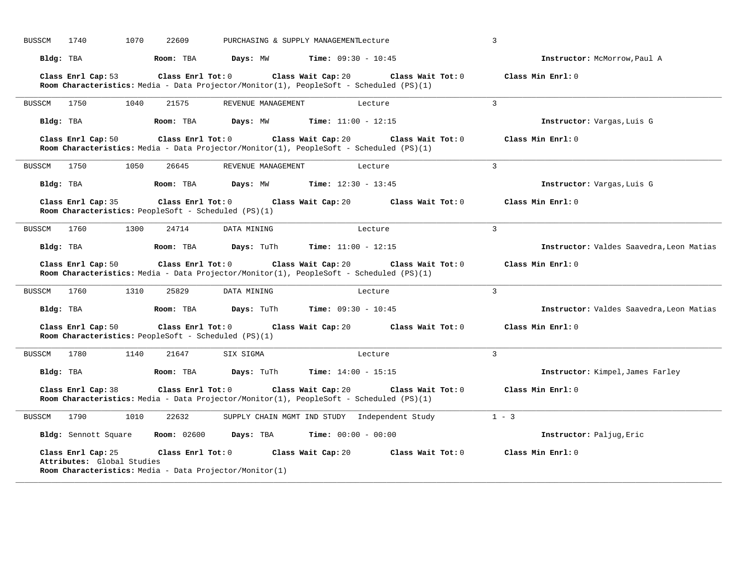| 1070<br><b>BUSSCM</b><br>1740                    | 22609                                                                                                        | PURCHASING & SUPPLY MANAGEMENTLecture         | $\overline{3}$                           |
|--------------------------------------------------|--------------------------------------------------------------------------------------------------------------|-----------------------------------------------|------------------------------------------|
| Bldg: TBA                                        | Room: TBA<br>Days: MW                                                                                        | <b>Time:</b> $09:30 - 10:45$                  | Instructor: McMorrow, Paul A             |
| Class Enrl Cap: 53                               | Class Enrl Tot: 0<br>Room Characteristics: Media - Data Projector/Monitor(1), PeopleSoft - Scheduled (PS)(1) | Class Wait Cap: 20<br>Class Wait Tot: 0       | Class Min Enrl: 0                        |
| BUSSCM<br>1750<br>1040                           | 21575<br>REVENUE MANAGEMENT                                                                                  | Lecture                                       | $\overline{3}$                           |
| Bldg: TBA                                        | Days: MW<br>Room: TBA                                                                                        | <b>Time:</b> $11:00 - 12:15$                  | Instructor: Vargas, Luis G               |
| Class Enrl Cap: 50                               | Class Enrl Tot: 0<br>Room Characteristics: Media - Data Projector/Monitor(1), PeopleSoft - Scheduled (PS)(1) | Class Wait Cap: 20<br>Class Wait Tot: 0       | Class Min Enrl: 0                        |
| 1750<br>1050<br>BUSSCM                           | 26645<br>REVENUE MANAGEMENT                                                                                  | Lecture                                       | $\mathcal{L}$                            |
| Bldg: TBA                                        | Days: MW<br>Room: TBA                                                                                        | <b>Time:</b> $12:30 - 13:45$                  | Instructor: Vargas, Luis G               |
| Class Enrl Cap: 35                               | Class Enrl Tot: 0<br>Room Characteristics: PeopleSoft - Scheduled (PS)(1)                                    | Class Wait Cap: 20<br>Class Wait Tot: 0       | Class Min Enrl: 0                        |
| 1300<br><b>BUSSCM</b><br>1760                    | 24714<br>DATA MINING                                                                                         | Lecture                                       | $\overline{3}$                           |
| Bldg: TBA                                        | Room: TBA<br>Days: TuTh                                                                                      | Time: $11:00 - 12:15$                         | Instructor: Valdes Saavedra, Leon Matias |
| Class Enrl Cap: 50                               | Class Enrl Tot: 0<br>Room Characteristics: Media - Data Projector/Monitor(1), PeopleSoft - Scheduled (PS)(1) | Class Wait Cap: 20<br>Class Wait Tot: 0       | Class Min Enrl: 0                        |
| BUSSCM<br>1760<br>1310                           | 25829<br>DATA MINING                                                                                         | Lecture                                       | 3                                        |
| Bldg: TBA                                        | Room: TBA<br>Days: TuTh                                                                                      | <b>Time:</b> $09:30 - 10:45$                  | Instructor: Valdes Saavedra, Leon Matias |
| Class Enrl Cap: 50                               | Class Enrl Tot: 0<br>Room Characteristics: PeopleSoft - Scheduled (PS)(1)                                    | Class Wait Cap: 20<br>Class Wait Tot: 0       | Class Min Enrl: 0                        |
| 1780<br>1140<br>BUSSCM                           | 21647<br>SIX SIGMA                                                                                           | Lecture                                       | 3                                        |
| Bldg: TBA                                        | Room: TBA<br>Days: TuTh                                                                                      | <b>Time:</b> $14:00 - 15:15$                  | Instructor: Kimpel, James Farley         |
| Class Enrl Cap: 38                               | Class Enrl Tot: 0<br>Room Characteristics: Media - Data Projector/Monitor(1), PeopleSoft - Scheduled (PS)(1) | Class Wait Cap: 20<br>Class Wait Tot: 0       | Class Min Enrl: 0                        |
| 1790<br>1010<br>BUSSCM                           | 22632                                                                                                        | SUPPLY CHAIN MGMT IND STUDY Independent Study | $1 - 3$                                  |
| Bldg: Sennott Square                             | <b>Room:</b> 02600<br>Days: TBA                                                                              | <b>Time:</b> $00:00 - 00:00$                  | Instructor: Paljug, Eric                 |
| Class Enrl Cap: 25<br>Attributes: Global Studies | Class Enrl Tot: 0<br>Room Characteristics: Media - Data Projector/Monitor(1)                                 | Class Wait Cap: 20<br>Class Wait Tot: 0       | Class Min Enrl: 0                        |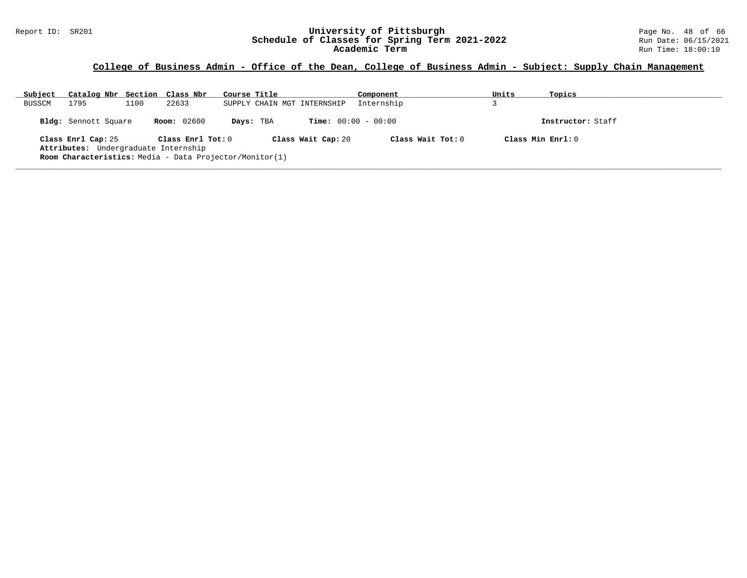#### Report ID: SR201 **University of Pittsburgh** Page No. 48 of 66 **Schedule of Classes for Spring Term 2021-2022** Run Date: 06/15/2021 **Academic Term** Run Time: 18:00:10

### **College of Business Admin - Office of the Dean, College of Business Admin - Subject: Supply Chain Management**

| Subject | Catalog Nbr Section Class Nbr                                                                                         |      |                       | Course Title |           |                              | Component           | Units | Topics            |  |
|---------|-----------------------------------------------------------------------------------------------------------------------|------|-----------------------|--------------|-----------|------------------------------|---------------------|-------|-------------------|--|
| BUSSCM  | 1795                                                                                                                  | 1100 | 22633                 |              |           | SUPPLY CHAIN MGT INTERNSHIP  | Internship          |       |                   |  |
|         | Bldg: Sennott Square                                                                                                  |      | <b>Room:</b> 02600    |              | Days: TBA | <b>Time:</b> $00:00 - 00:00$ |                     |       | Instructor: Staff |  |
|         | Class Enrl Cap: 25<br>Attributes: Undergraduate Internship<br>Room Characteristics: Media - Data Projector/Monitor(1) |      | Class $Enr1$ Tot: $0$ |              |           | Class Wait Cap: 20           | Class Wait Tot: $0$ |       | Class Min Enrl: 0 |  |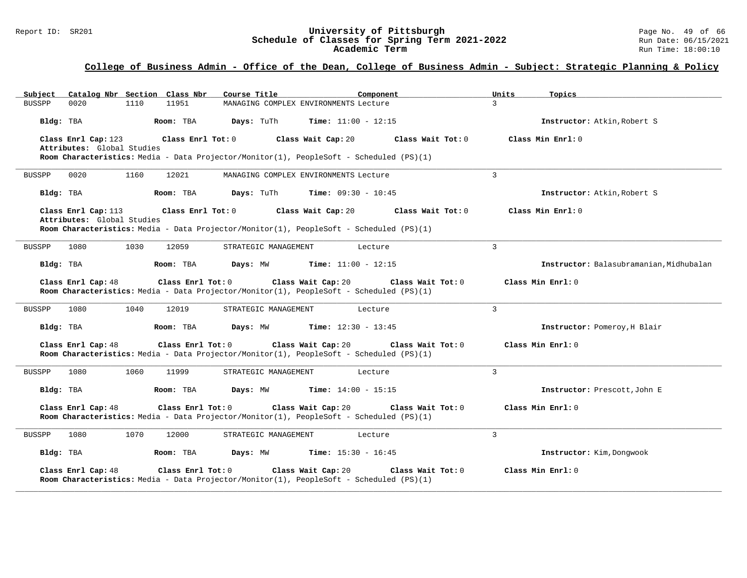#### Report ID: SR201 **University of Pittsburgh** Page No. 49 of 66 **Schedule of Classes for Spring Term 2021-2022** Run Date: 06/15/2021 **Academic Term** Run Time: 18:00:10

| Catalog Nbr Section Class Nbr<br>Subject                               | Course Title<br>Component                                                                                                          | Units<br>Topics                         |
|------------------------------------------------------------------------|------------------------------------------------------------------------------------------------------------------------------------|-----------------------------------------|
| <b>BUSSPP</b><br>0020<br>1110<br>11951                                 | MANAGING COMPLEX ENVIRONMENTS Lecture                                                                                              | $\mathbf{z}$                            |
| Bldg: TBA<br>Room: TBA                                                 | Days: TuTh<br><b>Time:</b> $11:00 - 12:15$                                                                                         | Instructor: Atkin, Robert S             |
| Class Enrl Cap: 123<br>Class Enrl Tot: 0<br>Attributes: Global Studies | Class Wait Cap: 20<br>Class Wait Tot: 0<br>Room Characteristics: Media - Data Projector/Monitor(1), PeopleSoft - Scheduled (PS)(1) | Class Min Enrl: 0                       |
| 0020<br>1160<br>12021<br><b>BUSSPP</b>                                 | MANAGING COMPLEX ENVIRONMENTS Lecture                                                                                              | 3                                       |
| Bldg: TBA<br>Room: TBA                                                 | Days: TuTh<br><b>Time:</b> $09:30 - 10:45$                                                                                         | Instructor: Atkin, Robert S             |
| Class Enrl Cap: 113<br>Class Enrl Tot: 0<br>Attributes: Global Studies | Class Wait Cap: 20<br>Class Wait Tot: 0<br>Room Characteristics: Media - Data Projector/Monitor(1), PeopleSoft - Scheduled (PS)(1) | Class Min Enrl: 0                       |
| 1030<br><b>BUSSPP</b><br>1080<br>12059                                 | STRATEGIC MANAGEMENT<br>Lecture                                                                                                    | $\mathbf{3}$                            |
| Bldg: TBA<br>Room: TBA                                                 | <b>Time:</b> $11:00 - 12:15$<br>Days: MW                                                                                           | Instructor: Balasubramanian, Midhubalan |
| Class Enrl Cap: 48<br>Class Enrl Tot: 0                                | Class Wait Cap: 20<br>Class Wait Tot: 0<br>Room Characteristics: Media - Data Projector/Monitor(1), PeopleSoft - Scheduled (PS)(1) | Class Min Enrl: 0                       |
| 1080<br>1040<br>12019<br>BUSSPP                                        | STRATEGIC MANAGEMENT<br>Lecture                                                                                                    | 3                                       |
| Bldg: TBA<br>Room: TBA                                                 | <b>Time:</b> $12:30 - 13:45$<br>Days: MW                                                                                           | Instructor: Pomeroy, H Blair            |
| Class Enrl Cap: 48<br>Class Enrl Tot: 0                                | Class Wait Cap: 20<br>Class Wait Tot: 0<br>Room Characteristics: Media - Data Projector/Monitor(1), PeopleSoft - Scheduled (PS)(1) | Class Min Enrl: 0                       |
| 1060<br><b>BUSSPP</b><br>1080<br>11999                                 | Lecture<br>STRATEGIC MANAGEMENT                                                                                                    | 3                                       |
| Bldg: TBA<br>Room: TBA                                                 | Days: MW<br><b>Time:</b> $14:00 - 15:15$                                                                                           | Instructor: Prescott, John E            |
| Class Enrl Cap: 48<br>Class Enrl Tot: 0                                | Class Wait Cap: 20<br>Class Wait Tot: 0<br>Room Characteristics: Media - Data Projector/Monitor(1), PeopleSoft - Scheduled (PS)(1) | Class Min Enrl: 0                       |
| 1080<br>1070<br>12000<br><b>BUSSPP</b>                                 | STRATEGIC MANAGEMENT<br>Lecture                                                                                                    | 3                                       |
| Bldg: TBA<br>Room: TBA                                                 | <b>Time:</b> $15:30 - 16:45$<br>Days: MW                                                                                           | Instructor: Kim, Dongwook               |
| Class Enrl Cap: 48<br>Class Enrl Tot: 0                                | Class Wait Cap: 20<br>Class Wait Tot: 0<br>Room Characteristics: Media - Data Projector/Monitor(1), PeopleSoft - Scheduled (PS)(1) | Class Min Enrl: 0                       |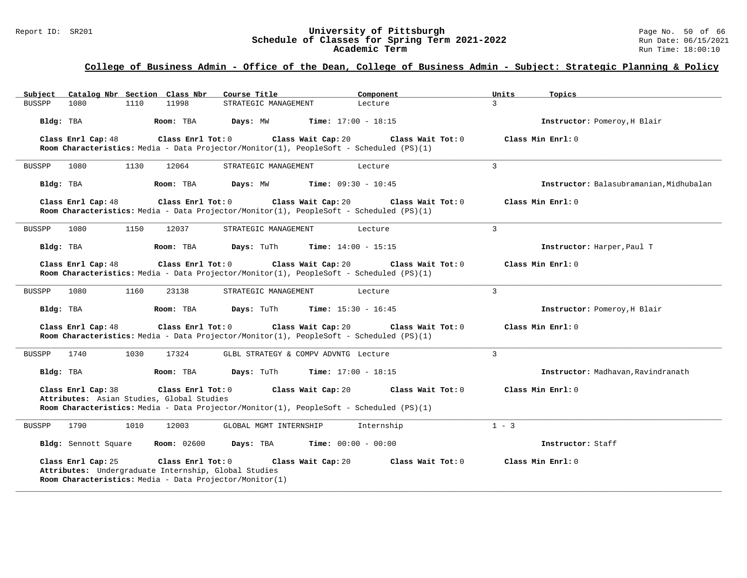#### Report ID: SR201 **University of Pittsburgh** Page No. 50 of 66 **Schedule of Classes for Spring Term 2021-2022** Run Date: 06/15/2021 **Academic Term** Run Time: 18:00:10

| Subject       | Catalog Nbr Section Class Nbr |      |                                                                               | Course Title                                            | Component                                                                                                                            | Units<br>Topics                         |
|---------------|-------------------------------|------|-------------------------------------------------------------------------------|---------------------------------------------------------|--------------------------------------------------------------------------------------------------------------------------------------|-----------------------------------------|
| <b>BUSSPP</b> | 1080                          | 1110 | 11998                                                                         | STRATEGIC MANAGEMENT                                    | Lecture                                                                                                                              | $\mathcal{L}$                           |
| Bldg: TBA     |                               |      | Room: TBA                                                                     | Days: MW                                                | <b>Time:</b> $17:00 - 18:15$                                                                                                         | Instructor: Pomeroy, H Blair            |
|               | Class Enrl Cap: 48            |      | Class Enrl Tot: 0                                                             |                                                         | Class Wait Cap: 20<br>Class Wait Tot: 0<br>Room Characteristics: Media - Data Projector/Monitor(1), PeopleSoft - Scheduled (PS)(1)   | Class Min $Enr1: 0$                     |
| <b>BUSSPP</b> | 1080                          | 1130 | 12064                                                                         | STRATEGIC MANAGEMENT                                    | Lecture                                                                                                                              | 3                                       |
| Bldg: TBA     |                               |      | Room: TBA                                                                     | Days: MW                                                | <b>Time:</b> $09:30 - 10:45$                                                                                                         | Instructor: Balasubramanian, Midhubalan |
|               | Class Enrl Cap: 48            |      | Class Enrl Tot: 0                                                             |                                                         | Class Wait Cap: 20<br>Class Wait Tot: 0<br>Room Characteristics: Media - Data Projector/Monitor(1), PeopleSoft - Scheduled (PS)(1)   | Class Min Enrl: 0                       |
| <b>BUSSPP</b> | 1080                          | 1150 | 12037                                                                         | STRATEGIC MANAGEMENT                                    | Lecture                                                                                                                              | 3                                       |
| Bldg: TBA     |                               |      | Room: TBA                                                                     | Days: TuTh                                              | Time: $14:00 - 15:15$                                                                                                                | Instructor: Harper, Paul T              |
|               | Class Enrl Cap: 48            |      | Class Enrl Tot: 0                                                             |                                                         | Class Wait Cap: 20<br>Class Wait Tot: 0<br>Room Characteristics: Media - Data Projector/Monitor(1), PeopleSoft - Scheduled (PS)(1)   | Class Min $Enr1: 0$                     |
| BUSSPP        | 1080                          | 1160 | 23138                                                                         | STRATEGIC MANAGEMENT                                    | Lecture                                                                                                                              | $\mathcal{L}$                           |
| Bldg: TBA     |                               |      | Room: TBA                                                                     | <b>Days:</b> TuTh                                       | <b>Time:</b> $15:30 - 16:45$                                                                                                         | Instructor: Pomeroy, H Blair            |
|               | Class Enrl Cap: 48            |      | Class Enrl Tot: 0                                                             |                                                         | Class Wait Cap: 20<br>Class Wait Tot: 0<br>Room Characteristics: Media - Data Projector/Monitor(1), PeopleSoft - Scheduled (PS)(1)   | Class Min Enrl: 0                       |
| BUSSPP        | 1740                          | 1030 | 17324                                                                         | GLBL STRATEGY & COMPV ADVNTG Lecture                    |                                                                                                                                      | 3                                       |
| Bldg: TBA     |                               |      | Room: TBA                                                                     | Days: TuTh                                              | <b>Time:</b> $17:00 - 18:15$                                                                                                         | Instructor: Madhavan, Ravindranath      |
|               | Class Enrl Cap: 38            |      | Class Enrl Tot: 0<br>Attributes: Asian Studies, Global Studies                |                                                         | Class Wait Cap: 20<br>Class Wait $Tot: 0$<br>Room Characteristics: Media - Data Projector/Monitor(1), PeopleSoft - Scheduled (PS)(1) | Class Min Enrl: 0                       |
| <b>BUSSPP</b> | 1790                          | 1010 | 12003                                                                         | GLOBAL MGMT INTERNSHIP                                  | Internship                                                                                                                           | $1 - 3$                                 |
|               | Bldg: Sennott Square          |      | <b>Room:</b> 02600                                                            | Days: TBA                                               | <b>Time:</b> $00:00 - 00:00$                                                                                                         | Instructor: Staff                       |
|               | Class Enrl Cap: 25            |      | Class $Enrl$ Tot: $0$<br>Attributes: Undergraduate Internship, Global Studies | Room Characteristics: Media - Data Projector/Monitor(1) | Class Wait Cap: 20<br>Class Wait Tot: 0                                                                                              | Class Min Enrl: 0                       |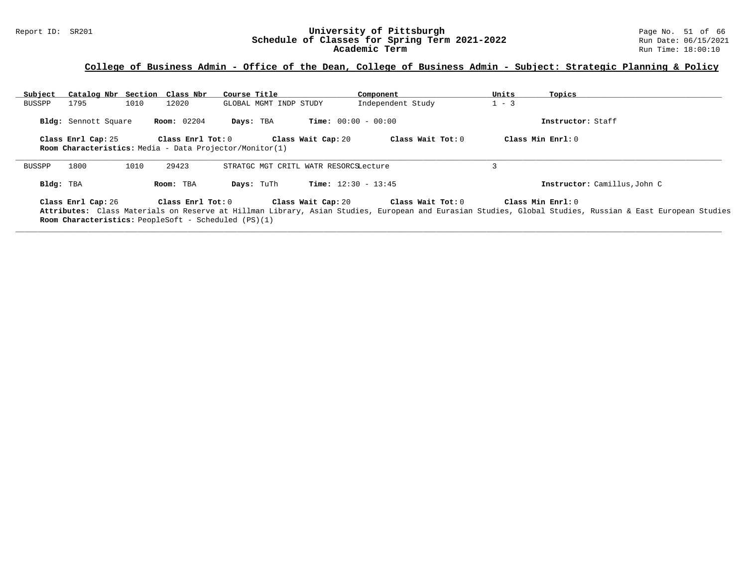#### Report ID: SR201 **University of Pittsburgh** Page No. 51 of 66 **Schedule of Classes for Spring Term 2021-2022** Run Date: 06/15/2021 **Academic Term** Run Time: 18:00:10

| Subject   |                      | Catalog Nbr Section Class Nbr                                                                                       | Course Title                          | Component                    | Units<br>Topics                                                                                                                                                               |  |
|-----------|----------------------|---------------------------------------------------------------------------------------------------------------------|---------------------------------------|------------------------------|-------------------------------------------------------------------------------------------------------------------------------------------------------------------------------|--|
| BUSSPP    | 1795                 | 1010<br>12020                                                                                                       | GLOBAL MGMT INDP STUDY                | Independent Study            | $1 - 3$                                                                                                                                                                       |  |
|           | Bldg: Sennott Square | <b>Room:</b> 02204                                                                                                  | Days: TBA                             | <b>Time:</b> $00:00 - 00:00$ | Instructor: Staff                                                                                                                                                             |  |
|           | Class Enrl Cap: 25   | $\texttt{Class}$ $\texttt{Enrl}$ $\texttt{Tot:}~0$                                                                  | Class Wait Cap: 20                    | Class Wait Tot: 0            | Class Min $Enr1:0$                                                                                                                                                            |  |
|           |                      | <b>Room Characteristics:</b> Media - Data Projector/Monitor(1)                                                      |                                       |                              |                                                                                                                                                                               |  |
| BUSSPP    | 1800                 | 1010<br>29423                                                                                                       | STRATGC MGT CRITL WATR RESORCSLecture |                              |                                                                                                                                                                               |  |
| Bldg: TBA |                      | Room: TBA                                                                                                           | Days: TuTh                            | <b>Time:</b> $12:30 - 13:45$ | Instructor: Camillus, John C                                                                                                                                                  |  |
|           | Class Enrl Cap: 26   | $\texttt{Class}$ $\texttt{Enrl}$ $\texttt{Tot:}$ $0$<br><b>Room Characteristics:</b> PeopleSoft - Scheduled (PS)(1) | Class Wait Cap: 20                    | Class Wait Tot: 0            | Class Min Enrl: 0<br>Attributes: Class Materials on Reserve at Hillman Library, Asian Studies, European and Eurasian Studies, Global Studies, Russian & East European Studies |  |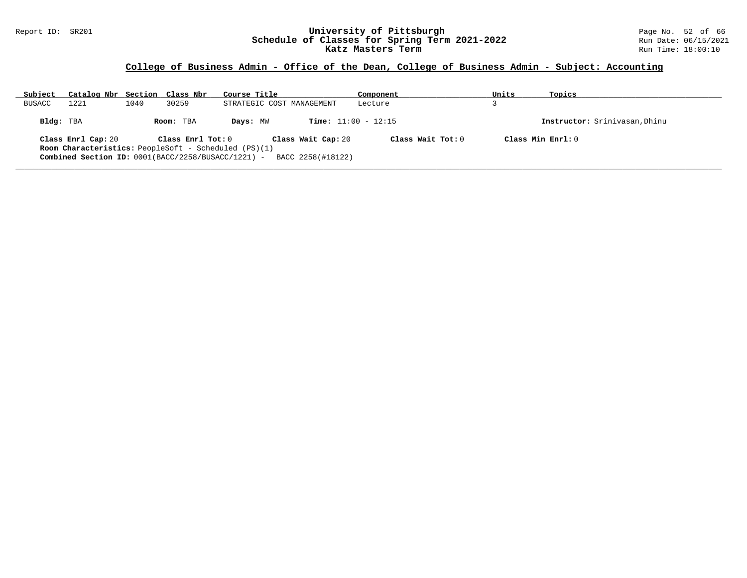#### Report ID: SR201 **University of Pittsburgh** Page No. 52 of 66 **Schedule of Classes for Spring Term 2021-2022** Run Date: 06/15/2021 **Katz Masters Term Run Time:** 18:00:10

| Subject       | Catalog Nbr Section Class Nbr                               |      |                   | Course Title              |                              | Component           | Units | Topics                        |
|---------------|-------------------------------------------------------------|------|-------------------|---------------------------|------------------------------|---------------------|-------|-------------------------------|
| <b>BUSACC</b> | 1221                                                        | 1040 | 30259             | STRATEGIC COST MANAGEMENT |                              | Lecture             |       |                               |
| Bldg: TBA     |                                                             |      | Room: TBA         | Days: MW                  | <b>Time:</b> $11:00 - 12:15$ |                     |       | Instructor: Srinivasan, Dhinu |
|               | Class Enrl Cap: 20                                          |      | Class Enrl Tot: 0 |                           | Class Wait Cap: 20           | Class Wait Tot: $0$ |       | Class Min $Enrl: 0$           |
|               | <b>Room Characteristics:</b> PeopleSoft - Scheduled (PS)(1) |      |                   |                           |                              |                     |       |                               |
|               | Combined Section ID: 0001(BACC/2258/BUSACC/1221) -          |      |                   |                           | BACC 2258(#18122)            |                     |       |                               |
|               |                                                             |      |                   |                           |                              |                     |       |                               |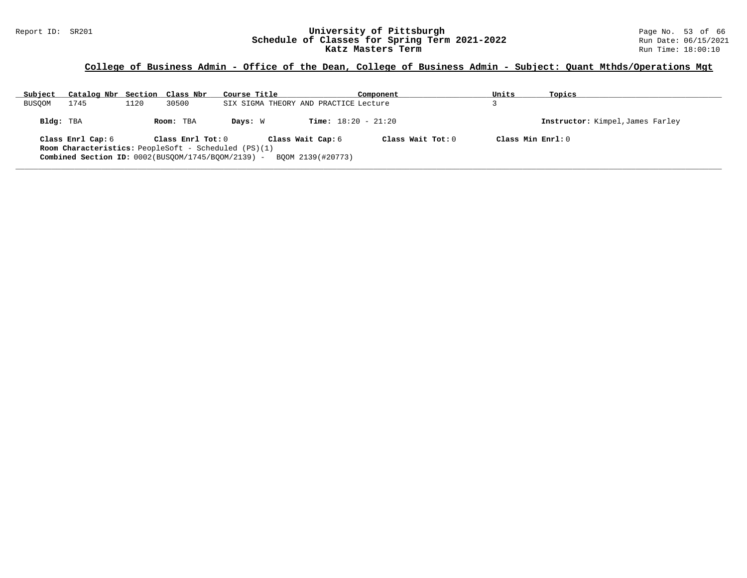#### Report ID: SR201 **University of Pittsburgh** Page No. 53 of 66 **Schedule of Classes for Spring Term 2021-2022** Run Date: 06/15/2021 **Katz Masters Term Run Time: 18:00:10** Run Time: 18:00:10

| Subject       | Catalog Nbr Section Class Nbr |      |                   | Course Title                                                                                                                                                  | Component                    | Units | Topics                           |
|---------------|-------------------------------|------|-------------------|---------------------------------------------------------------------------------------------------------------------------------------------------------------|------------------------------|-------|----------------------------------|
| <b>BUSOOM</b> | 1745                          | 1120 | 30500             | SIX SIGMA THEORY AND PRACTICE Lecture                                                                                                                         |                              |       |                                  |
| Bldg: TBA     |                               |      | Room: TBA         | Davs: W                                                                                                                                                       | <b>Time:</b> $18:20 - 21:20$ |       | Instructor: Kimpel, James Farley |
|               | Class Enrl Cap: 6             |      | Class Enrl Tot: 0 | Class Wait Cap: 6<br><b>Room Characteristics:</b> PeopleSoft - Scheduled (PS)(1)<br>Combined Section ID: $0002(BUSOOM/1745/BOOM/2139)$ -<br>BOOM 2139(#20773) | Class Wait $Tot: 0$          |       | Class Min Enrl: 0                |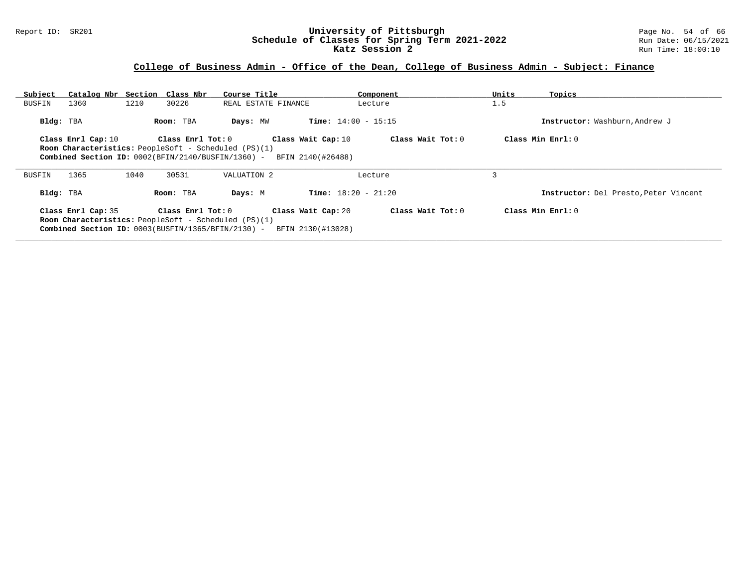#### Report ID: SR201 **University of Pittsburgh** Page No. 54 of 66 **Schedule of Classes for Spring Term 2021-2022** Run Date: 06/15/2021 **Katz Session 2 Run Time: 18:00:10 Run Time: 18:00:10**

| Subject   | Catalog Nbr Section |      | Class Nbr                                                   | Course Title        |                              | Component           | Units | Topics                                |
|-----------|---------------------|------|-------------------------------------------------------------|---------------------|------------------------------|---------------------|-------|---------------------------------------|
| BUSFIN    | 1360                | 1210 | 30226                                                       | REAL ESTATE FINANCE |                              | Lecture             | 1.5   |                                       |
| Bldg: TBA |                     |      | Room: TBA                                                   | Days: MW            | <b>Time:</b> $14:00 - 15:15$ |                     |       | Instructor: Washburn, Andrew J        |
|           | Class Enrl Cap: 10  |      | Class Enrl Tot: 0                                           |                     | Class Wait Cap: 10           | Class Wait Tot: 0   |       | Class Min Enrl: 0                     |
|           |                     |      | <b>Room Characteristics:</b> PeopleSoft - Scheduled (PS)(1) |                     |                              |                     |       |                                       |
|           |                     |      | Combined Section ID: $0002(BFIN/2140/BUSTIN/1360)$ -        |                     | BFIN 2140(#26488)            |                     |       |                                       |
|           |                     |      |                                                             |                     |                              |                     |       |                                       |
|           |                     |      |                                                             |                     |                              |                     |       |                                       |
| BUSFIN    | 1365                | 1040 | 30531                                                       | VALUATION 2         |                              | Lecture             |       |                                       |
| Bldg: TBA |                     |      | Room: TBA                                                   | Days: M             | <b>Time:</b> $18:20 - 21:20$ |                     |       | Instructor: Del Presto, Peter Vincent |
|           |                     |      | Class Enrl Tot: 0                                           |                     |                              | Class Wait Tot: $0$ |       | Class Min $Enrl: 0$                   |
|           | Class Enrl Cap: 35  |      | <b>Room Characteristics:</b> PeopleSoft - Scheduled (PS)(1) |                     | Class Wait Cap: 20           |                     |       |                                       |
|           |                     |      | Combined Section ID: 0003(BUSFIN/1365/BFIN/2130) -          |                     | BFIN 2130(#13028)            |                     |       |                                       |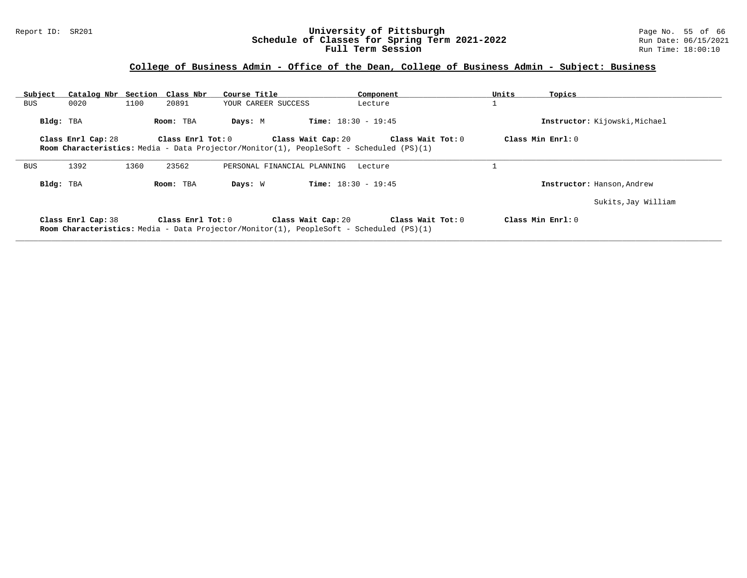#### Report ID: SR201 **University of Pittsburgh** Page No. 55 of 66 **Schedule of Classes for Spring Term 2021-2022** Run Date: 06/15/2021 **Full Term Session Rundall Term Session Rundall Term Session**

### **College of Business Admin - Office of the Dean, College of Business Admin - Subject: Business**

| Subject    | Catalog Nbr Section Class Nbr |      |                         | Course Title                                                                                                         | Component                    | Units               | Topics                        |
|------------|-------------------------------|------|-------------------------|----------------------------------------------------------------------------------------------------------------------|------------------------------|---------------------|-------------------------------|
| BUS        | 0020                          | 1100 | 20891                   | YOUR CAREER SUCCESS                                                                                                  | Lecture                      |                     |                               |
| Bldg: TBA  |                               |      | Room: TBA               | Days: M                                                                                                              | <b>Time:</b> $18:30 - 19:45$ |                     | Instructor: Kijowski, Michael |
|            | Class Enrl Cap: 28            |      | $Class$ $Enr1$ $Tot: 0$ | Class Wait Cap: 20                                                                                                   | Class Wait Tot: 0            | Class Min $Enrl: 0$ |                               |
|            |                               |      |                         | <b>Room Characteristics:</b> Media - Data Projector/Monitor(1), PeopleSoft - Scheduled (PS)(1)                       |                              |                     |                               |
| <b>BUS</b> | 1392                          | 1360 | 23562                   | PERSONAL FINANCIAL PLANNING                                                                                          | Lecture                      |                     |                               |
| Bldg: TBA  |                               |      | Room: TBA               | Days: W                                                                                                              | <b>Time:</b> $18:30 - 19:45$ |                     | Instructor: Hanson, Andrew    |
|            |                               |      |                         |                                                                                                                      |                              |                     | Sukits, Jay William           |
|            | Class Enrl Cap: 38            |      | Class Enrl Tot: 0       | Class Wait Cap: 20<br><b>Room Characteristics:</b> Media - Data Projector/Monitor(1), PeopleSoft - Scheduled (PS)(1) | Class Wait Tot: 0            | Class Min Enrl: 0   |                               |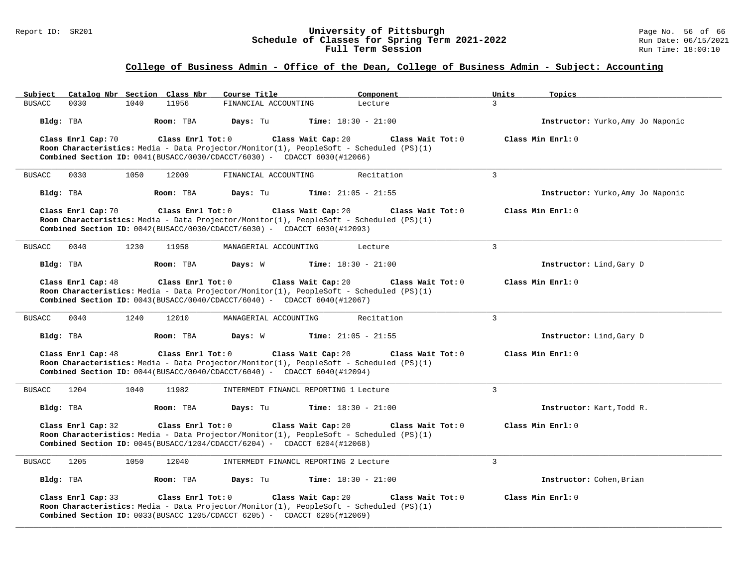#### Report ID: SR201 **University of Pittsburgh** Page No. 56 of 66 **Schedule of Classes for Spring Term 2021-2022** Run Date: 06/15/2021 **Full Term Session Rundall Term Session Rundall Term Session**

| Catalog Nbr Section Class Nbr<br>Subject                                                                                                                                                                                | Course Title                             | Component<br>Units           | Topics                            |
|-------------------------------------------------------------------------------------------------------------------------------------------------------------------------------------------------------------------------|------------------------------------------|------------------------------|-----------------------------------|
| <b>BUSACC</b><br>0030<br>1040<br>11956                                                                                                                                                                                  | FINANCIAL ACCOUNTING                     | 3<br>Lecture                 |                                   |
| Bldg: TBA<br>Room: TBA                                                                                                                                                                                                  | Days: Tu<br><b>Time:</b> $18:30 - 21:00$ |                              | Instructor: Yurko, Amy Jo Naponic |
| Class Enrl Cap: 70<br>Class Enrl Tot: 0<br>Room Characteristics: Media - Data Projector/Monitor(1), PeopleSoft - Scheduled (PS)(1)<br><b>Combined Section ID:</b> $0041(BUSACC/0030/CDACCT/6030) - CDACCT 6030(#12066)$ | Class Wait Cap: 20                       | Class Wait Tot: 0            | Class Min Enrl: 0                 |
|                                                                                                                                                                                                                         |                                          |                              |                                   |
| 0030<br>1050<br><b>BUSACC</b><br>12009                                                                                                                                                                                  | FINANCIAL ACCOUNTING                     | $\overline{3}$<br>Recitation |                                   |
| Bldg: TBA<br>Room: TBA                                                                                                                                                                                                  | Days: Tu<br><b>Time:</b> $21:05 - 21:55$ |                              | Instructor: Yurko, Amy Jo Naponic |
| Class Enrl Cap: 70<br>Class Enrl Tot: 0<br>Room Characteristics: Media - Data Projector/Monitor(1), PeopleSoft - Scheduled (PS)(1)<br><b>Combined Section ID:</b> $0042(BUSACC/0030/CDACCT/6030)$ - CDACCT 6030(#12093) | Class Wait Cap: 20                       | Class Wait Tot: 0            | Class Min Enrl: 0                 |
| 1230<br>11958<br><b>BUSACC</b><br>0040                                                                                                                                                                                  | MANAGERIAL ACCOUNTING                    | 3<br>Lecture                 |                                   |
| Bldg: TBA<br>Room: TBA                                                                                                                                                                                                  | Days: W<br><b>Time:</b> $18:30 - 21:00$  |                              | Instructor: Lind, Gary D          |
| Class Enrl Cap: 48<br>Class Enrl Tot: 0<br>Room Characteristics: Media - Data Projector/Monitor(1), PeopleSoft - Scheduled (PS)(1)<br><b>Combined Section ID:</b> $0043(BUSACC/0040/CDACCT/6040)$ - CDACCT 6040(#12067) | Class Wait Cap: 20                       | Class Wait Tot: 0            | Class Min Enrl: 0                 |
| <b>BUSACC</b><br>0040<br>1240<br>12010                                                                                                                                                                                  | MANAGERIAL ACCOUNTING                    | $\mathbf{3}$<br>Recitation   |                                   |
| Bldg: TBA<br>Room: TBA                                                                                                                                                                                                  | Time: $21:05 - 21:55$<br>Days: W         |                              | Instructor: Lind, Gary D          |
| Class Enrl Cap: 48<br>Class Enrl Tot: 0<br>Room Characteristics: Media - Data Projector/Monitor(1), PeopleSoft - Scheduled (PS)(1)<br>Combined Section ID: $0044(BUSACC/0040/CDACC/6040)$ - CDACCT 6040(#12094)         | Class Wait Cap: 20                       | Class Wait Tot: 0            | Class Min Enrl: 0                 |
| <b>BUSACC</b><br>1204<br>1040<br>11982                                                                                                                                                                                  | INTERMEDT FINANCL REPORTING 1 Lecture    | $\overline{3}$               |                                   |
| Bldg: TBA<br>Room: TBA                                                                                                                                                                                                  | Days: Tu<br><b>Time:</b> $18:30 - 21:00$ |                              | Instructor: Kart, Todd R.         |
| Class Enrl Cap: 32<br>Class Enrl Tot: 0<br>Room Characteristics: Media - Data Projector/Monitor(1), PeopleSoft - Scheduled (PS)(1)<br>Combined Section ID: 0045(BUSACC/1204/CDACCT/6204) - CDACCT 6204(#12068)          | Class Wait Cap: 20                       | Class Wait Tot: 0            | Class Min Enrl: 0                 |
| <b>BUSACC</b><br>1205<br>1050<br>12040                                                                                                                                                                                  | INTERMEDT FINANCL REPORTING 2 Lecture    | 3                            |                                   |
| Bldg: TBA<br>Room: TBA                                                                                                                                                                                                  | Days: Tu<br><b>Time:</b> $18:30 - 21:00$ |                              | Instructor: Cohen, Brian          |
| Class Enrl Cap: 33<br>Class Enrl Tot: 0<br>Room Characteristics: Media - Data Projector/Monitor(1), PeopleSoft - Scheduled (PS)(1)<br><b>Combined Section ID:</b> $0033(BUSACC 1205/CDACCT 6205) - CDACCT 6205(#12069)$ | Class Wait Cap: 20                       | Class Wait Tot: 0            | Class Min $Err1:0$                |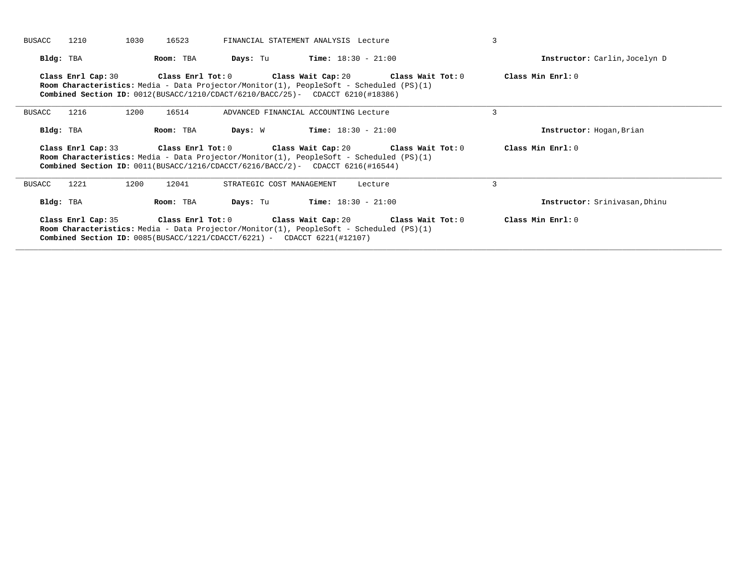| 1210<br><b>BUSACC</b> | 1030<br>16523 | FINANCIAL STATEMENT ANALYSIS Lecture                                                                                                                                                                                                                       | $\overline{3}$                |
|-----------------------|---------------|------------------------------------------------------------------------------------------------------------------------------------------------------------------------------------------------------------------------------------------------------------|-------------------------------|
| Bldg: TBA             | Room: TBA     | <b>Days:</b> Tu <b>Time:</b> $18:30 - 21:00$                                                                                                                                                                                                               | Instructor: Carlin, Jocelyn D |
| Class Enrl Cap: 30    |               | Class Enrl Tot: $0$ Class Wait Cap: $20$ Class Wait Tot: $0$<br><b>Room Characteristics:</b> Media - Data Projector/Monitor(1), PeopleSoft - Scheduled (PS)(1)<br><b>Combined Section ID:</b> $0012(BUSACC/1210/CDACT/6210/BACC/25)$ - CDACCT 6210(#18386) | Class Min Enrl: 0             |
| 1216<br>BUSACC        | 1200<br>16514 | ADVANCED FINANCIAL ACCOUNTING Lecture                                                                                                                                                                                                                      | 3                             |
| Bldg: TBA             | Room: TBA     | $Time: 18:30 - 21:00$<br>Days: W                                                                                                                                                                                                                           | Instructor: Hogan, Brian      |
|                       |               | Class Enrl Tot: $0$ Class Wait Cap: $20$ Class Wait Tot: $0$                                                                                                                                                                                               | Class Min Enrl: 0             |
| Class Enrl Cap: 33    |               | <b>Room Characteristics:</b> Media - Data Projector/Monitor(1), PeopleSoft - Scheduled (PS)(1)<br><b>Combined Section ID:</b> $0011(BUSACC/1216/CDACC/6216/BACC/2)$ - CDACCT 6216(#16544)                                                                  |                               |
| 1221<br>BUSACC        | 1200<br>12041 | STRATEGIC COST MANAGEMENT<br>Lecture                                                                                                                                                                                                                       | 3                             |
| Bldg: TBA             | Room: TBA     | <b>Days:</b> Tu <b>Time:</b> $18:30 - 21:00$                                                                                                                                                                                                               | Instructor: Srinivasan, Dhinu |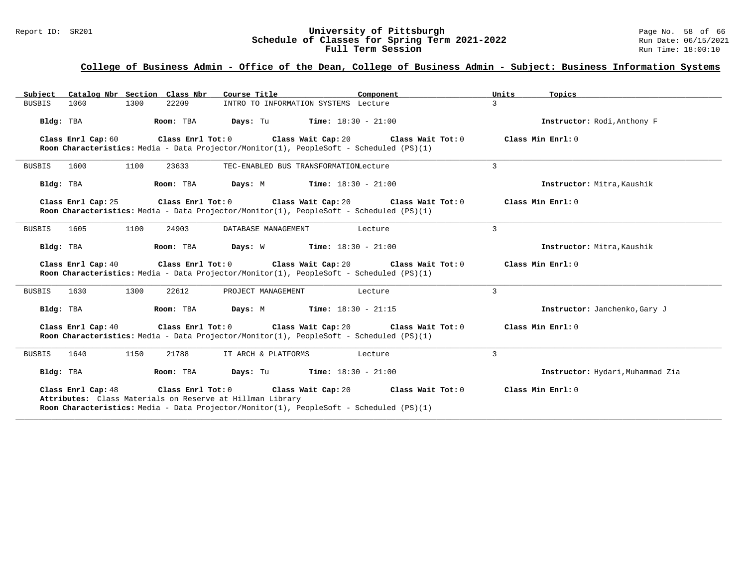#### Report ID: SR201 **University of Pittsburgh University of Pittsburgh** Page No. 58 of 66<br>**Schedule of Classes for Spring Term 2021-2022** Run Date: 06/15/2021 **Schedule of Classes for Spring Term 2021-2022** Run Date: 06/15/2021 **Full Term Session Rundall Term Session Rundall Term Session**

### **College of Business Admin - Office of the Dean, College of Business Admin - Subject: Business Information Systems**

| Catalog Nbr Section Class Nbr<br>Subject                                        | Course Title<br>Component                                                                                                                               | Units<br>Topics                  |
|---------------------------------------------------------------------------------|---------------------------------------------------------------------------------------------------------------------------------------------------------|----------------------------------|
| 1060<br>1300<br>22209<br><b>BUSBIS</b>                                          | INTRO TO INFORMATION SYSTEMS Lecture                                                                                                                    | 3                                |
| Bldg: TBA<br>Room: TBA                                                          | <b>Days:</b> Tu <b>Time:</b> $18:30 - 21:00$                                                                                                            | Instructor: Rodi, Anthony F      |
| Class Enrl Cap: 60                                                              | Class Enrl Tot: 0 Class Wait Cap: 20 Class Wait Tot: 0<br>Room Characteristics: Media - Data Projector/Monitor(1), PeopleSoft - Scheduled (PS)(1)       | Class Min Enrl: 0                |
| <b>BUSBIS</b><br>1600<br>1100<br>23633                                          | TEC-ENABLED BUS TRANSFORMATIONLecture                                                                                                                   | 3                                |
| Bldg: TBA<br>Room: TBA                                                          | <b>Days:</b> M <b>Time:</b> $18:30 - 21:00$                                                                                                             | Instructor: Mitra, Kaushik       |
| Class Enrl Cap: 25                                                              | Class Enrl Tot: $0$ Class Wait Cap: $20$ Class Wait Tot: $0$<br>Room Characteristics: Media - Data Projector/Monitor(1), PeopleSoft - Scheduled (PS)(1) | Class Min Enrl: 0                |
| <b>BUSBIS</b><br>1605<br>1100<br>24903                                          | DATABASE MANAGEMENT<br>Lecture                                                                                                                          | 3                                |
| Room: TBA<br>Bldg: TBA                                                          | <b>Days:</b> W <b>Time:</b> $18:30 - 21:00$                                                                                                             | Instructor: Mitra, Kaushik       |
| Class Enrl Cap: 40                                                              | Class Enrl Tot: 0 Class Wait Cap: 20 Class Wait Tot: 0<br>Room Characteristics: Media - Data Projector/Monitor(1), PeopleSoft - Scheduled (PS)(1)       | Class Min $Enr1:0$               |
| 1630<br>1300<br>22612<br>BUSBIS                                                 | PROJECT MANAGEMENT<br>Lecture                                                                                                                           | 3                                |
| Bldg: TBA<br>Room: TBA                                                          | <b>Days:</b> M <b>Time:</b> $18:30 - 21:15$                                                                                                             | Instructor: Janchenko, Gary J    |
| Class Enrl Cap: 40                                                              | Class Enrl Tot: $0$ Class Wait Cap: $20$ Class Wait Tot: $0$<br>Room Characteristics: Media - Data Projector/Monitor(1), PeopleSoft - Scheduled (PS)(1) | Class Min $Enr1:0$               |
| 1640<br>1150<br>21788<br>BUSBIS                                                 | IT ARCH & PLATFORMS<br>Lecture                                                                                                                          | $\overline{3}$                   |
| Bldg: TBA<br>Room: TBA                                                          | <b>Days:</b> Tu <b>Time:</b> $18:30 - 21:00$                                                                                                            | Instructor: Hydari, Muhammad Zia |
| Class Enrl Cap: 48<br>Attributes: Class Materials on Reserve at Hillman Library | Class Enrl Tot: $0$ Class Wait Cap: $20$ Class Wait Tot: $0$<br>Room Characteristics: Media - Data Projector/Monitor(1), PeopleSoft - Scheduled (PS)(1) | Class Min Enrl: 0                |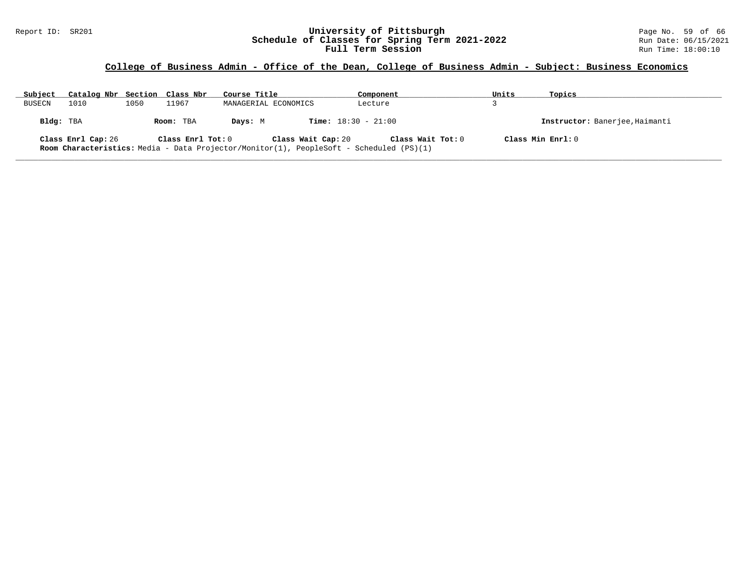#### Report ID: SR201 **University of Pittsburgh** Page No. 59 of 66 **Schedule of Classes for Spring Term 2021-2022** Run Date: 06/15/2021 **Full Term Session Rundall Term Session Rundall Term Session**

# **College of Business Admin - Office of the Dean, College of Business Admin - Subject: Business Economics**

| Subject   | Catalog Nbr Section Class Nbr |      |                   | Course Title         |                                                                                                                      | Component         | Units             | Topics                         |
|-----------|-------------------------------|------|-------------------|----------------------|----------------------------------------------------------------------------------------------------------------------|-------------------|-------------------|--------------------------------|
| BUSECN    | 1010                          | 1050 | 11967             | MANAGERIAL ECONOMICS |                                                                                                                      | Lecture           |                   |                                |
| Bldg: TBA |                               |      | Room: TBA         | Days: M              | <b>Time:</b> $18:30 - 21:00$                                                                                         |                   |                   | Instructor: Banerjee, Haimanti |
|           | Class Enrl Cap: 26            |      | Class Enrl Tot: 0 |                      | Class Wait Cap: 20<br><b>Room Characteristics:</b> Media - Data Projector/Monitor(1), PeopleSoft - Scheduled (PS)(1) | Class Wait Tot: 0 | Class Min Enrl: 0 |                                |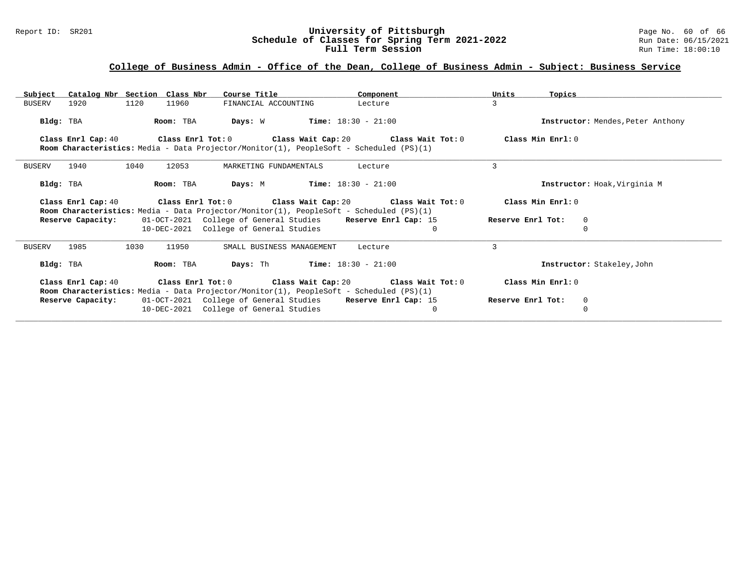#### Report ID: SR201 **University of Pittsburgh** Page No. 60 of 66 **Schedule of Classes for Spring Term 2021-2022** Run Date: 06/15/2021 **Full Term Session Rundall Term Session Rundall Term Session**

| Subject               | Catalog Nbr Section Class Nbr | Course Title                                                                                   | Component                                                                 | Units<br>Topics   |                                   |
|-----------------------|-------------------------------|------------------------------------------------------------------------------------------------|---------------------------------------------------------------------------|-------------------|-----------------------------------|
| <b>BUSERV</b><br>1920 | 1120<br>11960                 | FINANCIAL ACCOUNTING                                                                           | Lecture                                                                   | $\mathbf{R}$      |                                   |
| Bldg: TBA             | Room: TBA                     | <b>Days:</b> $W$ <b>Time:</b> $18:30 - 21:00$                                                  |                                                                           |                   | Instructor: Mendes, Peter Anthony |
| Class Enrl Cap: 40    |                               |                                                                                                | Class Enrl Tot: $0$ Class Wait Cap: $20$ Class Wait Tot: $0$              | Class Min Enrl: 0 |                                   |
|                       |                               | Room Characteristics: Media - Data Projector/Monitor(1), PeopleSoft - Scheduled (PS)(1)        |                                                                           |                   |                                   |
| 1940<br><b>BUSERV</b> | 1040<br>12053                 | MARKETING FUNDAMENTALS                                                                         | Lecture                                                                   | ζ                 |                                   |
| Bldg: TBA             | Room: TBA                     | <b>Days:</b> M <b>Time:</b> $18:30 - 21:00$                                                    |                                                                           |                   | Instructor: Hoak, Virginia M      |
|                       |                               |                                                                                                | Class Enrl Cap: 40 Class Enrl Tot: 0 Class Wait Cap: 20 Class Wait Tot: 0 | Class Min Enrl: 0 |                                   |
|                       |                               | <b>Room Characteristics:</b> Media - Data Projector/Monitor(1), PeopleSoft - Scheduled (PS)(1) |                                                                           |                   |                                   |
| Reserve Capacity:     |                               | 01-OCT-2021 College of General Studies Reserve Enrl Cap: 15                                    |                                                                           | Reserve Enrl Tot: | 0                                 |
|                       |                               | 10-DEC-2021 College of General Studies                                                         | $\Omega$                                                                  |                   |                                   |
| 1985<br><b>BUSERV</b> | 1030<br>11950                 | SMALL BUSINESS MANAGEMENT                                                                      | Lecture                                                                   | 3                 |                                   |
| Bldg: TBA             | Room: TBA                     | <b>Days:</b> Th <b>Time:</b> $18:30 - 21:00$                                                   |                                                                           |                   | Instructor: Stakeley, John        |
|                       |                               |                                                                                                | Class Enrl Cap: 40 Class Enrl Tot: 0 Class Wait Cap: 20 Class Wait Tot: 0 | Class Min Enrl: 0 |                                   |
|                       |                               | <b>Room Characteristics:</b> Media - Data Projector/Monitor(1), PeopleSoft - Scheduled (PS)(1) |                                                                           |                   |                                   |
| Reserve Capacity:     |                               | 01-OCT-2021 College of General Studies Reserve Enrl Cap: 15                                    |                                                                           | Reserve Enrl Tot: | 0                                 |
|                       |                               | 10-DEC-2021 College of General Studies                                                         | $\Omega$                                                                  |                   | $\Omega$                          |
|                       |                               |                                                                                                |                                                                           |                   |                                   |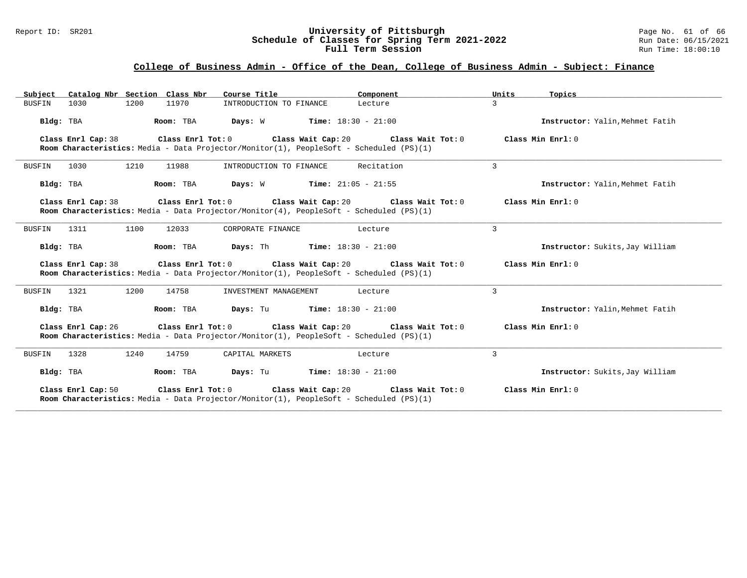#### Report ID: SR201 **University of Pittsburgh** Page No. 61 of 66 **Schedule of Classes for Spring Term 2021-2022** Run Date: 06/15/2021 **Full Term Session Rundall Term Session Rundall Term Session**

# **College of Business Admin - Office of the Dean, College of Business Admin - Subject: Finance**

| Subject Catalog Nbr Section Class Nbr                                                                                              | Course Title                                                  | Component                            | Units               | Topics                          |
|------------------------------------------------------------------------------------------------------------------------------------|---------------------------------------------------------------|--------------------------------------|---------------------|---------------------------------|
| 11970<br>1030<br>1200<br>BUSFIN                                                                                                    | INTRODUCTION TO FINANCE                                       | Lecture                              | 3                   |                                 |
| Bldg: TBA<br>Room: TBA                                                                                                             | <b>Days:</b> W <b>Time:</b> $18:30 - 21:00$                   |                                      |                     | Instructor: Yalin. Mehmet Fatih |
| Class Enrl Cap: 38<br>Room Characteristics: Media - Data Projector/Monitor(1), PeopleSoft - Scheduled (PS)(1)                      | Class Enrl Tot: $0$ Class Wait Cap: $20$ Class Wait Tot: $0$  |                                      | Class Min Enrl: 0   |                                 |
| 1210<br><b>BUSFIN</b><br>1030<br>11988                                                                                             | INTRODUCTION TO FINANCE                                       | Recitation                           | 3                   |                                 |
| Room: TBA<br>Bldg: TBA                                                                                                             | <b>Days:</b> W <b>Time:</b> $21:05 - 21:55$                   |                                      |                     | Instructor: Yalin, Mehmet Fatih |
| Class Enrl Cap: 38<br>Room Characteristics: Media - Data Projector/Monitor(4), PeopleSoft - Scheduled (PS)(1)                      | Class Enrl Tot: $0$ Class Wait Cap: $20$ Class Wait Tot: $0$  |                                      | Class Min Enrl: 0   |                                 |
| 1100<br><b>BUSFIN</b><br>1311<br>12033                                                                                             | CORPORATE FINANCE                                             | Lecture                              | 3                   |                                 |
| Bldg: TBA                                                                                                                          | <b>Room:</b> TBA <b>Days:</b> Th <b>Time:</b> $18:30 - 21:00$ |                                      |                     | Instructor: Sukits, Jay William |
| Class Enrl Cap: 38<br>Room Characteristics: Media - Data Projector/Monitor(1), PeopleSoft - Scheduled (PS)(1)                      | Class Enrl Tot: $0$ Class Wait Cap: $20$ Class Wait Tot: $0$  |                                      | Class Min Enrl: 0   |                                 |
| <b>BUSFIN</b><br>1321<br>1200<br>14758                                                                                             | INVESTMENT MANAGEMENT                                         | Lecture                              | 3                   |                                 |
| Room: TBA<br>Bldg: TBA                                                                                                             | <b>Days:</b> Tu <b>Time:</b> $18:30 - 21:00$                  |                                      |                     | Instructor: Yalin. Mehmet Fatih |
| Class Enrl Cap: 26<br>Room Characteristics: Media - Data Projector/Monitor(1), PeopleSoft - Scheduled (PS)(1)                      | Class Enrl Tot: $0$ Class Wait Cap: $20$ Class Wait Tot: $0$  |                                      | Class Min Enrl: 0   |                                 |
| 1328<br>1240<br>14759<br><b>BUSFIN</b>                                                                                             | CAPITAL MARKETS                                               | Lecture                              | 3                   |                                 |
| Bldg: TBA<br>Room: TBA                                                                                                             | <b>Days:</b> Tu <b>Time:</b> $18:30 - 21:00$                  |                                      |                     | Instructor: Sukits, Jay William |
| Class Enrl Cap: 50<br>Class Enrl Tot: 0<br>Room Characteristics: Media - Data Projector/Monitor(1), PeopleSoft - Scheduled (PS)(1) |                                                               | Class Wait Cap: 20 Class Wait Tot: 0 | Class Min $Enr1: 0$ |                                 |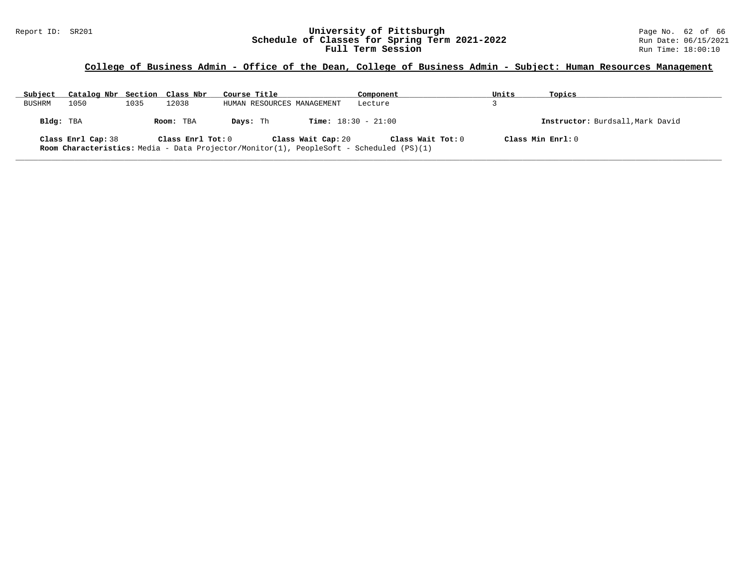#### Report ID: SR201 **1988 Mage 10: SR201 University of Pittsburgh University of Pittsburgh** Page No. 62 of 66<br>**Schedule of Classes for Spring Term 2021-2022** 2013 Run Date: 06/15/2021 **Schedule of Classes for Spring Term 2021-2022** Run Date: 06/15/2021 **Full Term Session Rundall Term Session Rundall Term Session**

### **College of Business Admin - Office of the Dean, College of Business Admin - Subject: Human Resources Management**

| Subject   | Catalog Nbr Section Class Nbr |      |                                | Course Title                                                                            | Component                                         | Units             | Topics                           |
|-----------|-------------------------------|------|--------------------------------|-----------------------------------------------------------------------------------------|---------------------------------------------------|-------------------|----------------------------------|
| BUSHRM    | 1050                          | 1035 | 12038                          | HUMAN RESOURCES MANAGEMENT                                                              | Lecture                                           |                   |                                  |
| Bldg: TBA | Class Enrl Cap: 38            |      | Room: TBA<br>Class Enrl Tot: 0 | Days: Th<br>Class Wait Cap: 20                                                          | <b>Time:</b> $18:30 - 21:00$<br>Class Wait Tot: 0 | Class Min Enrl: 0 | Instructor: Burdsall, Mark David |
|           |                               |      |                                | Room Characteristics: Media - Data Projector/Monitor(1), PeopleSoft - Scheduled (PS)(1) |                                                   |                   |                                  |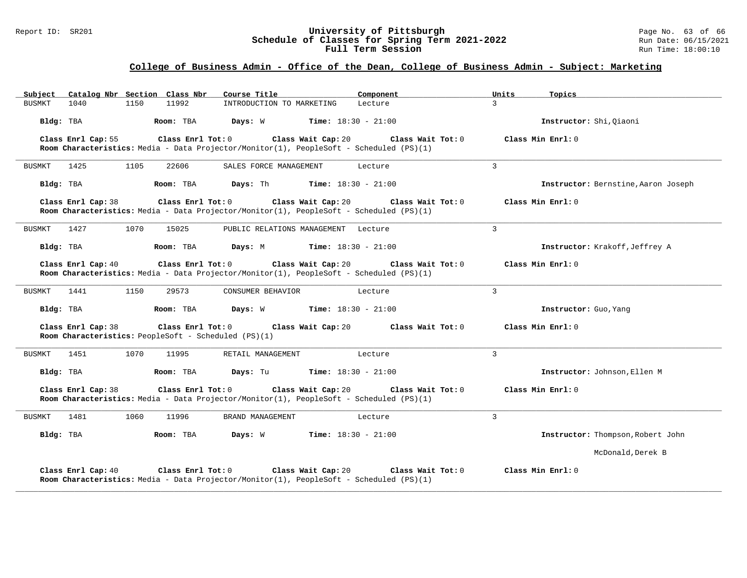#### Report ID: SR201 **University of Pittsburgh** Page No. 63 of 66 **Schedule of Classes for Spring Term 2021-2022** Run Date: 06/15/2021 **Full Term Session Rundall Term Session Rundall Term Session**

| Subject Catalog Nbr Section Class Nbr                                                           | Component                                                                                                                          | Units<br>Topics                     |
|-------------------------------------------------------------------------------------------------|------------------------------------------------------------------------------------------------------------------------------------|-------------------------------------|
| 1040<br>1150<br>11992<br><b>BUSMKT</b>                                                          | INTRODUCTION TO MARKETING<br>Lecture                                                                                               | $\mathcal{L}$                       |
| Bldg: TBA<br>Room: TBA                                                                          | <b>Time:</b> $18:30 - 21:00$<br>Days: W                                                                                            | Instructor: Shi, Oiaoni             |
| Class Enrl Cap: 55<br>Class Enrl Tot: 0                                                         | Class Wait Cap: 20<br>Class Wait Tot: 0<br>Room Characteristics: Media - Data Projector/Monitor(1), PeopleSoft - Scheduled (PS)(1) | Class Min $Enr1: 0$                 |
| 1425<br>1105<br>22606<br>BUSMKT                                                                 | SALES FORCE MANAGEMENT<br>Lecture                                                                                                  | 3                                   |
| Bldg: TBA<br>Room: TBA                                                                          | Days: Th<br><b>Time:</b> $18:30 - 21:00$                                                                                           | Instructor: Bernstine, Aaron Joseph |
| Class Enrl Cap: 38<br>Class Enrl Tot: 0                                                         | Class Wait Cap: 20<br>Class Wait Tot: 0<br>Room Characteristics: Media - Data Projector/Monitor(1), PeopleSoft - Scheduled (PS)(1) | Class Min Enrl: 0                   |
| 1427<br>1070<br>15025<br>BUSMKT                                                                 | PUBLIC RELATIONS MANAGEMENT Lecture                                                                                                | $\overline{3}$                      |
| Bldg: TBA<br>Room: TBA                                                                          | Days: M<br><b>Time:</b> $18:30 - 21:00$                                                                                            | Instructor: Krakoff, Jeffrey A      |
| Class Enrl Cap: 40<br>Class Enrl Tot: 0                                                         | Class Wait Cap: 20<br>Class Wait Tot: 0<br>Room Characteristics: Media - Data Projector/Monitor(1), PeopleSoft - Scheduled (PS)(1) | Class Min Enrl: 0                   |
| 1150<br>BUSMKT<br>1441<br>29573                                                                 | CONSUMER BEHAVIOR<br>Lecture                                                                                                       | 3                                   |
| Bldg: TBA<br>Room: TBA                                                                          | Days: W<br><b>Time:</b> $18:30 - 21:00$                                                                                            | Instructor: Guo, Yang               |
| Class Enrl Cap: 38<br>Class Enrl Tot: 0<br>Room Characteristics: PeopleSoft - Scheduled (PS)(1) | Class Wait Cap: 20<br>Class Wait Tot: 0                                                                                            | Class Min Enrl: 0                   |
| 1451<br>1070<br>BUSMKT<br>11995                                                                 | RETAIL MANAGEMENT<br>Lecture                                                                                                       | 3                                   |
| Bldg: TBA<br>Room: TBA                                                                          | <b>Time:</b> $18:30 - 21:00$<br>Days: Tu                                                                                           | Instructor: Johnson, Ellen M        |
| Class Enrl Cap: 38<br>Class Enrl Tot: 0                                                         | Class Wait Cap: 20<br>Class Wait Tot: 0<br>Room Characteristics: Media - Data Projector/Monitor(1), PeopleSoft - Scheduled (PS)(1) | Class Min Enrl: 0                   |
| 1060<br>1481<br>11996<br>BUSMKT                                                                 | BRAND MANAGEMENT<br>Lecture                                                                                                        | 3                                   |
| Bldg: TBA<br>Room: TBA                                                                          | Days: W<br><b>Time:</b> $18:30 - 21:00$                                                                                            | Instructor: Thompson, Robert John   |
|                                                                                                 |                                                                                                                                    | McDonald, Derek B                   |
| Class Enrl Tot: 0<br>Class Enrl Cap: 40                                                         | Class Wait Cap: 20<br>Class Wait Tot: 0<br>Room Characteristics: Media - Data Projector/Monitor(1), PeopleSoft - Scheduled (PS)(1) | Class Min Enrl: 0                   |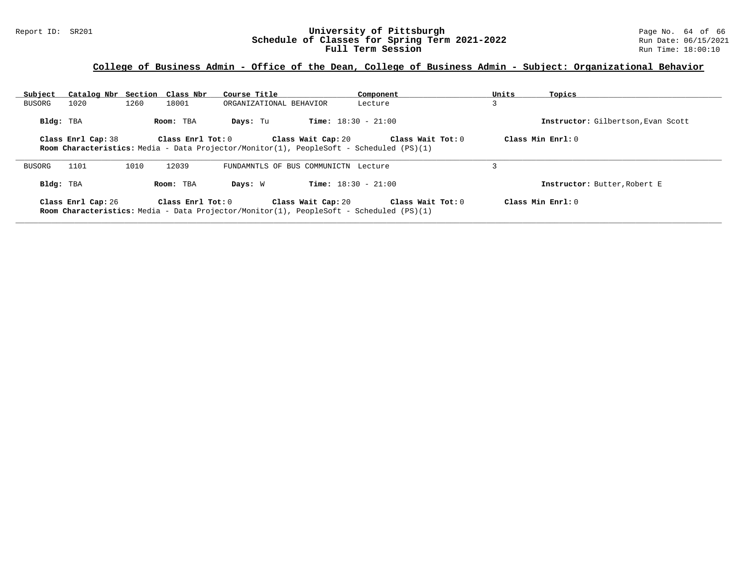#### Report ID: SR201 **University of Pittsburgh** Page No. 64 of 66 **Schedule of Classes for Spring Term 2021-2022** Run Date: 06/15/2021 **Full Term Session Rundall Term Session Rundall Term Session**

| Subject   | Catalog Nbr Section Class Nbr |      |                         | Course Title            |                                                                                                                      | Component         | Units | Topics                             |
|-----------|-------------------------------|------|-------------------------|-------------------------|----------------------------------------------------------------------------------------------------------------------|-------------------|-------|------------------------------------|
| BUSORG    | 1020                          | 1260 | 18001                   | ORGANIZATIONAL BEHAVIOR |                                                                                                                      | Lecture           | 3     |                                    |
| Bldg: TBA |                               |      | Room: TBA               | Days: Tu                | <b>Time:</b> $18:30 - 21:00$                                                                                         |                   |       | Instructor: Gilbertson, Evan Scott |
|           | Class Enrl Cap: 38            |      | $Class$ $Enrl$ $Tot: 0$ |                         | Class Wait Cap: 20<br><b>Room Characteristics:</b> Media - Data Projector/Monitor(1), PeopleSoft - Scheduled (PS)(1) | Class Wait Tot: 0 |       | Class Min $Err1:0$                 |
| BUSORG    | 1101                          | 1010 | 12039                   |                         | FUNDAMNTLS OF BUS COMMUNICTN Lecture                                                                                 |                   |       |                                    |
| Bldg: TBA |                               |      | Room: TBA               | Days: W                 | <b>Time:</b> $18:30 - 21:00$                                                                                         |                   |       | Instructor: Butter, Robert E       |
|           | Class Enrl Cap: 26            |      | Class Enrl Tot: 0       |                         | Class Wait Cap: 20<br><b>Room Characteristics:</b> Media - Data Projector/Monitor(1), PeopleSoft - Scheduled (PS)(1) | Class Wait Tot: 0 |       | Class Min Enrl: 0                  |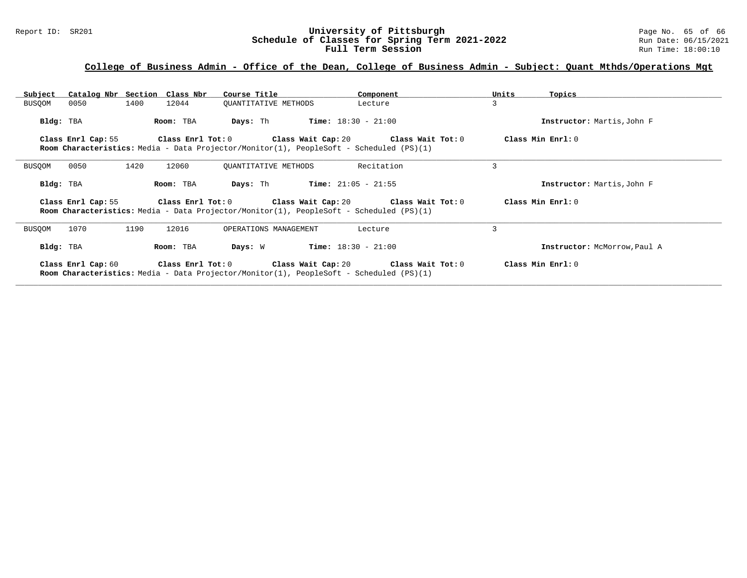#### Report ID: SR201 **University of Pittsburgh** Page No. 65 of 66 **Schedule of Classes for Spring Term 2021-2022** Run Date: 06/15/2021 **Full Term Session Rundall Term Session Rundall Term Session**

| Subject   |                    | Catalog Nbr Section Class Nbr | Course Title                                  | Component                                                                                                                                                                   | Topics<br>Units              |
|-----------|--------------------|-------------------------------|-----------------------------------------------|-----------------------------------------------------------------------------------------------------------------------------------------------------------------------------|------------------------------|
| BUSQOM    | 0050               | 1400<br>12044                 | OUANTITATIVE METHODS                          | Lecture                                                                                                                                                                     | 3                            |
| Bldg: TBA |                    | Room: TBA                     | Days: Th                                      | $Time: 18:30 - 21:00$                                                                                                                                                       | Instructor: Martis, John F   |
|           |                    |                               |                                               | Class Enrl Cap: 55 Class Enrl Tot: 0 Class Wait Cap: 20 Class Wait Tot: 0<br><b>Room Characteristics:</b> Media - Data Projector/Monitor(1), PeopleSoft - Scheduled (PS)(1) | Class Min Enrl: 0            |
| BUSQOM    | 0050               | 1420<br>12060                 | OUANTITATIVE METHODS                          | Recitation                                                                                                                                                                  | 3                            |
| Bldg: TBA |                    | Room: TBA                     | Days: Th                                      | <b>Time:</b> $21:05 - 21:55$                                                                                                                                                | Instructor: Martis, John F   |
|           | Class Enrl Cap: 55 |                               |                                               | Class Enrl Tot: $0$ Class Wait Cap: $20$ Class Wait Tot: $0$<br><b>Room Characteristics:</b> Media - Data Projector/Monitor(1), PeopleSoft - Scheduled (PS)(1)              | Class Min Enrl: 0            |
| BUSQOM    | 1070               | 1190<br>12016                 | OPERATIONS MANAGEMENT                         | Lecture                                                                                                                                                                     | 3                            |
| Bldg: TBA |                    | Room: TBA                     | <b>Days:</b> $W$ <b>Time:</b> $18:30 - 21:00$ |                                                                                                                                                                             | Instructor: McMorrow, Paul A |
|           | Class Enrl Cap: 60 |                               |                                               | Class Enrl Tot: $0$ Class Wait Cap: $20$ Class Wait Tot: $0$<br>Room Characteristics: Media - Data Projector/Monitor(1), PeopleSoft - Scheduled (PS)(1)                     | Class Min Enrl: 0            |